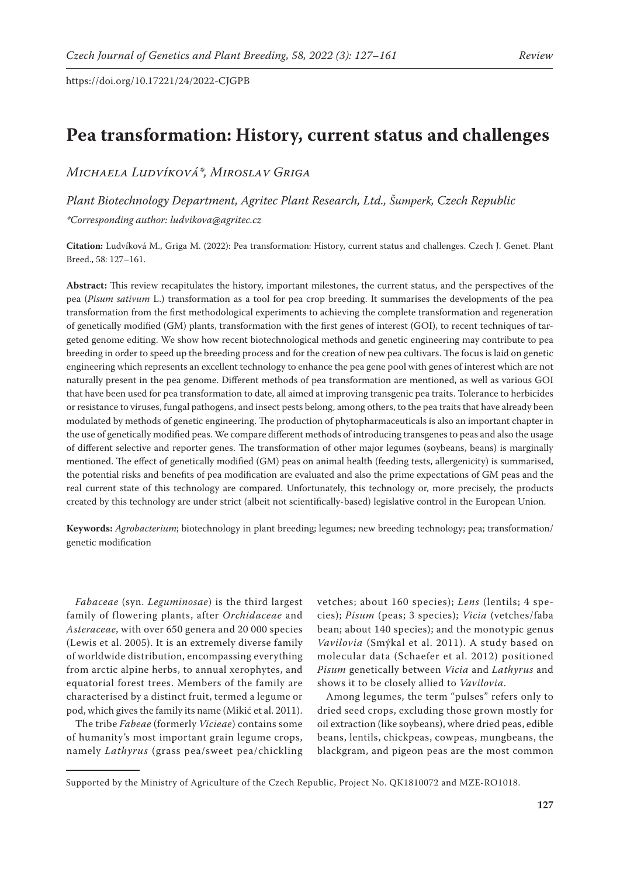# **Pea transformation: History, current status and challenges**

# *Michaela Ludvíková\*, Miroslav Griga*

*Plant Biotechnology Department, Agritec Plant Research, Ltd., Šumperk, Czech Republic*

*\*Corresponding author: ludvikova@agritec.cz* 

**Citation:** Ludvíková M., Griga M. (2022): Pea transformation: History, current status and challenges. Czech J. Genet. Plant Breed., 58: 127–161.

**Abstract:** This review recapitulates the history, important milestones, the current status, and the perspectives of the pea (*Pisum sativum* L.) transformation as a tool for pea crop breeding. It summarises the developments of the pea transformation from the first methodological experiments to achieving the complete transformation and regeneration of genetically modified (GM) plants, transformation with the first genes of interest (GOI), to recent techniques of targeted genome editing. We show how recent biotechnological methods and genetic engineering may contribute to pea breeding in order to speed up the breeding process and for the creation of new pea cultivars. The focus is laid on genetic engineering which represents an excellent technology to enhance the pea gene pool with genes of interest which are not naturally present in the pea genome. Different methods of pea transformation are mentioned, as well as various GOI that have been used for pea transformation to date, all aimed at improving transgenic pea traits. Tolerance to herbicides or resistance to viruses, fungal pathogens, and insect pests belong, among others, to the pea traits that have already been modulated by methods of genetic engineering. The production of phytopharmaceuticals is also an important chapter in the use of genetically modified peas. We compare different methods of introducing transgenes to peas and also the usage of different selective and reporter genes. The transformation of other major legumes (soybeans, beans) is marginally mentioned. The effect of genetically modified (GM) peas on animal health (feeding tests, allergenicity) is summarised, the potential risks and benefits of pea modification are evaluated and also the prime expectations of GM peas and the real current state of this technology are compared. Unfortunately, this technology or, more precisely, the products created by this technology are under strict (albeit not scientifically-based) legislative control in the European Union.

**Keywords:** *Agrobacterium*; biotechnology in plant breeding; legumes; new breeding technology; pea; transformation/ genetic modification

*Fabaceae* (syn. *Leguminosae*) is the third largest family of flowering plants, after *Orchidaceae* and *Asteraceae*, with over 650 genera and 20 000 species (Lewis et al. 2005). It is an extremely diverse family of worldwide distribution, encompassing everything from arctic alpine herbs, to annual xerophytes, and equatorial forest trees. Members of the family are characterised by a distinct fruit, termed a legume or pod, which gives the family its name (Mikić et al. 2011).

The tribe *Fabeae* (formerly *Vicieae*) contains some of humanity's most important grain legume crops, namely *Lathyrus* (grass pea/sweet pea/chickling vetches; about 160 species); *Lens* (lentils; 4 species); *Pisum* (peas; 3 species); *Vicia* (vetches/faba bean; about 140 species); and the monotypic genus *Vavilovia* (Smýkal et al. 2011). A study based on molecular data (Schaefer et al. 2012) positioned *Pisum* genetically between *Vicia* and *Lathyrus* and shows it to be closely allied to *Vavilovia*.

Among legumes, the term "pulses" refers only to dried seed crops, excluding those grown mostly for oil extraction (like soybeans), where dried peas, edible beans, lentils, chickpeas, cowpeas, mungbeans, the blackgram, and pigeon peas are the most common

Supported by the Ministry of Agriculture of the Czech Republic, Project No. QK1810072 and MZE-RO1018.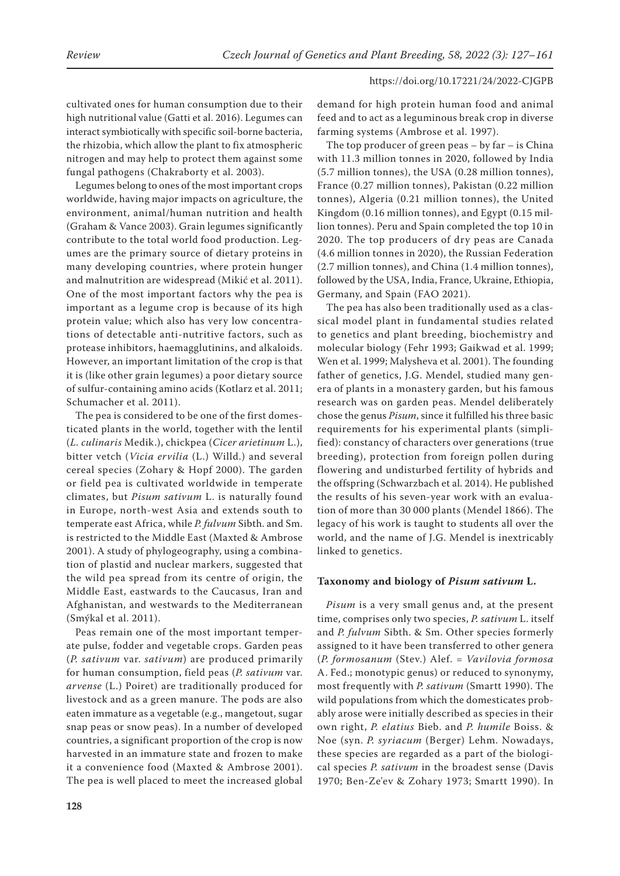cultivated ones for human consumption due to their high nutritional value (Gatti et al. 2016). Legumes can interact symbiotically with specific soil-borne bacteria, the rhizobia, which allow the plant to fix atmospheric nitrogen and may help to protect them against some fungal pathogens (Chakraborty et al. 2003).

Legumes belong to ones of the most important crops worldwide, having major impacts on agriculture, the environment, animal/human nutrition and health (Graham & Vance 2003). Grain legumes significantly contribute to the total world food production. Legumes are the primary source of dietary proteins in many developing countries, where protein hunger and malnutrition are widespread (Mikić et al. 2011). One of the most important factors why the pea is important as a legume crop is because of its high protein value; which also has very low concentrations of detectable anti-nutritive factors, such as protease inhibitors, haemagglutinins, and alkaloids. However, an important limitation of the crop is that it is (like other grain legumes) a poor dietary source of sulfur-containing amino acids (Kotlarz et al. 2011; Schumacher et al. 2011).

The pea is considered to be one of the first domesticated plants in the world, together with the lentil (*L. culinaris* Medik.), chickpea (*Cicer arietinum* L.), bitter vetch (*Vicia ervilia* (L.) Willd.) and several cereal species (Zohary & Hopf 2000). The garden or field pea is cultivated worldwide in temperate climates, but *Pisum sativum* L. is naturally found in Europe, north-west Asia and extends south to temperate east Africa, while *P. fulvum* Sibth. and Sm. is restricted to the Middle East (Maxted & Ambrose 2001). A study of phylogeography, using a combination of plastid and nuclear markers, suggested that the wild pea spread from its centre of origin, the Middle East, eastwards to the Caucasus, Iran and Afghanistan, and westwards to the Mediterranean (Smýkal et al. 2011).

Peas remain one of the most important temperate pulse, fodder and vegetable crops. Garden peas (*P. sativum* var. *sativum*) are produced primarily for human consumption, field peas (*P. sativum* var. *arvense* (L.) Poiret) are traditionally produced for livestock and as a green manure. The pods are also eaten immature as a vegetable (e.g., mangetout, sugar snap peas or snow peas). In a number of developed countries, a significant proportion of the crop is now harvested in an immature state and frozen to make it a convenience food (Maxted & Ambrose 2001). The pea is well placed to meet the increased global

demand for high protein human food and animal feed and to act as a leguminous break crop in diverse farming systems (Ambrose et al. 1997).

The top producer of green peas – by far – is China with 11.3 million tonnes in 2020, followed by India (5.7 million tonnes), the USA (0.28 million tonnes), France (0.27 million tonnes), Pakistan (0.22 million tonnes), Algeria (0.21 million tonnes), the United Kingdom (0.16 million tonnes), and Egypt (0.15 million tonnes). Peru and Spain completed the top 10 in 2020. The top producers of dry peas are Canada (4.6 million tonnes in 2020), the Russian Federation (2.7 million tonnes), and China (1.4 million tonnes), followed by the USA, India, France, Ukraine, Ethiopia, Germany, and Spain (FAO 2021).

The pea has also been traditionally used as a classical model plant in fundamental studies related to genetics and plant breeding, biochemistry and molecular biology (Fehr 1993; Gaikwad et al. 1999; Wen et al. 1999; Malysheva et al. 2001). The founding father of genetics, J.G. Mendel, studied many genera of plants in a monastery garden, but his famous research was on garden peas. Mendel deliberately chose the genus *Pisum*, since it fulfilled his three basic requirements for his experimental plants (simplified): constancy of characters over generations (true breeding), protection from foreign pollen during flowering and undisturbed fertility of hybrids and the offspring (Schwarzbach et al. 2014). He published the results of his seven-year work with an evaluation of more than 30 000 plants (Mendel 1866). The legacy of his work is taught to students all over the world, and the name of J.G. Mendel is inextricably linked to genetics.

# **Taxonomy and biology of** *Pisum sativum* **L.**

*Pisum* is a very small genus and, at the present time, comprises only two species, *P. sativum* L. itself and *P. fulvum* Sibth. & Sm. Other species formerly assigned to it have been transferred to other genera (*P. formosanum* (Stev.) Alef. = *Vavilovia formosa*  A. Fed.; monotypic genus) or reduced to synonymy, most frequently with *P. sativum* (Smartt 1990). The wild populations from which the domesticates probably arose were initially described as species in their own right, *P. elatius* Bieb. and *P. humile* Boiss. & Noe (syn. *P. syriacum* (Berger) Lehm. Nowadays, these species are regarded as a part of the biological species *P. sativum* in the broadest sense (Davis 1970; Ben-Ze'ev & Zohary 1973; Smartt 1990). In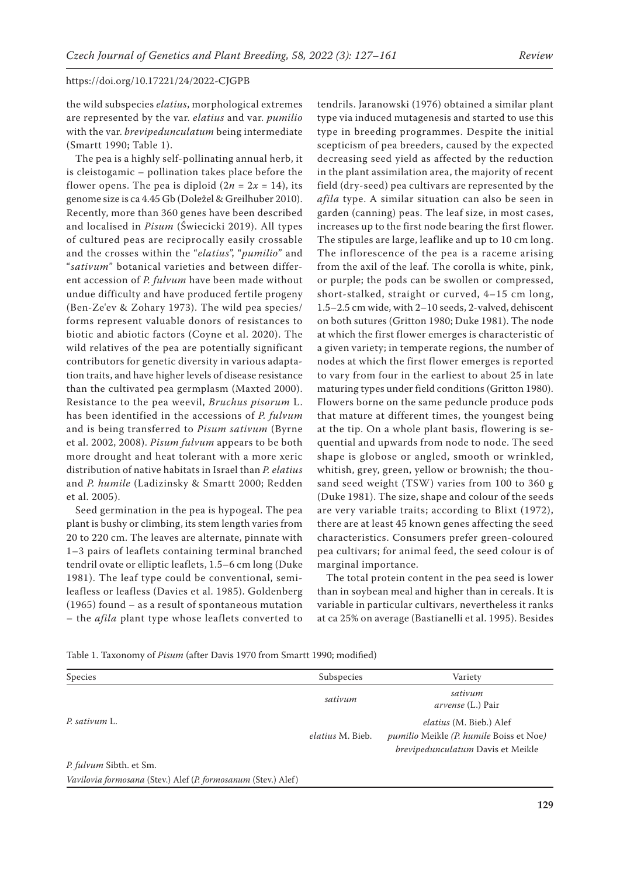the wild subspecies *elatius*, morphological extremes are represented by the var. *elatius* and var. *pumilio* with the var. *brevipedunculatum* being intermediate (Smartt 1990; Table 1).

The pea is a highly self-pollinating annual herb, it is cleistogamic – pollination takes place before the flower opens. The pea is diploid  $(2n = 2x = 14)$ , its genome size is ca 4.45 Gb (Doležel & Greilhuber 2010). Recently, more than 360 genes have been described and localised in *Pisum* (Świecicki 2019). All types of cultured peas are reciprocally easily crossable and the crosses within the "*elatius*", "*pumilio*" and "*sativum*" botanical varieties and between different accession of *P. fulvum* have been made without undue difficulty and have produced fertile progeny (Ben-Ze'ev & Zohary 1973). The wild pea species/ forms represent valuable donors of resistances to biotic and abiotic factors (Coyne et al. 2020). The wild relatives of the pea are potentially significant contributors for genetic diversity in various adaptation traits, and have higher levels of disease resistance than the cultivated pea germplasm (Maxted 2000). Resistance to the pea weevil, *Bruchus pisorum* L. has been identified in the accessions of *P. fulvum*  and is being transferred to *Pisum sativum* (Byrne et al. 2002, 2008). *Pisum fulvum* appears to be both more drought and heat tolerant with a more xeric distribution of native habitats in Israel than *P. elatius* and *P. humile* (Ladizinsky & Smartt 2000; Redden et al. 2005).

Seed germination in the pea is hypogeal. The pea plant is bushy or climbing, its stem length varies from 20 to 220 cm. The leaves are alternate, pinnate with 1–3 pairs of leaflets containing terminal branched tendril ovate or elliptic leaflets, 1.5–6 cm long (Duke 1981). The leaf type could be conventional, semileafless or leafless (Davies et al. 1985). Goldenberg (1965) found – as a result of spontaneous mutation – the *afila* plant type whose leaflets converted to

tendrils. Jaranowski (1976) obtained a similar plant type via induced mutagenesis and started to use this type in breeding programmes. Despite the initial scepticism of pea breeders, caused by the expected decreasing seed yield as affected by the reduction in the plant assimilation area, the majority of recent field (dry-seed) pea cultivars are represented by the *afila* type. A similar situation can also be seen in garden (canning) peas. The leaf size, in most cases, increases up to the first node bearing the first flower. The stipules are large, leaflike and up to 10 cm long. The inflorescence of the pea is a raceme arising from the axil of the leaf. The corolla is white, pink, or purple; the pods can be swollen or compressed, short-stalked, straight or curved, 4–15 cm long, 1.5–2.5 cm wide, with 2–10 seeds, 2-valved, dehiscent on both sutures (Gritton 1980; Duke 1981). The node at which the first flower emerges is characteristic of a given variety; in temperate regions, the number of nodes at which the first flower emerges is reported to vary from four in the earliest to about 25 in late maturing types under field conditions (Gritton 1980). Flowers borne on the same peduncle produce pods that mature at different times, the youngest being at the tip. On a whole plant basis, flowering is sequential and upwards from node to node. The seed shape is globose or angled, smooth or wrinkled, whitish, grey, green, yellow or brownish; the thousand seed weight (TSW) varies from 100 to 360 g (Duke 1981). The size, shape and colour of the seeds are very variable traits; according to Blixt (1972), there are at least 45 known genes affecting the seed characteristics. Consumers prefer green-coloured pea cultivars; for animal feed, the seed colour is of marginal importance.

The total protein content in the pea seed is lower than in soybean meal and higher than in cereals. It is variable in particular cultivars, nevertheless it ranks at ca 25% on average (Bastianelli et al. 1995). Besides

Table 1. Taxonomy of *Pisum* (after Davis 1970 from Smartt 1990; modified)

| Species                 | Subspecies       | Variety                                                                                                               |
|-------------------------|------------------|-----------------------------------------------------------------------------------------------------------------------|
|                         | sativum          | sativum<br><i>arvense</i> (L.) Pair                                                                                   |
| P. sativum L.           | elatius M. Bieb. | <i>elatius</i> (M. Bieb.) Alef<br><i>pumilio</i> Meikle (P. humile Boiss et Noe)<br>brevipedunculatum Davis et Meikle |
| P. fulvum Sibth. et Sm. |                  |                                                                                                                       |

*Vavilovia formosana* (Stev.) Alef (*P. formosanum* (Stev.) Alef )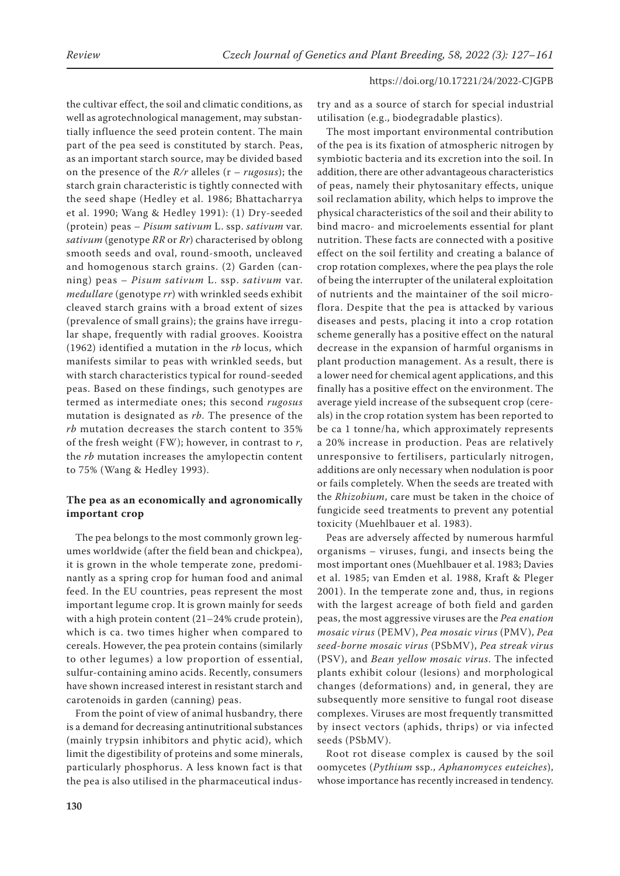the cultivar effect, the soil and climatic conditions, as well as agrotechnological management, may substantially influence the seed protein content. The main part of the pea seed is constituted by starch. Peas, as an important starch source, may be divided based on the presence of the *R/r* alleles (r – *rugosus*); the starch grain characteristic is tightly connected with the seed shape (Hedley et al. 1986; Bhattacharrya et al. 1990; Wang & Hedley 1991): (1) Dry-seeded (protein) peas – *Pisum sativum* L. ssp. *sativum* var. *sativum* (genotype *RR* or *Rr*) characterised by oblong smooth seeds and oval, round-smooth, uncleaved and homogenous starch grains. (2) Garden (canning) peas – *Pisum sativum* L. ssp. *sativum* var. *medullare* (genotype *rr*) with wrinkled seeds exhibit cleaved starch grains with a broad extent of sizes (prevalence of small grains); the grains have irregular shape, frequently with radial grooves. Kooistra (1962) identified a mutation in the *rb* locus, which manifests similar to peas with wrinkled seeds, but with starch characteristics typical for round-seeded peas. Based on these findings, such genotypes are termed as intermediate ones; this second *rugosus* mutation is designated as *rb*. The presence of the *rb* mutation decreases the starch content to 35% of the fresh weight (FW); however, in contrast to *r*, the *rb* mutation increases the amylopectin content to 75% (Wang & Hedley 1993).

# **The pea as an economically and agronomically important crop**

The pea belongs to the most commonly grown legumes worldwide (after the field bean and chickpea), it is grown in the whole temperate zone, predominantly as a spring crop for human food and animal feed. In the EU countries, peas represent the most important legume crop. It is grown mainly for seeds with a high protein content (21–24% crude protein), which is ca. two times higher when compared to cereals. However, the pea protein contains (similarly to other legumes) a low proportion of essential, sulfur-containing amino acids. Recently, consumers have shown increased interest in resistant starch and carotenoids in garden (canning) peas.

From the point of view of animal husbandry, there is a demand for decreasing antinutritional substances (mainly trypsin inhibitors and phytic acid), which limit the digestibility of proteins and some minerals, particularly phosphorus. A less known fact is that the pea is also utilised in the pharmaceutical industry and as a source of starch for special industrial utilisation (e.g., biodegradable plastics).

The most important environmental contribution of the pea is its fixation of atmospheric nitrogen by symbiotic bacteria and its excretion into the soil. In addition, there are other advantageous characteristics of peas, namely their phytosanitary effects, unique soil reclamation ability, which helps to improve the physical characteristics of the soil and their ability to bind macro- and microelements essential for plant nutrition. These facts are connected with a positive effect on the soil fertility and creating a balance of crop rotation complexes, where the pea plays the role of being the interrupter of the unilateral exploitation of nutrients and the maintainer of the soil microflora. Despite that the pea is attacked by various diseases and pests, placing it into a crop rotation scheme generally has a positive effect on the natural decrease in the expansion of harmful organisms in plant production management. As a result, there is a lower need for chemical agent applications, and this finally has a positive effect on the environment. The average yield increase of the subsequent crop (cereals) in the crop rotation system has been reported to be ca 1 tonne/ha, which approximately represents a 20% increase in production. Peas are relatively unresponsive to fertilisers, particularly nitrogen, additions are only necessary when nodulation is poor or fails completely. When the seeds are treated with the *Rhizobium*, care must be taken in the choice of fungicide seed treatments to prevent any potential toxicity (Muehlbauer et al. 1983).

Peas are adversely affected by numerous harmful organisms – viruses, fungi, and insects being the most important ones (Muehlbauer et al. 1983; Davies et al. 1985; van Emden et al. 1988, Kraft & Pleger 2001). In the temperate zone and, thus, in regions with the largest acreage of both field and garden peas, the most aggressive viruses are the *Pea enation mosaic virus* (PEMV), *Pea mosaic virus* (PMV), *Pea seed-borne mosaic virus* (PSbMV), *Pea streak virus* (PSV), and *Bean yellow mosaic virus*. The infected plants exhibit colour (lesions) and morphological changes (deformations) and, in general, they are subsequently more sensitive to fungal root disease complexes. Viruses are most frequently transmitted by insect vectors (aphids, thrips) or via infected seeds (PSbMV).

Root rot disease complex is caused by the soil oomycetes (*Pythium* ssp., *Aphanomyces euteiches*), whose importance has recently increased in tendency.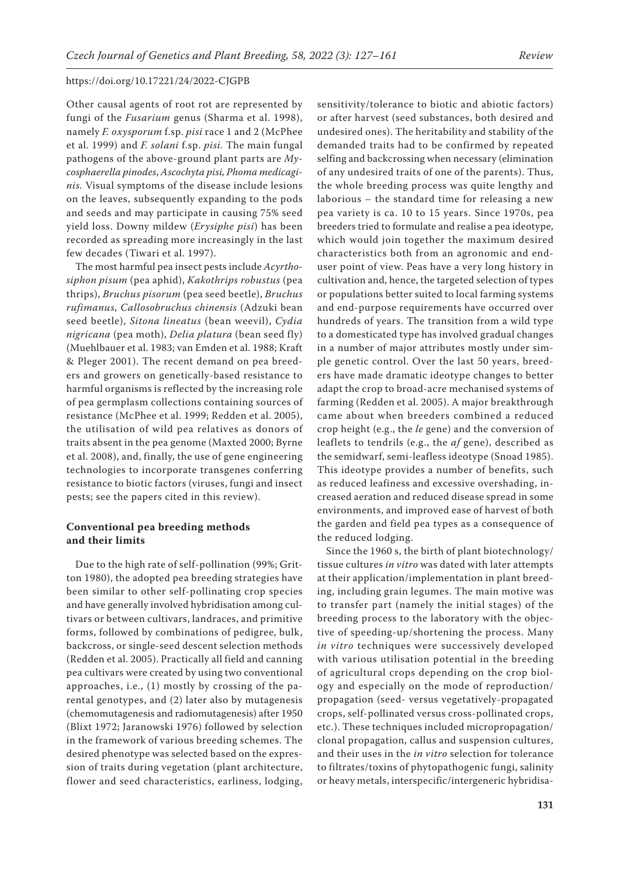Other causal agents of root rot are represented by fungi of the *Fusarium* genus (Sharma et al. 1998), namely *F. oxysporum* f.sp. *pisi* race 1 and 2 (McPhee et al. 1999) and *F. solani* f.sp. *pisi.* The main fungal pathogens of the above-ground plant parts are *Mycosphaerella pinodes*, *Ascochyta pisi, Phoma medicaginis.* Visual symptoms of the disease include lesions on the leaves, subsequently expanding to the pods and seeds and may participate in causing 75% seed yield loss. Downy mildew (*Erysiphe pisi*) has been recorded as spreading more increasingly in the last few decades (Tiwari et al. 1997).

The most harmful pea insect pests include *Acyrthosiphon pisum* (pea aphid), *Kakothrips robustus* (pea thrips), *Bruchus pisorum* (pea seed beetle), *Bruchus rufimanus*, *Callosobruchus chinensis* (Adzuki bean seed beetle), *Sitona lineatus* (bean weevil), *Cydia nigricana* (pea moth), *Delia platura* (bean seed fly) (Muehlbauer et al. 1983; van Emden et al. 1988; Kraft & Pleger 2001). The recent demand on pea breeders and growers on genetically-based resistance to harmful organisms is reflected by the increasing role of pea germplasm collections containing sources of resistance (McPhee et al. 1999; Redden et al. 2005), the utilisation of wild pea relatives as donors of traits absent in the pea genome (Maxted 2000; Byrne et al. 2008), and, finally, the use of gene engineering technologies to incorporate transgenes conferring resistance to biotic factors (viruses, fungi and insect pests; see the papers cited in this review).

# **Conventional pea breeding methods and their limits**

Due to the high rate of self-pollination (99%; Gritton 1980), the adopted pea breeding strategies have been similar to other self-pollinating crop species and have generally involved hybridisation among cultivars or between cultivars, landraces, and primitive forms, followed by combinations of pedigree, bulk, backcross, or single-seed descent selection methods (Redden et al. 2005). Practically all field and canning pea cultivars were created by using two conventional approaches, i.e., (1) mostly by crossing of the parental genotypes, and (2) later also by mutagenesis (chemomutagenesis and radiomutagenesis) after 1950 (Blixt 1972; Jaranowski 1976) followed by selection in the framework of various breeding schemes. The desired phenotype was selected based on the expression of traits during vegetation (plant architecture, flower and seed characteristics, earliness, lodging,

sensitivity/tolerance to biotic and abiotic factors) or after harvest (seed substances, both desired and undesired ones). The heritability and stability of the demanded traits had to be confirmed by repeated selfing and backcrossing when necessary (elimination of any undesired traits of one of the parents). Thus, the whole breeding process was quite lengthy and laborious – the standard time for releasing a new pea variety is ca. 10 to 15 years. Since 1970s, pea breeders tried to formulate and realise a pea ideotype, which would join together the maximum desired characteristics both from an agronomic and enduser point of view. Peas have a very long history in cultivation and, hence, the targeted selection of types or populations better suited to local farming systems and end-purpose requirements have occurred over hundreds of years. The transition from a wild type to a domesticated type has involved gradual changes in a number of major attributes mostly under simple genetic control. Over the last 50 years, breeders have made dramatic ideotype changes to better adapt the crop to broad-acre mechanised systems of farming (Redden et al. 2005). A major breakthrough came about when breeders combined a reduced crop height (e.g., the *le* gene) and the conversion of leaflets to tendrils (e.g., the *af* gene), described as the semidwarf, semi-leafless ideotype (Snoad 1985). This ideotype provides a number of benefits, such as reduced leafiness and excessive overshading, increased aeration and reduced disease spread in some environments, and improved ease of harvest of both the garden and field pea types as a consequence of the reduced lodging.

Since the 1960 s, the birth of plant biotechnology/ tissue cultures *in vitro* was dated with later attempts at their application/implementation in plant breeding, including grain legumes. The main motive was to transfer part (namely the initial stages) of the breeding process to the laboratory with the objective of speeding-up/shortening the process. Many *in vitro* techniques were successively developed with various utilisation potential in the breeding of agricultural crops depending on the crop biology and especially on the mode of reproduction/ propagation (seed- versus vegetatively-propagated crops, self-pollinated versus cross-pollinated crops, etc.). These techniques included micropropagation/ clonal propagation, callus and suspension cultures, and their uses in the *in vitro* selection for tolerance to filtrates/toxins of phytopathogenic fungi, salinity or heavy metals, interspecific/intergeneric hybridisa-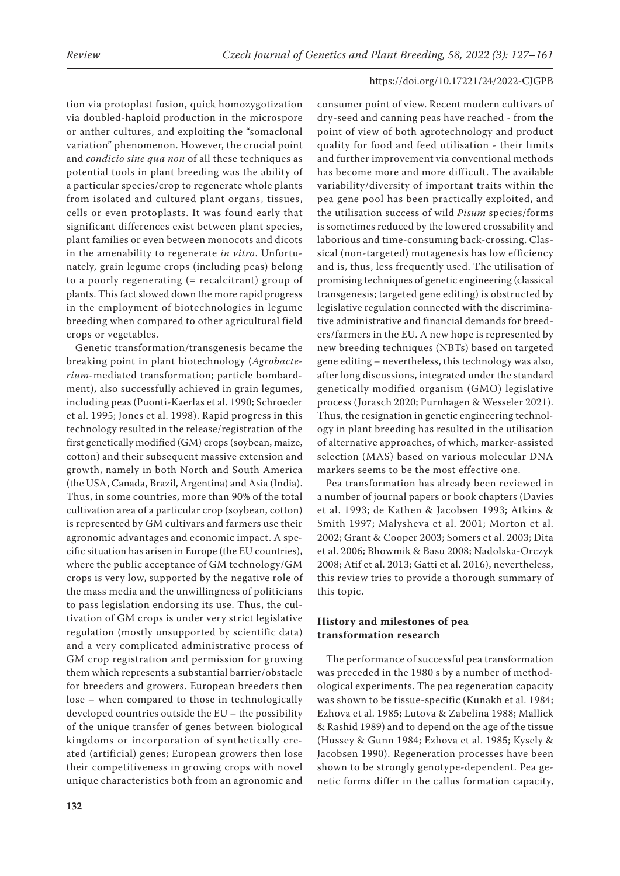tion via protoplast fusion, quick homozygotization via doubled-haploid production in the microspore or anther cultures, and exploiting the "somaclonal variation" phenomenon. However, the crucial point and *condicio sine qua non* of all these techniques as potential tools in plant breeding was the ability of a particular species/crop to regenerate whole plants from isolated and cultured plant organs, tissues, cells or even protoplasts. It was found early that significant differences exist between plant species, plant families or even between monocots and dicots in the amenability to regenerate *in vitro*. Unfortunately, grain legume crops (including peas) belong to a poorly regenerating (= recalcitrant) group of plants. This fact slowed down the more rapid progress in the employment of biotechnologies in legume breeding when compared to other agricultural field crops or vegetables.

Genetic transformation/transgenesis became the breaking point in plant biotechnology (*Agrobacterium-*mediated transformation; particle bombardment), also successfully achieved in grain legumes, including peas (Puonti-Kaerlas et al. 1990; Schroeder et al. 1995; Jones et al. 1998). Rapid progress in this technology resulted in the release/registration of the first genetically modified (GM) crops (soybean, maize, cotton) and their subsequent massive extension and growth, namely in both North and South America (the USA, Canada, Brazil, Argentina) and Asia (India). Thus, in some countries, more than 90% of the total cultivation area of a particular crop (soybean, cotton) is represented by GM cultivars and farmers use their agronomic advantages and economic impact. A specific situation has arisen in Europe (the EU countries), where the public acceptance of GM technology/GM crops is very low, supported by the negative role of the mass media and the unwillingness of politicians to pass legislation endorsing its use. Thus, the cultivation of GM crops is under very strict legislative regulation (mostly unsupported by scientific data) and a very complicated administrative process of GM crop registration and permission for growing them which represents a substantial barrier/obstacle for breeders and growers. European breeders then lose – when compared to those in technologically developed countries outside the EU – the possibility of the unique transfer of genes between biological kingdoms or incorporation of synthetically created (artificial) genes; European growers then lose their competitiveness in growing crops with novel unique characteristics both from an agronomic and

consumer point of view. Recent modern cultivars of dry-seed and canning peas have reached - from the point of view of both agrotechnology and product quality for food and feed utilisation - their limits and further improvement via conventional methods has become more and more difficult. The available variability/diversity of important traits within the pea gene pool has been practically exploited, and the utilisation success of wild *Pisum* species/forms is sometimes reduced by the lowered crossability and laborious and time-consuming back-crossing. Classical (non-targeted) mutagenesis has low efficiency and is, thus, less frequently used. The utilisation of promising techniques of genetic engineering (classical transgenesis; targeted gene editing) is obstructed by legislative regulation connected with the discriminative administrative and financial demands for breeders/farmers in the EU. A new hope is represented by new breeding techniques (NBTs) based on targeted gene editing – nevertheless, this technology was also, after long discussions, integrated under the standard genetically modified organism (GMO) legislative process (Jorasch 2020; Purnhagen & Wesseler 2021). Thus, the resignation in genetic engineering technology in plant breeding has resulted in the utilisation of alternative approaches, of which, marker-assisted selection (MAS) based on various molecular DNA markers seems to be the most effective one.

Pea transformation has already been reviewed in a number of journal papers or book chapters (Davies et al. 1993; de Kathen & Jacobsen 1993; Atkins & Smith 1997; Malysheva et al. 2001; Morton et al. 2002; Grant & Cooper 2003; Somers et al. 2003; Dita et al. 2006; Bhowmik & Basu 2008; Nadolska-Orczyk 2008; Atif et al. 2013; Gatti et al. 2016), nevertheless, this review tries to provide a thorough summary of this topic.

# **History and milestones of pea transformation research**

The performance of successful pea transformation was preceded in the 1980 s by a number of methodological experiments. The pea regeneration capacity was shown to be tissue-specific (Kunakh et al. 1984; Ezhova et al. 1985; Lutova & Zabelina 1988; Mallick & Rashid 1989) and to depend on the age of the tissue (Hussey & Gunn 1984; Ezhova et al. 1985; Kysely & Jacobsen 1990). Regeneration processes have been shown to be strongly genotype-dependent. Pea genetic forms differ in the callus formation capacity,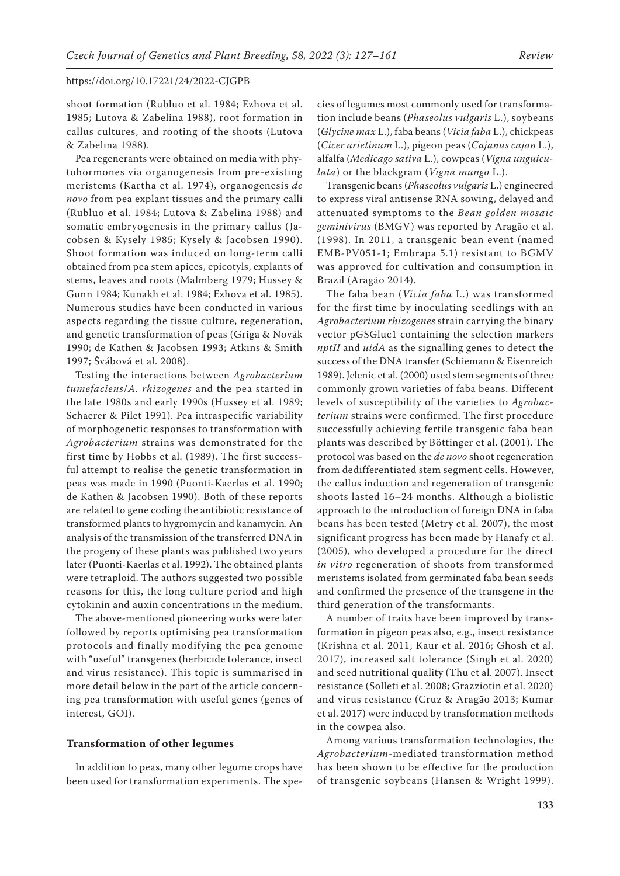shoot formation (Rubluo et al. 1984; Ezhova et al. 1985; Lutova & Zabelina 1988), root formation in callus cultures, and rooting of the shoots (Lutova & Zabelina 1988).

Pea regenerants were obtained on media with phytohormones via organogenesis from pre-existing meristems (Kartha et al. 1974), organogenesis *de novo* from pea explant tissues and the primary calli (Rubluo et al. 1984; Lutova & Zabelina 1988) and somatic embryogenesis in the primary callus (Jacobsen & Kysely 1985; Kysely & Jacobsen 1990). Shoot formation was induced on long-term calli obtained from pea stem apices, epicotyls, explants of stems, leaves and roots (Malmberg 1979; Hussey & Gunn 1984; Kunakh et al. 1984; Ezhova et al. 1985). Numerous studies have been conducted in various aspects regarding the tissue culture, regeneration, and genetic transformation of peas (Griga & Novák 1990; de Kathen & Jacobsen 1993; Atkins & Smith 1997; Švábová et al. 2008).

Testing the interactions between *Agrobacterium tumefaciens*/*A. rhizogenes* and the pea started in the late 1980s and early 1990s (Hussey et al. 1989; Schaerer & Pilet 1991). Pea intraspecific variability of morphogenetic responses to transformation with *Agrobacterium* strains was demonstrated for the first time by Hobbs et al. (1989). The first successful attempt to realise the genetic transformation in peas was made in 1990 (Puonti-Kaerlas et al. 1990; de Kathen & Jacobsen 1990). Both of these reports are related to gene coding the antibiotic resistance of transformed plants to hygromycin and kanamycin. An analysis of the transmission of the transferred DNA in the progeny of these plants was published two years later (Puonti-Kaerlas et al. 1992). The obtained plants were tetraploid. The authors suggested two possible reasons for this, the long culture period and high cytokinin and auxin concentrations in the medium.

The above-mentioned pioneering works were later followed by reports optimising pea transformation protocols and finally modifying the pea genome with "useful" transgenes (herbicide tolerance, insect and virus resistance). This topic is summarised in more detail below in the part of the article concerning pea transformation with useful genes (genes of interest, GOI).

### **Transformation of other legumes**

In addition to peas, many other legume crops have been used for transformation experiments. The spe-

cies of legumes most commonly used for transformation include beans (*Phaseolus vulgaris* L.), soybeans (*Glycine max* L.), faba beans (*Vicia faba* L.), chickpeas (*Cicer arietinum* L.), pigeon peas (*Cajanus cajan* L.), alfalfa (*Medicago sativa* L.), cowpeas (*Vigna unguiculata*) or the blackgram (*Vigna mungo* L.).

Transgenic beans (*Phaseolus vulgaris* L.) engineered to express viral antisense RNA sowing, delayed and attenuated symptoms to the *Bean golden mosaic geminivirus* (BMGV) was reported by Aragão et al. (1998). In 2011, a transgenic bean event (named EMB-PV051-1; Embrapa 5.1) resistant to BGMV was approved for cultivation and consumption in Brazil (Aragão 2014).

The faba bean (*Vicia faba* L.) was transformed for the first time by inoculating seedlings with an *Agrobacterium rhizogenes* strain carrying the binary vector pGSGluc1 containing the selection markers *nptII* and *uidA* as the signalling genes to detect the success of the DNA transfer (Schiemann & Eisenreich 1989). Jelenic et al. (2000) used stem segments of three commonly grown varieties of faba beans. Different levels of susceptibility of the varieties to *Agrobacterium* strains were confirmed. The first procedure successfully achieving fertile transgenic faba bean plants was described by Böttinger et al. (2001). The protocol was based on the *de novo* shoot regeneration from dedifferentiated stem segment cells. However, the callus induction and regeneration of transgenic shoots lasted 16–24 months. Although a biolistic approach to the introduction of foreign DNA in faba beans has been tested (Metry et al. 2007), the most significant progress has been made by Hanafy et al. (2005), who developed a procedure for the direct *in vitro* regeneration of shoots from transformed meristems isolated from germinated faba bean seeds and confirmed the presence of the transgene in the third generation of the transformants.

A number of traits have been improved by transformation in pigeon peas also, e.g., insect resistance (Krishna et al. 2011; Kaur et al. 2016; Ghosh et al. 2017), increased salt tolerance (Singh et al. 2020) and seed nutritional quality (Thu et al. 2007). Insect resistance (Solleti et al. 2008; Grazziotin et al. 2020) and virus resistance (Cruz & Aragão 2013; Kumar et al. 2017) were induced by transformation methods in the cowpea also.

Among various transformation technologies, the *Agrobacterium*-mediated transformation method has been shown to be effective for the production of transgenic soybeans (Hansen & Wright 1999).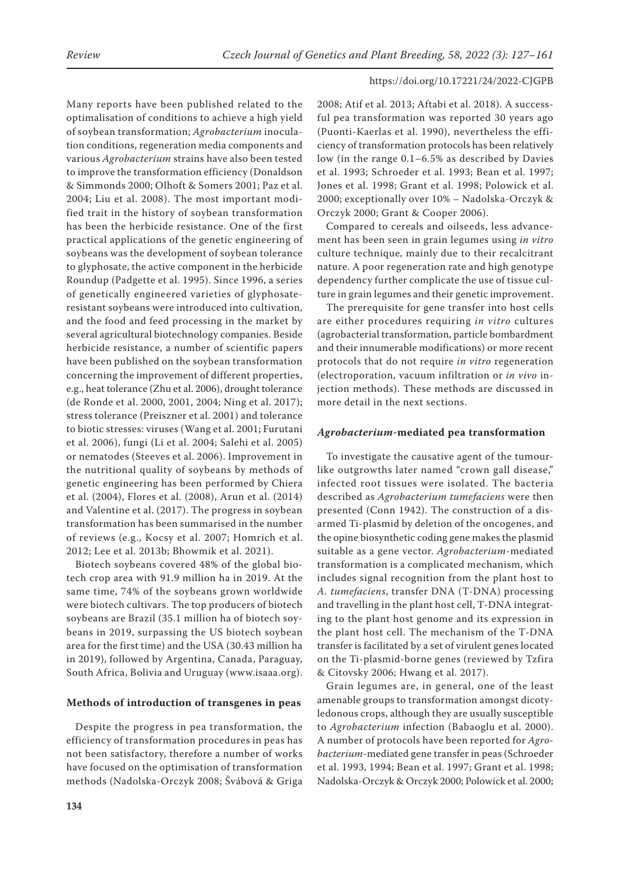Many reports have been published related to the optimalisation of conditions to achieve a high yield of soybean transformation; *Agrobacterium* inoculation conditions, regeneration media components and various *Agrobacterium* strains have also been tested to improve the transformation efficiency (Donaldson & Simmonds 2000; Olhoft & Somers 2001; Paz et al. 2004; Liu et al. 2008). The most important modified trait in the history of soybean transformation has been the herbicide resistance. One of the first practical applications of the genetic engineering of soybeans was the development of soybean tolerance to glyphosate, the active component in the herbicide Roundup (Padgette et al. 1995). Since 1996, a series of genetically engineered varieties of glyphosateresistant soybeans were introduced into cultivation, and the food and feed processing in the market by several agricultural biotechnology companies. Beside herbicide resistance, a number of scientific papers have been published on the soybean transformation concerning the improvement of different properties, e.g., heat tolerance (Zhu et al. 2006), drought tolerance (de Ronde et al. 2000, 2001, 2004; Ning et al. 2017); stress tolerance (Preiszner et al. 2001) and tolerance to biotic stresses: viruses (Wang et al. 2001; Furutani et al. 2006), fungi (Li et al. 2004; Salehi et al. 2005) or nematodes (Steeves et al. 2006). Improvement in the nutritional quality of soybeans by methods of genetic engineering has been performed by Chiera et al. (2004), Flores et al. (2008), Arun et al. (2014) and Valentine et al. (2017). The progress in soybean transformation has been summarised in the number of reviews (e.g., Kocsy et al. 2007; Homrich et al. 2012; Lee et al. 2013b; Bhowmik et al. 2021).

Biotech soybeans covered 48% of the global biotech crop area with 91.9 million ha in 2019. At the same time, 74% of the soybeans grown worldwide were biotech cultivars. The top producers of biotech soybeans are Brazil (35.1 million ha of biotech soybeans in 2019, surpassing the US biotech soybean area for the first time) and the USA (30.43 million ha in 2019), followed by Argentina, Canada, Paraguay, South Africa, Bolivia and Uruguay (www.isaaa.org).

### **Methods of introduction of transgenes in peas**

Despite the progress in pea transformation, the efficiency of transformation procedures in peas has not been satisfactory, therefore a number of works have focused on the optimisation of transformation methods (Nadolska-Orczyk 2008; Švábová & Griga 2008; Atif et al. 2013; Aftabi et al. 2018). A successful pea transformation was reported 30 years ago (Puonti-Kaerlas et al. 1990), nevertheless the efficiency of transformation protocols has been relatively low (in the range 0.1–6.5% as described by Davies et al. 1993; Schroeder et al. 1993; Bean et al. 1997; Jones et al. 1998; Grant et al. 1998; Polowick et al. 2000; exceptionally over 10% – Nadolska-Orczyk & Orczyk 2000; Grant & Cooper 2006).

Compared to cereals and oilseeds, less advancement has been seen in grain legumes using *in vitro* culture technique, mainly due to their recalcitrant nature. A poor regeneration rate and high genotype dependency further complicate the use of tissue culture in grain legumes and their genetic improvement.

The prerequisite for gene transfer into host cells are either procedures requiring *in vitro* cultures (agrobacterial transformation, particle bombardment and their innumerable modifications) or more recent protocols that do not require *in vitro* regeneration (electroporation, vacuum infiltration or *in vivo* injection methods). These methods are discussed in more detail in the next sections.

### *Agrobacterium-***mediated pea transformation**

To investigate the causative agent of the tumourlike outgrowths later named "crown gall disease," infected root tissues were isolated. The bacteria described as *Agrobacterium tumefaciens* were then presented (Conn 1942). The construction of a disarmed Ti-plasmid by deletion of the oncogenes, and the opine biosynthetic coding gene makes the plasmid suitable as a gene vector. *Agrobacterium*-mediated transformation is a complicated mechanism, which includes signal recognition from the plant host to *A. tumefaciens*, transfer DNA (T-DNA) processing and travelling in the plant host cell, T-DNA integrating to the plant host genome and its expression in the plant host cell. The mechanism of the T-DNA transfer is facilitated by a set of virulent genes located on the Ti-plasmid-borne genes (reviewed by Tzfira & Citovsky 2006; Hwang et al. 2017).

Grain legumes are, in general, one of the least amenable groups to transformation amongst dicotyledonous crops, although they are usually susceptible to *Agrobacterium* infection (Babaoglu et al. 2000). A number of protocols have been reported for *Agrobacterium*-mediated gene transfer in peas (Schroeder et al. 1993, 1994; Bean et al. 1997; Grant et al. 1998; Nadolska-Orczyk & Orczyk 2000; Polowick et al. 2000;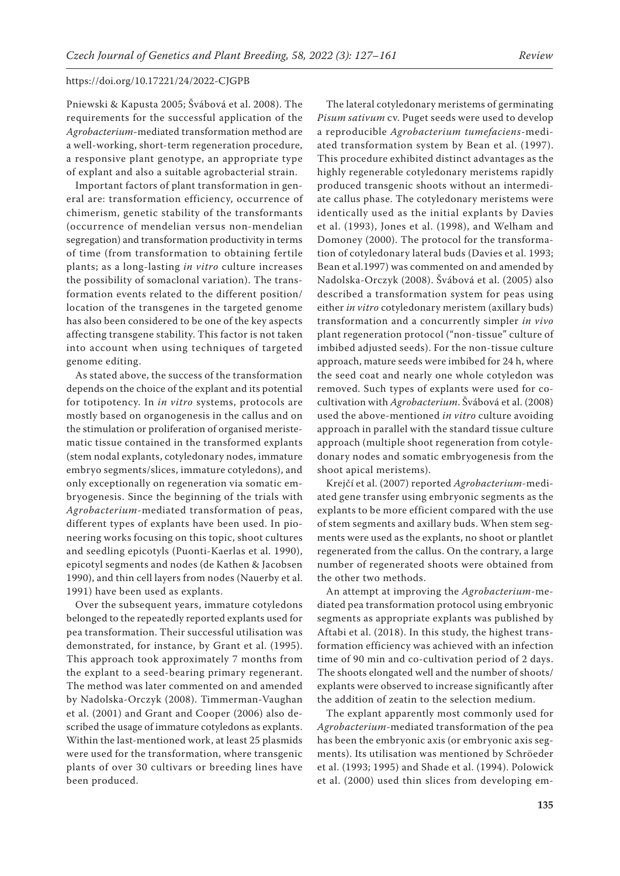Pniewski & Kapusta 2005; Švábová et al. 2008). The requirements for the successful application of the *Agrobacterium*-mediated transformation method are a well-working, short-term regeneration procedure, a responsive plant genotype, an appropriate type of explant and also a suitable agrobacterial strain.

Important factors of plant transformation in general are: transformation efficiency, occurrence of chimerism, genetic stability of the transformants (occurrence of mendelian versus non-mendelian segregation) and transformation productivity in terms of time (from transformation to obtaining fertile plants; as a long-lasting *in vitro* culture increases the possibility of somaclonal variation). The transformation events related to the different position/ location of the transgenes in the targeted genome has also been considered to be one of the key aspects affecting transgene stability. This factor is not taken into account when using techniques of targeted genome editing.

As stated above, the success of the transformation depends on the choice of the explant and its potential for totipotency. In *in vitro* systems, protocols are mostly based on organogenesis in the callus and on the stimulation or proliferation of organised meristematic tissue contained in the transformed explants (stem nodal explants, cotyledonary nodes, immature embryo segments/slices, immature cotyledons), and only exceptionally on regeneration via somatic embryogenesis. Since the beginning of the trials with *Agrobacterium*-mediated transformation of peas, different types of explants have been used. In pioneering works focusing on this topic, shoot cultures and seedling epicotyls (Puonti-Kaerlas et al. 1990), epicotyl segments and nodes (de Kathen & Jacobsen 1990), and thin cell layers from nodes (Nauerby et al. 1991) have been used as explants.

Over the subsequent years, immature cotyledons belonged to the repeatedly reported explants used for pea transformation. Their successful utilisation was demonstrated, for instance, by Grant et al. (1995). This approach took approximately 7 months from the explant to a seed-bearing primary regenerant. The method was later commented on and amended by Nadolska-Orczyk (2008). Timmerman-Vaughan et al. (2001) and Grant and Cooper (2006) also described the usage of immature cotyledons as explants. Within the last-mentioned work, at least 25 plasmids were used for the transformation, where transgenic plants of over 30 cultivars or breeding lines have been produced.

The lateral cotyledonary meristems of germinating *Pisum sativum* cv. Puget seeds were used to develop a reproducible *Agrobacterium tumefaciens*-mediated transformation system by Bean et al. (1997). This procedure exhibited distinct advantages as the highly regenerable cotyledonary meristems rapidly produced transgenic shoots without an intermediate callus phase. The cotyledonary meristems were identically used as the initial explants by Davies et al. (1993), Jones et al. (1998), and Welham and Domoney (2000). The protocol for the transformation of cotyledonary lateral buds (Davies et al. 1993; Bean et al.1997) was commented on and amended by Nadolska-Orczyk (2008). Švábová et al. (2005) also described a transformation system for peas using either *in vitro* cotyledonary meristem (axillary buds) transformation and a concurrently simpler *in vivo* plant regeneration protocol ("non-tissue" culture of imbibed adjusted seeds). For the non-tissue culture approach, mature seeds were imbibed for 24 h, where the seed coat and nearly one whole cotyledon was removed. Such types of explants were used for cocultivation with *Agrobacterium*. Švábová et al. (2008) used the above-mentioned *in vitro* culture avoiding approach in parallel with the standard tissue culture approach (multiple shoot regeneration from cotyledonary nodes and somatic embryogenesis from the shoot apical meristems).

Krejčí et al. (2007) reported *Agrobacterium*-mediated gene transfer using embryonic segments as the explants to be more efficient compared with the use of stem segments and axillary buds. When stem segments were used as the explants, no shoot or plantlet regenerated from the callus. On the contrary, a large number of regenerated shoots were obtained from the other two methods.

An attempt at improving the *Agrobacterium*-mediated pea transformation protocol using embryonic segments as appropriate explants was published by Aftabi et al. (2018). In this study, the highest transformation efficiency was achieved with an infection time of 90 min and co-cultivation period of 2 days. The shoots elongated well and the number of shoots/ explants were observed to increase significantly after the addition of zeatin to the selection medium.

The explant apparently most commonly used for *Agrobacterium*-mediated transformation of the pea has been the embryonic axis (or embryonic axis segments). Its utilisation was mentioned by Schröeder et al. (1993; 1995) and Shade et al. (1994). Polowick et al. (2000) used thin slices from developing em-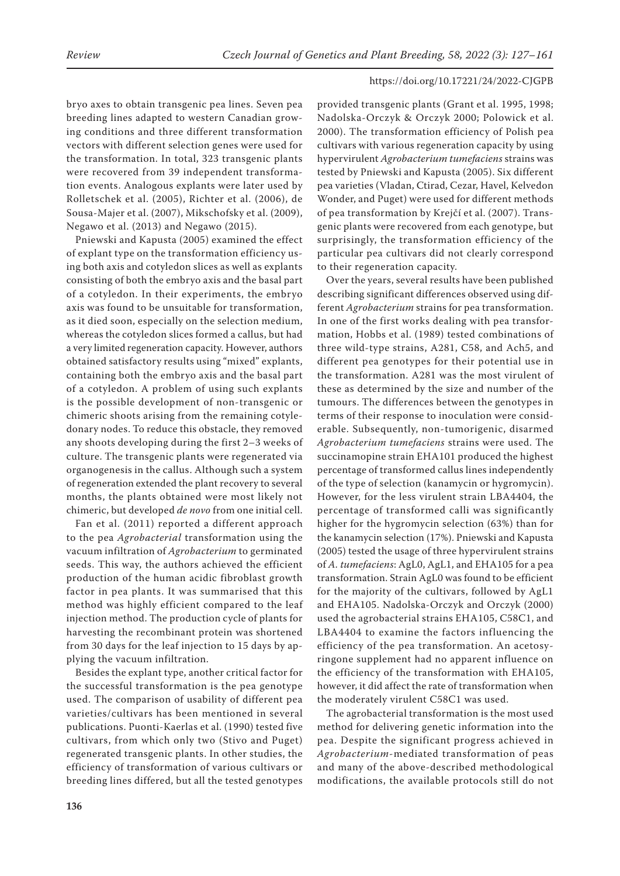bryo axes to obtain transgenic pea lines. Seven pea breeding lines adapted to western Canadian growing conditions and three different transformation vectors with different selection genes were used for the transformation. In total, 323 transgenic plants were recovered from 39 independent transformation events. Analogous explants were later used by Rolletschek et al. (2005), Richter et al. (2006), de Sousa-Majer et al. (2007), Mikschofsky et al. (2009), Negawo et al. (2013) and Negawo (2015).

Pniewski and Kapusta (2005) examined the effect of explant type on the transformation efficiency using both axis and cotyledon slices as well as explants consisting of both the embryo axis and the basal part of a cotyledon. In their experiments, the embryo axis was found to be unsuitable for transformation, as it died soon, especially on the selection medium, whereas the cotyledon slices formed a callus, but had a very limited regeneration capacity. However, authors obtained satisfactory results using "mixed" explants, containing both the embryo axis and the basal part of a cotyledon. A problem of using such explants is the possible development of non-transgenic or chimeric shoots arising from the remaining cotyledonary nodes. To reduce this obstacle, they removed any shoots developing during the first 2–3 weeks of culture. The transgenic plants were regenerated via organogenesis in the callus. Although such a system of regeneration extended the plant recovery to several months, the plants obtained were most likely not chimeric, but developed *de novo* from one initial cell.

Fan et al. (2011) reported a different approach to the pea *Agrobacterial* transformation using the vacuum infiltration of *Agrobacterium* to germinated seeds. This way, the authors achieved the efficient production of the human acidic fibroblast growth factor in pea plants. It was summarised that this method was highly efficient compared to the leaf injection method. The production cycle of plants for harvesting the recombinant protein was shortened from 30 days for the leaf injection to 15 days by applying the vacuum infiltration.

Besides the explant type, another critical factor for the successful transformation is the pea genotype used. The comparison of usability of different pea varieties/cultivars has been mentioned in several publications. Puonti-Kaerlas et al. (1990) tested five cultivars, from which only two (Stivo and Puget) regenerated transgenic plants. In other studies, the efficiency of transformation of various cultivars or breeding lines differed, but all the tested genotypes

provided transgenic plants (Grant et al. 1995, 1998; Nadolska-Orczyk & Orczyk 2000; Polowick et al. 2000). The transformation efficiency of Polish pea cultivars with various regeneration capacity by using hypervirulent *Agrobacterium tumefaciens* strains was tested by Pniewski and Kapusta (2005). Six different pea varieties (Vladan, Ctirad, Cezar, Havel, Kelvedon Wonder, and Puget) were used for different methods of pea transformation by Krejčí et al. (2007). Transgenic plants were recovered from each genotype, but surprisingly, the transformation efficiency of the particular pea cultivars did not clearly correspond to their regeneration capacity.

Over the years, several results have been published describing significant differences observed using different *Agrobacterium* strains for pea transformation. In one of the first works dealing with pea transformation, Hobbs et al. (1989) tested combinations of three wild-type strains, A281, C58, and Ach5, and different pea genotypes for their potential use in the transformation. A281 was the most virulent of these as determined by the size and number of the tumours. The differences between the genotypes in terms of their response to inoculation were considerable. Subsequently, non-tumorigenic, disarmed *Agrobacterium tumefaciens* strains were used. The succinamopine strain EHA101 produced the highest percentage of transformed callus lines independently of the type of selection (kanamycin or hygromycin). However, for the less virulent strain LBA4404, the percentage of transformed calli was significantly higher for the hygromycin selection (63%) than for the kanamycin selection (17%). Pniewski and Kapusta (2005) tested the usage of three hypervirulent strains of *A. tumefaciens*: AgL0, AgL1, and EHA105 for a pea transformation. Strain AgL0 was found to be efficient for the majority of the cultivars, followed by AgL1 and EHA105. Nadolska-Orczyk and Orczyk (2000) used the agrobacterial strains EHA105, C58C1, and LBA4404 to examine the factors influencing the efficiency of the pea transformation. An acetosyringone supplement had no apparent influence on the efficiency of the transformation with EHA105, however, it did affect the rate of transformation when the moderately virulent C58C1 was used.

The agrobacterial transformation is the most used method for delivering genetic information into the pea. Despite the significant progress achieved in *Agrobacterium*-mediated transformation of peas and many of the above-described methodological modifications, the available protocols still do not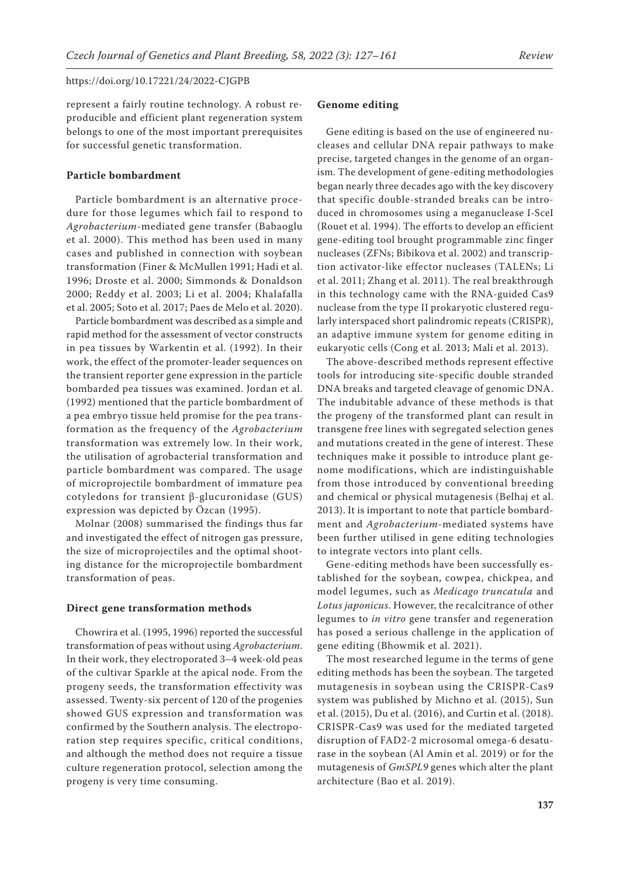represent a fairly routine technology. A robust reproducible and efficient plant regeneration system belongs to one of the most important prerequisites for successful genetic transformation.

# **Particle bombardment**

Particle bombardment is an alternative procedure for those legumes which fail to respond to *Agrobacterium*-mediated gene transfer (Babaoglu et al. 2000). This method has been used in many cases and published in connection with soybean transformation (Finer & McMullen 1991; Hadi et al. 1996; Droste et al. 2000; Simmonds & Donaldson 2000; Reddy et al. 2003; Li et al. 2004; Khalafalla et al. 2005; Soto et al. 2017; Paes de Melo et al. 2020).

Particle bombardment was described as a simple and rapid method for the assessment of vector constructs in pea tissues by Warkentin et al. (1992). In their work, the effect of the promoter-leader sequences on the transient reporter gene expression in the particle bombarded pea tissues was examined. Jordan et al. (1992) mentioned that the particle bombardment of a pea embryo tissue held promise for the pea transformation as the frequency of the *Agrobacterium*  transformation was extremely low. In their work, the utilisation of agrobacterial transformation and particle bombardment was compared. The usage of microprojectile bombardment of immature pea cotyledons for transient β-glucuronidase (GUS) expression was depicted by Özcan (1995).

Molnar (2008) summarised the findings thus far and investigated the effect of nitrogen gas pressure, the size of microprojectiles and the optimal shooting distance for the microprojectile bombardment transformation of peas.

# **Direct gene transformation methods**

Chowrira et al. (1995, 1996) reported the successful transformation of peas without using *Agrobacterium*. In their work, they electroporated 3–4 week-old peas of the cultivar Sparkle at the apical node. From the progeny seeds, the transformation effectivity was assessed. Twenty-six percent of 120 of the progenies showed GUS expression and transformation was confirmed by the Southern analysis. The electroporation step requires specific, critical conditions, and although the method does not require a tissue culture regeneration protocol, selection among the progeny is very time consuming.

### **Genome editing**

Gene editing is based on the use of engineered nucleases and cellular DNA repair pathways to make precise, targeted changes in the genome of an organism. The development of gene-editing methodologies began nearly three decades ago with the key discovery that specific double-stranded breaks can be introduced in chromosomes using a meganuclease I-SceI (Rouet et al. 1994). The efforts to develop an efficient gene-editing tool brought programmable zinc finger nucleases (ZFNs; Bibikova et al. 2002) and transcription activator-like effector nucleases (TALENs; Li et al. 2011; Zhang et al. 2011). The real breakthrough in this technology came with the RNA-guided Cas9 nuclease from the type II prokaryotic clustered regularly interspaced short palindromic repeats (CRISPR), an adaptive immune system for genome editing in eukaryotic cells (Cong et al. 2013; Mali et al. 2013).

The above-described methods represent effective tools for introducing site-specific double stranded DNA breaks and targeted cleavage of genomic DNA. The indubitable advance of these methods is that the progeny of the transformed plant can result in transgene free lines with segregated selection genes and mutations created in the gene of interest. These techniques make it possible to introduce plant genome modifications, which are indistinguishable from those introduced by conventional breeding and chemical or physical mutagenesis (Belhaj et al. 2013). It is important to note that particle bombardment and *Agrobacterium*-mediated systems have been further utilised in gene editing technologies to integrate vectors into plant cells.

Gene-editing methods have been successfully established for the soybean, cowpea, chickpea, and model legumes, such as *Medicago truncatula* and *Lotus japonicus*. However, the recalcitrance of other legumes to *in vitro* gene transfer and regeneration has posed a serious challenge in the application of gene editing (Bhowmik et al. 2021).

The most researched legume in the terms of gene editing methods has been the soybean. The targeted mutagenesis in soybean using the CRISPR-Cas9 system was published by Michno et al. (2015), Sun et al. (2015), Du et al. (2016), and Curtin et al. (2018). CRISPR-Cas9 was used for the mediated targeted disruption of FAD2-2 microsomal omega-6 desaturase in the soybean (Al Amin et al. 2019) or for the mutagenesis of *GmSPL9* genes which alter the plant architecture (Bao et al. 2019).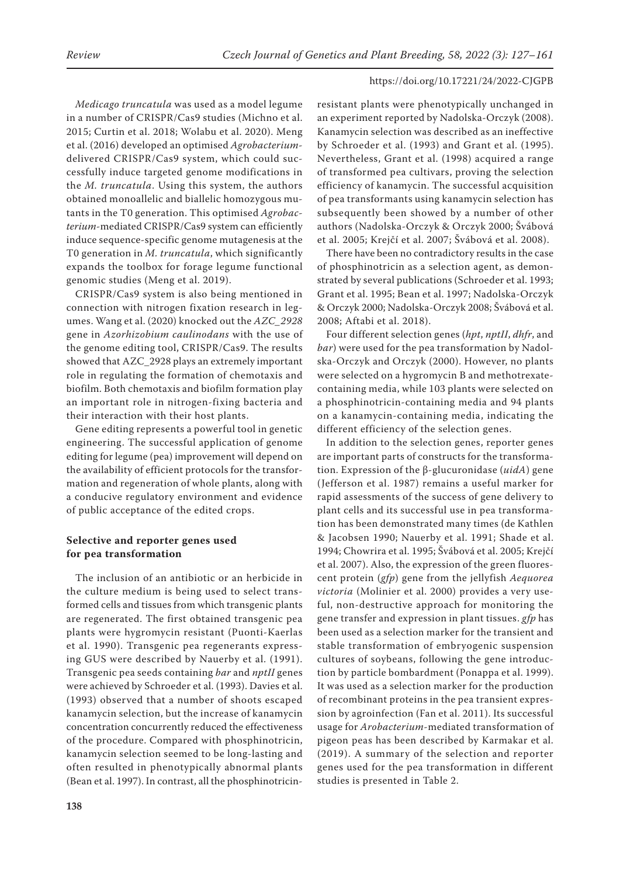*Medicago truncatula* was used as a model legume in a number of CRISPR/Cas9 studies (Michno et al. 2015; Curtin et al. 2018; Wolabu et al. 2020). Meng et al. (2016) developed an optimised *Agrobacterium*delivered CRISPR/Cas9 system, which could successfully induce targeted genome modifications in the *M. truncatula*. Using this system, the authors obtained monoallelic and biallelic homozygous mutants in the T0 generation. This optimised *Agrobacterium*‐mediated CRISPR/Cas9 system can efficiently induce sequence‐specific genome mutagenesis at the T0 generation in *M. truncatula*, which significantly expands the toolbox for forage legume functional genomic studies (Meng et al. 2019).

CRISPR/Cas9 system is also being mentioned in connection with nitrogen fixation research in legumes. Wang et al. (2020) knocked out the *AZC\_2928* gene in *Azorhizobium caulinodans* with the use of the genome editing tool, CRISPR/Cas9. The results showed that AZC\_2928 plays an extremely important role in regulating the formation of chemotaxis and biofilm. Both chemotaxis and biofilm formation play an important role in nitrogen-fixing bacteria and their interaction with their host plants.

Gene editing represents a powerful tool in genetic engineering. The successful application of genome editing for legume (pea) improvement will depend on the availability of efficient protocols for the transformation and regeneration of whole plants, along with a conducive regulatory environment and evidence of public acceptance of the edited crops.

# **Selective and reporter genes used for pea transformation**

The inclusion of an antibiotic or an herbicide in the culture medium is being used to select transformed cells and tissues from which transgenic plants are regenerated. The first obtained transgenic pea plants were hygromycin resistant (Puonti-Kaerlas et al. 1990). Transgenic pea regenerants expressing GUS were described by Nauerby et al. (1991). Transgenic pea seeds containing *bar* and *nptII* genes were achieved by Schroeder et al. (1993). Davies et al. (1993) observed that a number of shoots escaped kanamycin selection, but the increase of kanamycin concentration concurrently reduced the effectiveness of the procedure. Compared with phosphinotricin, kanamycin selection seemed to be long-lasting and often resulted in phenotypically abnormal plants (Bean et al. 1997). In contrast, all the phosphinotricin-

resistant plants were phenotypically unchanged in an experiment reported by Nadolska-Orczyk (2008). Kanamycin selection was described as an ineffective by Schroeder et al. (1993) and Grant et al. (1995). Nevertheless, Grant et al. (1998) acquired a range of transformed pea cultivars, proving the selection efficiency of kanamycin. The successful acquisition of pea transformants using kanamycin selection has subsequently been showed by a number of other authors (Nadolska-Orczyk & Orczyk 2000; Švábová et al. 2005; Krejčí et al. 2007; Švábová et al. 2008).

There have been no contradictory results in the case of phosphinotricin as a selection agent, as demonstrated by several publications (Schroeder et al. 1993; Grant et al. 1995; Bean et al. 1997; Nadolska-Orczyk & Orczyk 2000; Nadolska-Orczyk 2008; Švábová et al. 2008; Aftabi et al. 2018).

Four different selection genes (*hpt*, *nptII*, *dhfr*, and *bar*) were used for the pea transformation by Nadolska-Orczyk and Orczyk (2000). However, no plants were selected on a hygromycin B and methotrexatecontaining media, while 103 plants were selected on a phosphinotricin-containing media and 94 plants on a kanamycin-containing media, indicating the different efficiency of the selection genes.

In addition to the selection genes, reporter genes are important parts of constructs for the transformation. Expression of the β-glucuronidase (*uidA*) gene (Jefferson et al. 1987) remains a useful marker for rapid assessments of the success of gene delivery to plant cells and its successful use in pea transformation has been demonstrated many times (de Kathlen & Jacobsen 1990; Nauerby et al. 1991; Shade et al. 1994; Chowrira et al. 1995; Švábová et al. 2005; Krejčí et al. 2007). Also, the expression of the green fluorescent protein (*gfp*) gene from the jellyfish *Aequorea victoria* (Molinier et al. 2000) provides a very useful, non-destructive approach for monitoring the gene transfer and expression in plant tissues. *gfp* has been used as a selection marker for the transient and stable transformation of embryogenic suspension cultures of soybeans, following the gene introduction by particle bombardment (Ponappa et al. 1999). It was used as a selection marker for the production of recombinant proteins in the pea transient expression by agroinfection (Fan et al. 2011). Its successful usage for *Arobacterium*-mediated transformation of pigeon peas has been described by Karmakar et al. (2019). A summary of the selection and reporter genes used for the pea transformation in different studies is presented in Table 2.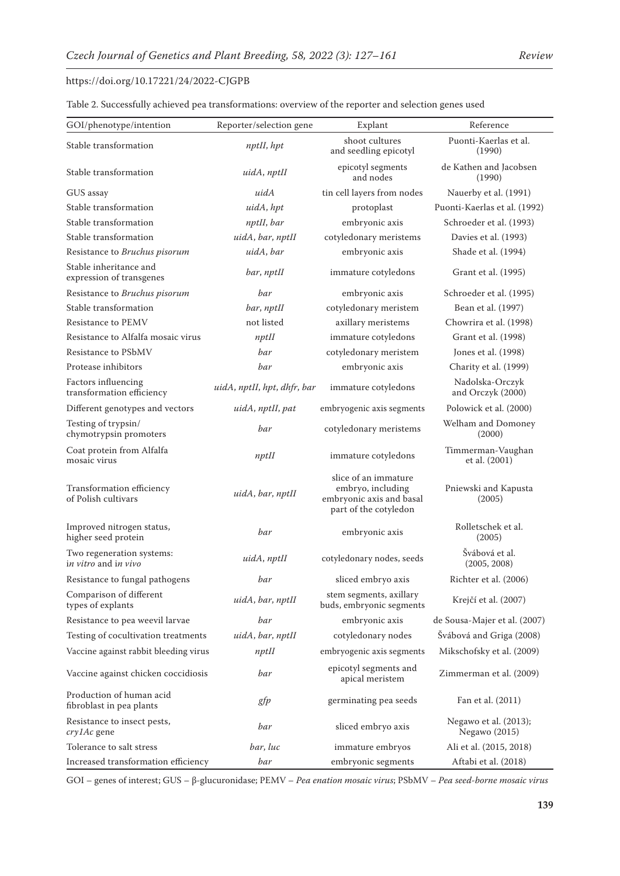| Table 2. Successfully achieved pea transformations: overview of the reporter and selection genes used |  |
|-------------------------------------------------------------------------------------------------------|--|
|-------------------------------------------------------------------------------------------------------|--|

| GOI/phenotype/intention                                           | Reporter/selection gene     | Explant                                                                                        | Reference                                 |
|-------------------------------------------------------------------|-----------------------------|------------------------------------------------------------------------------------------------|-------------------------------------------|
| Stable transformation                                             | nptII, hpt                  | shoot cultures<br>and seedling epicotyl                                                        | Puonti-Kaerlas et al.<br>(1990)           |
| Stable transformation                                             | uidA, nptII                 | epicotyl segments<br>and nodes                                                                 | de Kathen and Jacobsen<br>(1990)          |
| GUS assay                                                         | uidA                        | tin cell layers from nodes                                                                     | Nauerby et al. (1991)                     |
| Stable transformation                                             | uidA, hpt                   | protoplast                                                                                     | Puonti-Kaerlas et al. (1992)              |
| Stable transformation                                             | nptII, bar                  | embryonic axis                                                                                 | Schroeder et al. (1993)                   |
| Stable transformation                                             | uidA, bar, nptII            | cotyledonary meristems                                                                         | Davies et al. (1993)                      |
| Resistance to Bruchus pisorum                                     | uidA, bar                   | embryonic axis                                                                                 | Shade et al. (1994)                       |
| Stable inheritance and<br>expression of transgenes                | bar, nptII                  | immature cotyledons                                                                            | Grant et al. (1995)                       |
| Resistance to Bruchus pisorum                                     | bar                         | embryonic axis                                                                                 | Schroeder et al. (1995)                   |
| Stable transformation                                             | bar, nptII                  | cotyledonary meristem                                                                          | Bean et al. (1997)                        |
| Resistance to PEMV                                                | not listed                  | axillary meristems                                                                             | Chowrira et al. (1998)                    |
| Resistance to Alfalfa mosaic virus                                | $npt$ II                    | immature cotyledons                                                                            | Grant et al. (1998)                       |
| Resistance to PSbMV                                               | bar                         | cotyledonary meristem                                                                          | Jones et al. (1998)                       |
| Protease inhibitors                                               | bar                         | embryonic axis                                                                                 | Charity et al. (1999)                     |
| Factors influencing<br>transformation efficiency                  | uidA, nptII, hpt, dhfr, bar | immature cotyledons                                                                            | Nadolska-Orczyk<br>and Orczyk (2000)      |
| Different genotypes and vectors                                   | uidA, nptII, pat            | embryogenic axis segments                                                                      | Polowick et al. (2000)                    |
| Testing of trypsin/<br>chymotrypsin promoters                     | bar                         | cotyledonary meristems                                                                         | Welham and Domoney<br>(2000)              |
| Coat protein from Alfalfa<br>mosaic virus                         | $npt$ II                    | immature cotyledons                                                                            | Timmerman-Vaughan<br>et al. (2001)        |
| Transformation efficiency<br>of Polish cultivars                  | uidA, bar, nptII            | slice of an immature<br>embryo, including<br>embryonic axis and basal<br>part of the cotyledon | Pniewski and Kapusta<br>(2005)            |
| Improved nitrogen status,<br>higher seed protein                  | bar                         | embryonic axis                                                                                 | Rolletschek et al.<br>(2005)              |
| Two regeneration systems:<br>i <i>n vitro</i> and i <i>n vivo</i> | uidA, nptII                 | cotyledonary nodes, seeds                                                                      | Švábová et al.<br>(2005, 2008)            |
| Resistance to fungal pathogens                                    | bar                         | sliced embryo axis                                                                             | Richter et al. (2006)                     |
| Comparison of different<br>types of explants                      | uidA, bar, nptII            | stem segments, axillary<br>buds, embryonic segments                                            | Krejčí et al. (2007)                      |
| Resistance to pea weevil larvae                                   | bar                         | embryonic axis                                                                                 | de Sousa-Majer et al. (2007)              |
| Testing of cocultivation treatments                               | uidA, bar, nptII            | cotyledonary nodes                                                                             | Švábová and Griga (2008)                  |
| Vaccine against rabbit bleeding virus                             | $npt$ II                    | embryogenic axis segments                                                                      | Mikschofsky et al. (2009)                 |
| Vaccine against chicken coccidiosis                               | bar                         | epicotyl segments and<br>apical meristem                                                       | Zimmerman et al. (2009)                   |
| Production of human acid<br>fibroblast in pea plants              | gfp                         | germinating pea seeds                                                                          | Fan et al. (2011)                         |
| Resistance to insect pests,<br>cry1Ac gene                        | bar                         | sliced embryo axis                                                                             | Negawo et al. $(2013)$ ;<br>Negawo (2015) |
| Tolerance to salt stress                                          | bar, luc                    | immature embryos                                                                               | Ali et al. (2015, 2018)                   |
| Increased transformation efficiency                               | bar                         | embryonic segments                                                                             | Aftabi et al. (2018)                      |

GOI – genes of interest; GUS – β-glucuronidase; PEMV – *Pea enation mosaic virus*; PSbMV – *Pea seed-borne mosaic virus*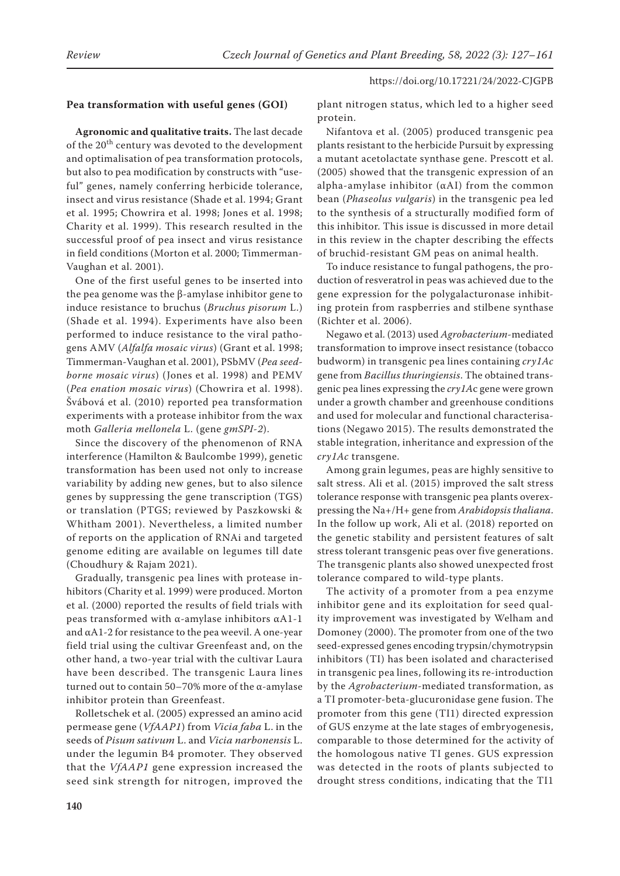# **Pea transformation with useful genes (GOI)**

**Agronomic and qualitative traits.** The last decade of the 20<sup>th</sup> century was devoted to the development and optimalisation of pea transformation protocols, but also to pea modification by constructs with "useful" genes, namely conferring herbicide tolerance, insect and virus resistance (Shade et al. 1994; Grant et al. 1995; Chowrira et al. 1998; Jones et al. 1998; Charity et al. 1999). This research resulted in the successful proof of pea insect and virus resistance in field conditions (Morton et al. 2000; Timmerman-Vaughan et al. 2001).

One of the first useful genes to be inserted into the pea genome was the β-amylase inhibitor gene to induce resistance to bruchus (*Bruchus pisorum* L.) (Shade et al. 1994). Experiments have also been performed to induce resistance to the viral pathogens AMV (*Alfalfa mosaic virus*) (Grant et al. 1998; Timmerman-Vaughan et al. 2001), PSbMV (*Pea seedborne mosaic virus*) (Jones et al. 1998) and PEMV (*Pea enation mosaic virus*) (Chowrira et al. 1998). Švábová et al. (2010) reported pea transformation experiments with a protease inhibitor from the wax moth *Galleria mellonela* L. (gene *gmSPI-2*).

Since the discovery of the phenomenon of RNA interference (Hamilton & Baulcombe 1999), genetic transformation has been used not only to increase variability by adding new genes, but to also silence genes by suppressing the gene transcription (TGS) or translation (PTGS; reviewed by Paszkowski & Whitham 2001). Nevertheless, a limited number of reports on the application of RNAi and targeted genome editing are available on legumes till date (Choudhury & Rajam 2021).

Gradually, transgenic pea lines with protease inhibitors (Charity et al. 1999) were produced. Morton et al. (2000) reported the results of field trials with peas transformed with α-amylase inhibitors αA1-1 and  $\alpha$ A1-2 for resistance to the pea weevil. A one-year field trial using the cultivar Greenfeast and, on the other hand, a two-year trial with the cultivar Laura have been described. The transgenic Laura lines turned out to contain 50–70% more of the α-amylase inhibitor protein than Greenfeast.

Rolletschek et al. (2005) expressed an amino acid permease gene (*VfAAP1*) from *Vicia faba* L. in the seeds of *Pisum sativum* L. and *Vicia narbonensis* L. under the legumin B4 promoter. They observed that the *VfAAP1* gene expression increased the seed sink strength for nitrogen, improved the plant nitrogen status, which led to a higher seed protein.

Nifantova et al. (2005) produced transgenic pea plants resistant to the herbicide Pursuit by expressing a mutant acetolactate synthase gene. Prescott et al. (2005) showed that the transgenic expression of an alpha-amylase inhibitor (αAI) from the common bean (*Phaseolus vulgaris*) in the transgenic pea led to the synthesis of a structurally modified form of this inhibitor. This issue is discussed in more detail in this review in the chapter describing the effects of bruchid-resistant GM peas on animal health.

To induce resistance to fungal pathogens, the production of resveratrol in peas was achieved due to the gene expression for the polygalacturonase inhibiting protein from raspberries and stilbene synthase (Richter et al. 2006).

Negawo et al. (2013) used *Agrobacterium*-mediated transformation to improve insect resistance (tobacco budworm) in transgenic pea lines containing *cry1Ac* gene from *Bacillus thuringiensis*. The obtained transgenic pea lines expressing the *cry1A*c gene were grown under a growth chamber and greenhouse conditions and used for molecular and functional characterisations (Negawo 2015). The results demonstrated the stable integration, inheritance and expression of the *cry1Ac* transgene.

Among grain legumes, peas are highly sensitive to salt stress. Ali et al. (2015) improved the salt stress tolerance response with transgenic pea plants overexpressing the Na+/H+ gene from *Arabidopsis thaliana*. In the follow up work, Ali et al. (2018) reported on the genetic stability and persistent features of salt stress tolerant transgenic peas over five generations. The transgenic plants also showed unexpected frost tolerance compared to wild-type plants.

The activity of a promoter from a pea enzyme inhibitor gene and its exploitation for seed quality improvement was investigated by Welham and Domoney (2000). The promoter from one of the two seed-expressed genes encoding trypsin/chymotrypsin inhibitors (TI) has been isolated and characterised in transgenic pea lines, following its re-introduction by the *Agrobacterium*-mediated transformation, as a TI promoter-beta-glucuronidase gene fusion. The promoter from this gene (TI1) directed expression of GUS enzyme at the late stages of embryogenesis, comparable to those determined for the activity of the homologous native TI genes. GUS expression was detected in the roots of plants subjected to drought stress conditions, indicating that the TI1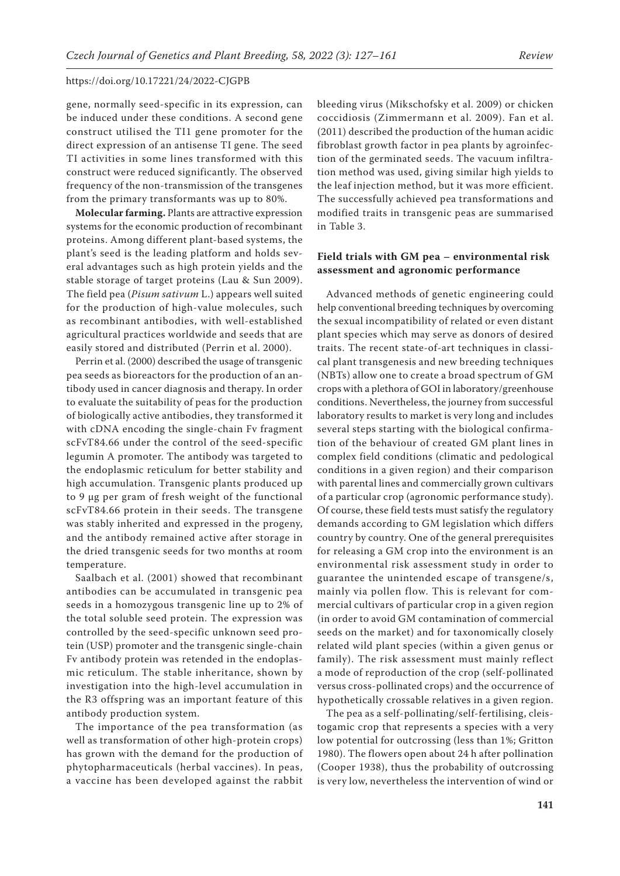gene, normally seed-specific in its expression, can be induced under these conditions. A second gene construct utilised the TI1 gene promoter for the direct expression of an antisense TI gene. The seed TI activities in some lines transformed with this construct were reduced significantly. The observed frequency of the non-transmission of the transgenes from the primary transformants was up to 80%.

**Molecular farming.** Plants are attractive expression systems for the economic production of recombinant proteins. Among different plant-based systems, the plant's seed is the leading platform and holds several advantages such as high protein yields and the stable storage of target proteins (Lau & Sun 2009). The field pea (*Pisum sativum* L.) appears well suited for the production of high-value molecules, such as recombinant antibodies, with well-established agricultural practices worldwide and seeds that are easily stored and distributed (Perrin et al. 2000).

Perrin et al. (2000) described the usage of transgenic pea seeds as bioreactors for the production of an antibody used in cancer diagnosis and therapy. In order to evaluate the suitability of peas for the production of biologically active antibodies, they transformed it with cDNA encoding the single-chain Fv fragment scFvT84.66 under the control of the seed-specific legumin A promoter. The antibody was targeted to the endoplasmic reticulum for better stability and high accumulation. Transgenic plants produced up to 9 μg per gram of fresh weight of the functional scFvT84.66 protein in their seeds. The transgene was stably inherited and expressed in the progeny, and the antibody remained active after storage in the dried transgenic seeds for two months at room temperature.

Saalbach et al. (2001) showed that recombinant antibodies can be accumulated in transgenic pea seeds in a homozygous transgenic line up to 2% of the total soluble seed protein. The expression was controlled by the seed-specific unknown seed protein (USP) promoter and the transgenic single-chain Fv antibody protein was retended in the endoplasmic reticulum. The stable inheritance, shown by investigation into the high-level accumulation in the R3 offspring was an important feature of this antibody production system.

The importance of the pea transformation (as well as transformation of other high-protein crops) has grown with the demand for the production of phytopharmaceuticals (herbal vaccines). In peas, a vaccine has been developed against the rabbit

bleeding virus (Mikschofsky et al. 2009) or chicken coccidiosis (Zimmermann et al. 2009). Fan et al. (2011) described the production of the human acidic fibroblast growth factor in pea plants by agroinfection of the germinated seeds. The vacuum infiltration method was used, giving similar high yields to the leaf injection method, but it was more efficient. The successfully achieved pea transformations and modified traits in transgenic peas are summarised in Table 3.

# **Field trials with GM pea – environmental risk assessment and agronomic performance**

Advanced methods of genetic engineering could help conventional breeding techniques by overcoming the sexual incompatibility of related or even distant plant species which may serve as donors of desired traits. The recent state-of-art techniques in classical plant transgenesis and new breeding techniques (NBTs) allow one to create a broad spectrum of GM crops with a plethora of GOI in laboratory/greenhouse conditions. Nevertheless, the journey from successful laboratory results to market is very long and includes several steps starting with the biological confirmation of the behaviour of created GM plant lines in complex field conditions (climatic and pedological conditions in a given region) and their comparison with parental lines and commercially grown cultivars of a particular crop (agronomic performance study). Of course, these field tests must satisfy the regulatory demands according to GM legislation which differs country by country. One of the general prerequisites for releasing a GM crop into the environment is an environmental risk assessment study in order to guarantee the unintended escape of transgene/s, mainly via pollen flow. This is relevant for commercial cultivars of particular crop in a given region (in order to avoid GM contamination of commercial seeds on the market) and for taxonomically closely related wild plant species (within a given genus or family). The risk assessment must mainly reflect a mode of reproduction of the crop (self-pollinated versus cross-pollinated crops) and the occurrence of hypothetically crossable relatives in a given region.

The pea as a self-pollinating/self-fertilising, cleistogamic crop that represents a species with a very low potential for outcrossing (less than 1%; Gritton 1980). The flowers open about 24 h after pollination (Cooper 1938), thus the probability of outcrossing is very low, nevertheless the intervention of wind or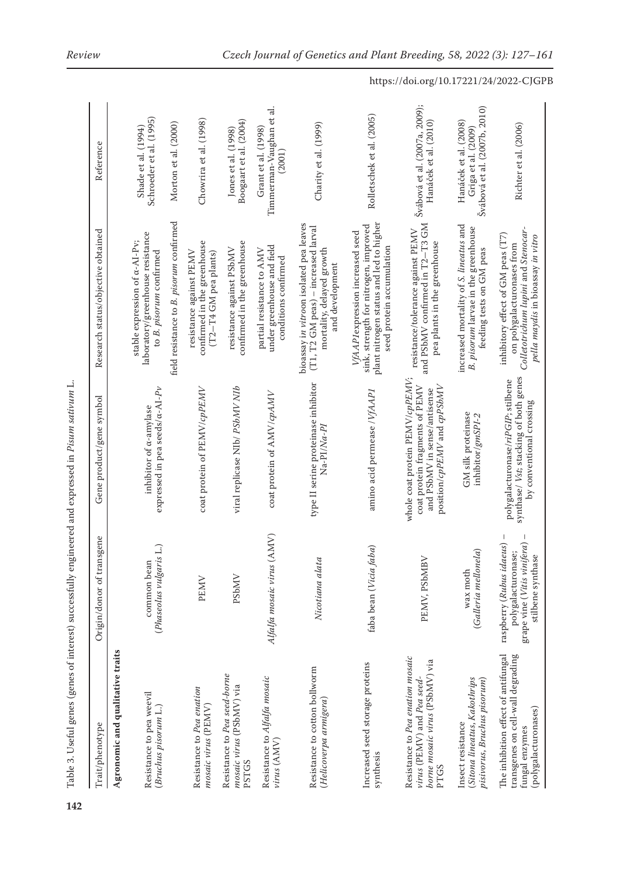| Trait/phenotype                                                                                                    | Origin/donor of transgene                                                                                                            | Gene product/gene symbol                                                                                                         | Research status/objective obtained                                                                                                               | Reference                                                                    |
|--------------------------------------------------------------------------------------------------------------------|--------------------------------------------------------------------------------------------------------------------------------------|----------------------------------------------------------------------------------------------------------------------------------|--------------------------------------------------------------------------------------------------------------------------------------------------|------------------------------------------------------------------------------|
| Agronomic and qualitative traits                                                                                   |                                                                                                                                      |                                                                                                                                  |                                                                                                                                                  |                                                                              |
| Resistance to pea weevil<br>(Bruchus pisorum L.)                                                                   | $\Box$<br>common bean<br>(Phaseolus vulgaris                                                                                         | expressed in pea seeds/a-AI-Pv<br>inhibitor of a-amylase                                                                         | laboratory/greenhouse resistance<br>stable expression of $\alpha$ -AI-Pv;<br>to B. pisorum confirmed                                             | Schroeder et al. (1995)<br>Shade et al. (1994)                               |
|                                                                                                                    |                                                                                                                                      |                                                                                                                                  | field resistance to B. pisorum confirmed                                                                                                         | Morton et al. (2000)                                                         |
| Resistance to Pea enation<br>mosaic virus (PEMV)                                                                   | PEMV                                                                                                                                 | coat protein of PEMV/cpPEMV                                                                                                      | confirmed in the greenhouse<br>resistance against PEMV<br>(T2-T4 GM pea plants)                                                                  | Chowrira et al. (1998)                                                       |
| Resistance to Pea seed-borne<br>mosaic virus (PSbMV) via<br><b>PSTGS</b>                                           | PSbMV                                                                                                                                | viral replicase NIb/ PSbMV NIb                                                                                                   | confirmed in the greenhouse<br>resistance against PSbMV                                                                                          | Boogaart et al. (2004)<br>Jones et al. (1998)                                |
| Resistance to Alfalfa mosaic<br>virus (AMV)                                                                        | Alfalfa mosaic virus (AMV)                                                                                                           | coat protein of AMV/cpAMV                                                                                                        | under greenhouse and field<br>partial resistance to AMV<br>conditions confirmed                                                                  | Timmerman-Vaughan et al.<br>Grant et al. (1998)<br>(2001)                    |
| Resistance to cotton bollworm<br>(Helicoverpa armigera)                                                            | Nicotiana alata                                                                                                                      | type II serine proteinase inhibitor<br>Na-PI/Na-Pl                                                                               | bioassay in vitroon isolated pea leaves<br>(T1, T2 GM peas) - increased larval<br>mortality, delayed growth<br>and development                   | Charity et al. (1999)                                                        |
| Increased seed storage proteins<br>synthesis                                                                       | faba bean (Vicia faba)                                                                                                               | amino acid permease / VfAAP1                                                                                                     | plant nitrogen status and led to higher<br>sink, strength for nitrogen, improved<br>VfAAP1expression increased seed<br>seed protein accumulation | Rolletschek et al. (2005)                                                    |
| Resistance to Pea enation mosaic<br>borne mosaic virus (PSbMV) via<br>virus (PEMV) and Pea seed-<br>PTGS           | PEMV, PSbMBV                                                                                                                         | whole coat protein PEMV/cpPEMV;<br>coat protein fragments of PEMV<br>position/cpPEMV and cpPSbMV<br>and PSbMV in sense/antisense | and PSbMV confirmed in T2-T3 GM<br>resistance/tolerance against PEMV<br>pea plants in the greenhouse                                             | Švábová et al. (2007a, 2009);<br>Hanáček et al. (2010)                       |
| (Sitona lineatus, Kakothrips<br>pisivorus, Bruchus pisorum)<br>Insect resistance                                   | (Galleria mellonela)<br>wax moth                                                                                                     | GM silk proteinase<br>inhibitor/gmSPI-2                                                                                          | increased mortality of S. lineatus and<br>B. pisorum larvae in the greenhouse<br>feeding tests on GM peas                                        | Švábová et al. (2007b, 2010)<br>Hanáček et al. (2008)<br>Griga et al. (2009) |
| The inhibition effect of antifungal<br>transgenes on cell-wall degrading<br>(polygalacturonases)<br>fungal enzymes | $\overline{1}$<br>$\mathbf{I}$<br>grape vine (Vitis vinifera)<br>raspberry (Rubus idaeus)<br>polygalacturonase;<br>stilbene synthase | synthase/ Vst; stacking of both genes<br>polygalacturonase/riPGIP; stilbene<br>by conventional crossing                          | Colletotrichum lupini and Stenocar-<br>inhibitory effect of GM peas (T7)<br>pella maydis in bioassay in vitro<br>on polygalacturonases from      | Richter et al. (2006)                                                        |

Table 3. Useful genes (genes of interest) successfully engineered and expressed in Pisum sativum L. Table 3. Useful genes (genes of interest) successfully engineered and expressed in *Pisum sativum* L.

https://doi.org/10.17221/24/2022-CJGPB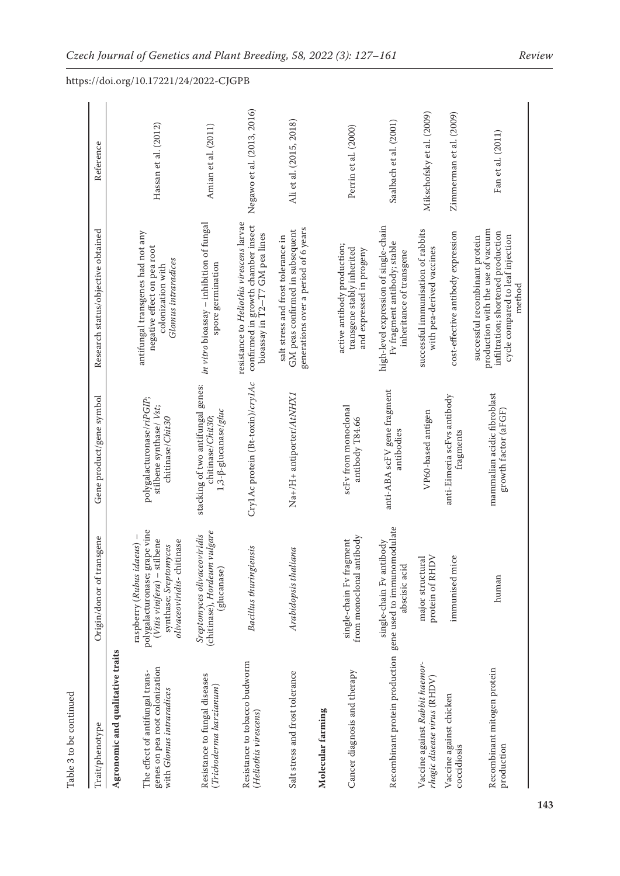| Trait/phenotype                                                                               | Origin/donor of transgene                                                                                                                             | Gene product/gene symbol                                                                    | Research status/objective obtained                                                                                                                      | Reference                  |
|-----------------------------------------------------------------------------------------------|-------------------------------------------------------------------------------------------------------------------------------------------------------|---------------------------------------------------------------------------------------------|---------------------------------------------------------------------------------------------------------------------------------------------------------|----------------------------|
| Agronomic and qualitative traits                                                              |                                                                                                                                                       |                                                                                             |                                                                                                                                                         |                            |
| genes on pea root colonization<br>The effect of antifungal trans-<br>with Glomus intraradices | polygalacturonase; grape vine<br>raspberry (Rubus idaeus) -<br>$(Vitis \, vinifera) - stillene$<br>olivaceoviridis-chitinase<br>synthase; Sreptomyces | polygalacturonase/riPGIP;<br>stilbene synthase/ Vst;<br>chitinase/Chit30                    | antifungal transgenes had not any<br>negative effect on pea root<br>Glomus intraradices<br>colonization with                                            | Hassan et al. (2012)       |
| Resistance to fungal diseases<br>(Trichoderma harzianum)                                      | (chitinase), Hordeum vulgare<br>Sreptomyces olivaceoviridis<br>(glucanase)                                                                            | stacking of two antifungal genes:<br>1,3- <sup>8</sup> -glucanase/gluc<br>chitinase/Chit30; | in vitro bioassay - inhibition of fungal<br>spore germination                                                                                           | Amian et al. (2011)        |
| Resistance to tobacco budworm<br>(Heliothis virescens)                                        | <b>Bacillus</b> thuringiensis                                                                                                                         | Cry1Ac protein (Bt-toxin)/cry1Ac                                                            | resistance to Heliothis virescens larvae<br>confirmed in growth chamber insect<br>bioassay in T2-T7 GM pea lines                                        | Negawo et al. (2013, 2016) |
| Salt stress and frost tolerance                                                               | Arabidopsis thaliana                                                                                                                                  | Na+/H+ antiporter/AtNHX1                                                                    | generations over a period of 6 years<br>GM peas confirmed in subsequent<br>salt stress and frost tolerance in                                           | Ali et al. (2015, 2018)    |
| Molecular farming                                                                             |                                                                                                                                                       |                                                                                             |                                                                                                                                                         |                            |
| Cancer diagnosis and therapy                                                                  | from monoclonal antibody<br>single-chain Fv fragment                                                                                                  | scFv from monoclonal<br>antibody T84.66                                                     | active antibody production;<br>transgene stably inherited<br>and expressed in progeny                                                                   | Perrin et al. (2000)       |
| Recombinant protein production gene used to immunomodulate                                    | single-chain Fv antibody<br>abscisic acid                                                                                                             | anti-ABA scFV gene fragment<br>antibodies                                                   | high-level expression of single-chain<br>Fv fragment antibody; stable<br>inheritance of transgene                                                       | Saalbach et al. (2001)     |
| Vaccine against Rabbit haemor-<br>rhagic disease virus (RHDV)                                 | major structural<br>protein of RHDV                                                                                                                   | VP60-based antigen                                                                          | successful immunisation of rabbits<br>with pea-derived vaccines                                                                                         | Mikschofsky et al. (2009)  |
| Vaccine against chicken<br>coccidiosis                                                        | immunised mice                                                                                                                                        | anti-Eimeria scFvs antibody<br>fragments                                                    | cost-effective antibody expression                                                                                                                      | Zimmerman et al. (2009)    |
| Recombinant mitogen protein<br>production                                                     | human                                                                                                                                                 | mammalian acidic fibroblast<br>growth factor (aFGF)                                         | production with the use of vacuum<br>infiltration; shortened production<br>cycle compared to leaf injection<br>successful recombinant protein<br>method | Fan et al. (2011)          |

Table 3 to be continued Table 3 to be continued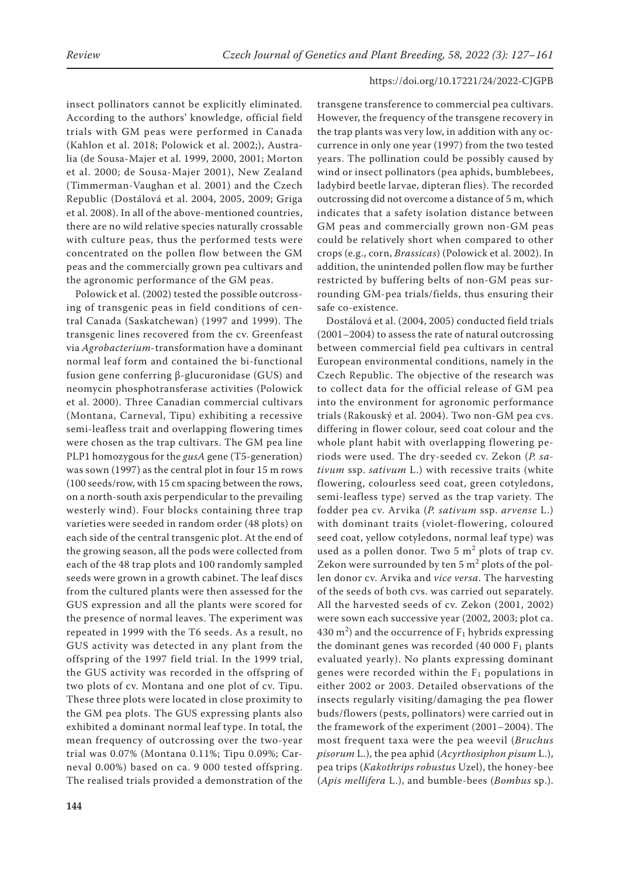insect pollinators cannot be explicitly eliminated. According to the authors' knowledge, official field trials with GM peas were performed in Canada (Kahlon et al. 2018; Polowick et al. 2002;), Australia (de Sousa-Majer et al. 1999, 2000, 2001; Morton et al. 2000; de Sousa-Majer 2001), New Zealand (Timmerman-Vaughan et al. 2001) and the Czech Republic (Dostálová et al. 2004, 2005, 2009; Griga et al. 2008). In all of the above-mentioned countries, there are no wild relative species naturally crossable with culture peas, thus the performed tests were concentrated on the pollen flow between the GM peas and the commercially grown pea cultivars and the agronomic performance of the GM peas.

Polowick et al. (2002) tested the possible outcrossing of transgenic peas in field conditions of central Canada (Saskatchewan) (1997 and 1999). The transgenic lines recovered from the cv. Greenfeast via *Agrobacterium*-transformation have a dominant normal leaf form and contained the bi-functional fusion gene conferring β-glucuronidase (GUS) and neomycin phosphotransferase activities (Polowick et al. 2000). Three Canadian commercial cultivars (Montana, Carneval, Tipu) exhibiting a recessive semi-leafless trait and overlapping flowering times were chosen as the trap cultivars. The GM pea line PLP1 homozygous for the *gusA* gene (T5-generation) was sown (1997) as the central plot in four 15 m rows (100 seeds/row, with 15 cm spacing between the rows, on a north-south axis perpendicular to the prevailing westerly wind). Four blocks containing three trap varieties were seeded in random order (48 plots) on each side of the central transgenic plot. At the end of the growing season, all the pods were collected from each of the 48 trap plots and 100 randomly sampled seeds were grown in a growth cabinet. The leaf discs from the cultured plants were then assessed for the GUS expression and all the plants were scored for the presence of normal leaves. The experiment was repeated in 1999 with the T6 seeds. As a result, no GUS activity was detected in any plant from the offspring of the 1997 field trial. In the 1999 trial, the GUS activity was recorded in the offspring of two plots of cv. Montana and one plot of cv. Tipu. These three plots were located in close proximity to the GM pea plots. The GUS expressing plants also exhibited a dominant normal leaf type. In total, the mean frequency of outcrossing over the two-year trial was 0.07% (Montana 0.11%; Tipu 0.09%; Carneval 0.00%) based on ca. 9 000 tested offspring. The realised trials provided a demonstration of the

transgene transference to commercial pea cultivars. However, the frequency of the transgene recovery in the trap plants was very low, in addition with any occurrence in only one year (1997) from the two tested years. The pollination could be possibly caused by wind or insect pollinators (pea aphids, bumblebees, ladybird beetle larvae, dipteran flies). The recorded outcrossing did not overcome a distance of 5 m, which indicates that a safety isolation distance between GM peas and commercially grown non-GM peas could be relatively short when compared to other crops (e.g., corn, *Brassicas*) (Polowick et al. 2002). In addition, the unintended pollen flow may be further restricted by buffering belts of non-GM peas surrounding GM-pea trials/fields, thus ensuring their safe co-existence.

Dostálová et al. (2004, 2005) conducted field trials (2001–2004) to assess the rate of natural outcrossing between commercial field pea cultivars in central European environmental conditions, namely in the Czech Republic. The objective of the research was to collect data for the official release of GM pea into the environment for agronomic performance trials (Rakouský et al. 2004). Two non-GM pea cvs. differing in flower colour, seed coat colour and the whole plant habit with overlapping flowering periods were used. The dry-seeded cv. Zekon (*P. sativum* ssp. *sativum* L.) with recessive traits (white flowering, colourless seed coat, green cotyledons, semi-leafless type) served as the trap variety. The fodder pea cv. Arvika (*P. sativum* ssp. *arvense* L.) with dominant traits (violet-flowering, coloured seed coat, yellow cotyledons, normal leaf type) was used as a pollen donor. Two  $5 \text{ m}^2$  plots of trap cv. Zekon were surrounded by ten 5  $\mathrm{m}^2$  plots of the pollen donor cv. Arvika and *vice versa*. The harvesting of the seeds of both cvs. was carried out separately. All the harvested seeds of cv. Zekon (2001, 2002) were sown each successive year (2002, 2003; plot ca. 430 m<sup>2</sup>) and the occurrence of  $F_1$  hybrids expressing the dominant genes was recorded (40 000  $F_1$  plants evaluated yearly). No plants expressing dominant genes were recorded within the  $F_1$  populations in either 2002 or 2003. Detailed observations of the insects regularly visiting/damaging the pea flower buds/flowers (pests, pollinators) were carried out in the framework of the experiment (2001–2004). The most frequent taxa were the pea weevil (*Bruchus pisorum* L.), the pea aphid (*Acyrthosiphon pisum* L.), pea trips (*Kakothrips robustus* Uzel), the honey-bee (*Apis mellifera* L.), and bumble-bees (*Bombus* sp.).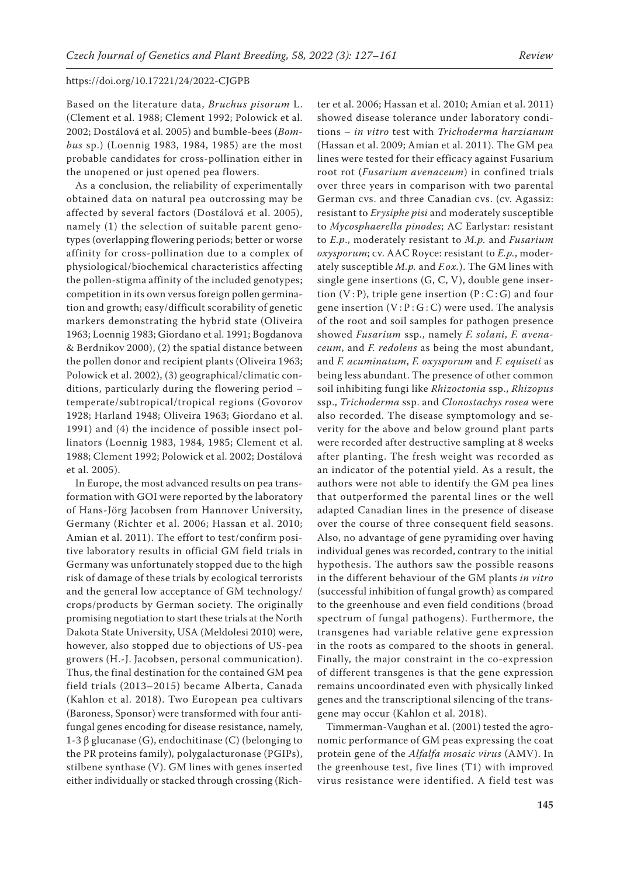Based on the literature data, *Bruchus pisorum* L. (Clement et al. 1988; Clement 1992; Polowick et al. 2002; Dostálová et al. 2005) and bumble-bees (*Bombus* sp.) (Loennig 1983, 1984, 1985) are the most probable candidates for cross-pollination either in the unopened or just opened pea flowers.

As a conclusion, the reliability of experimentally obtained data on natural pea outcrossing may be affected by several factors (Dostálová et al. 2005), namely (1) the selection of suitable parent genotypes (overlapping flowering periods; better or worse affinity for cross-pollination due to a complex of physiological/biochemical characteristics affecting the pollen-stigma affinity of the included genotypes; competition in its own versus foreign pollen germination and growth; easy/difficult scorability of genetic markers demonstrating the hybrid state (Oliveira 1963; Loennig 1983; Giordano et al. 1991; Bogdanova & Berdnikov 2000), (2) the spatial distance between the pollen donor and recipient plants (Oliveira 1963; Polowick et al. 2002), (3) geographical/climatic conditions, particularly during the flowering period – temperate/subtropical/tropical regions (Govorov 1928; Harland 1948; Oliveira 1963; Giordano et al. 1991) and (4) the incidence of possible insect pollinators (Loennig 1983, 1984, 1985; Clement et al. 1988; Clement 1992; Polowick et al. 2002; Dostálová et al. 2005).

In Europe, the most advanced results on pea transformation with GOI were reported by the laboratory of Hans-Jörg Jacobsen from Hannover University, Germany (Richter et al. 2006; Hassan et al. 2010; Amian et al. 2011). The effort to test/confirm positive laboratory results in official GM field trials in Germany was unfortunately stopped due to the high risk of damage of these trials by ecological terrorists and the general low acceptance of GM technology/ crops/products by German society. The originally promising negotiation to start these trials at the North Dakota State University, USA (Meldolesi 2010) were, however, also stopped due to objections of US-pea growers (H.-J. Jacobsen, personal communication). Thus, the final destination for the contained GM pea field trials (2013–2015) became Alberta, Canada (Kahlon et al. 2018). Two European pea cultivars (Baroness, Sponsor) were transformed with four antifungal genes encoding for disease resistance, namely, 1-3 β glucanase (G), endochitinase (C) (belonging to the PR proteins family)*,* polygalacturonase (PGIPs), stilbene synthase (V). GM lines with genes inserted either individually or stacked through crossing (Rich-

ter et al. 2006; Hassan et al. 2010; Amian et al. 2011) showed disease tolerance under laboratory conditions – *in vitro* test with *Trichoderma harzianum* (Hassan et al. 2009; Amian et al. 2011). The GM pea lines were tested for their efficacy against Fusarium root rot (*Fusarium avenaceum*) in confined trials over three years in comparison with two parental German cvs. and three Canadian cvs. (cv. Agassiz: resistant to *Erysiphe pisi* and moderately susceptible to *Mycosphaerella pinodes*; AC Earlystar: resistant to *E.p*., moderately resistant to *M.p.* and *Fusarium oxysporum*; cv. AAC Royce: resistant to *E.p.*, moderately susceptible *M.p.* and *F.ox.*). The GM lines with single gene insertions (G, C, V), double gene insertion  $(V : P)$ , triple gene insertion  $(P : C : G)$  and four gene insertion  $(V : P : G : C)$  were used. The analysis of the root and soil samples for pathogen presence showed *Fusarium* ssp., namely *F. solani*, *F. avenaceum*, and *F. redolens* as being the most abundant, and *F. acuminatum*, *F. oxysporum* and *F. equiseti* as being less abundant. The presence of other common soil inhibiting fungi like *Rhizoctonia* ssp., *Rhizopus* ssp., *Trichoderma* ssp. and *Clonostachys rosea* were also recorded. The disease symptomology and severity for the above and below ground plant parts were recorded after destructive sampling at 8 weeks after planting. The fresh weight was recorded as an indicator of the potential yield. As a result, the authors were not able to identify the GM pea lines that outperformed the parental lines or the well adapted Canadian lines in the presence of disease over the course of three consequent field seasons. Also, no advantage of gene pyramiding over having individual genes was recorded, contrary to the initial hypothesis. The authors saw the possible reasons in the different behaviour of the GM plants *in vitro* (successful inhibition of fungal growth) as compared to the greenhouse and even field conditions (broad spectrum of fungal pathogens). Furthermore, the transgenes had variable relative gene expression in the roots as compared to the shoots in general. Finally, the major constraint in the co-expression of different transgenes is that the gene expression remains uncoordinated even with physically linked genes and the transcriptional silencing of the transgene may occur (Kahlon et al. 2018).

Timmerman-Vaughan et al. (2001) tested the agronomic performance of GM peas expressing the coat protein gene of the *Alfalfa mosaic virus* (AMV). In the greenhouse test, five lines (T1) with improved virus resistance were identified. A field test was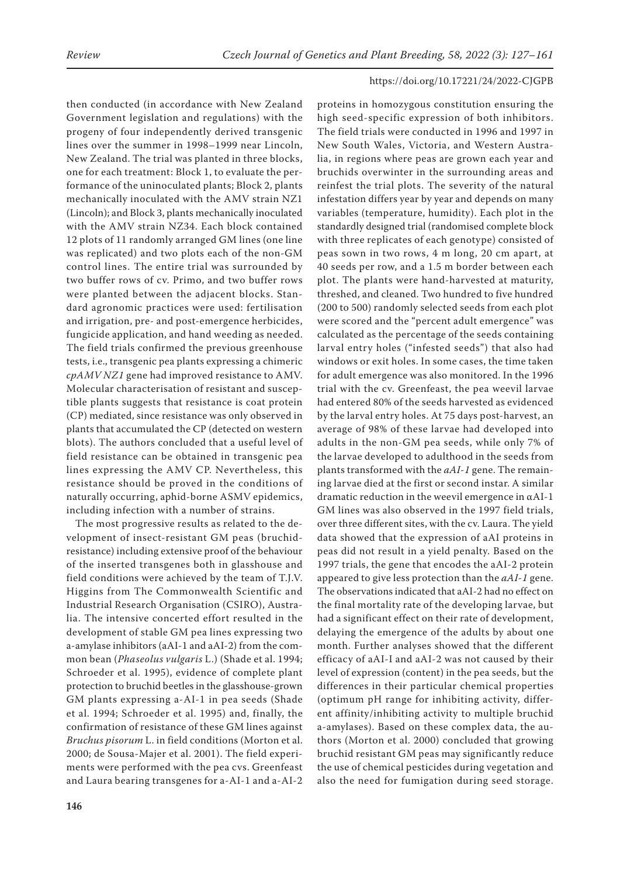then conducted (in accordance with New Zealand Government legislation and regulations) with the progeny of four independently derived transgenic lines over the summer in 1998–1999 near Lincoln, New Zealand. The trial was planted in three blocks, one for each treatment: Block 1, to evaluate the performance of the uninoculated plants; Block 2, plants mechanically inoculated with the AMV strain NZ1 (Lincoln); and Block 3, plants mechanically inoculated with the AMV strain NZ34. Each block contained 12 plots of 11 randomly arranged GM lines (one line was replicated) and two plots each of the non-GM control lines. The entire trial was surrounded by two buffer rows of cv. Primo, and two buffer rows were planted between the adjacent blocks. Standard agronomic practices were used: fertilisation and irrigation, pre- and post-emergence herbicides, fungicide application, and hand weeding as needed. The field trials confirmed the previous greenhouse tests, i.e., transgenic pea plants expressing a chimeric *cpAMV NZ1* gene had improved resistance to AMV. Molecular characterisation of resistant and susceptible plants suggests that resistance is coat protein (CP) mediated, since resistance was only observed in plants that accumulated the CP (detected on western blots). The authors concluded that a useful level of field resistance can be obtained in transgenic pea lines expressing the AMV CP. Nevertheless, this resistance should be proved in the conditions of naturally occurring, aphid-borne ASMV epidemics, including infection with a number of strains.

The most progressive results as related to the development of insect-resistant GM peas (bruchidresistance) including extensive proof of the behaviour of the inserted transgenes both in glasshouse and field conditions were achieved by the team of T.J.V. Higgins from The Commonwealth Scientific and Industrial Research Organisation (CSIRO), Australia. The intensive concerted effort resulted in the development of stable GM pea lines expressing two a-amylase inhibitors (aAI-1 and aAI-2) from the common bean (*Phaseolus vulgaris* L.) (Shade et al. 1994; Schroeder et al. 1995), evidence of complete plant protection to bruchid beetles in the glasshouse-grown GM plants expressing a-AI-1 in pea seeds (Shade et al. 1994; Schroeder et al. 1995) and, finally, the confirmation of resistance of these GM lines against *Bruchus pisorum* L. in field conditions (Morton et al. 2000; de Sousa-Majer et al. 2001). The field experiments were performed with the pea cvs. Greenfeast and Laura bearing transgenes for a-AI-1 and a-AI-2

proteins in homozygous constitution ensuring the high seed-specific expression of both inhibitors. The field trials were conducted in 1996 and 1997 in New South Wales, Victoria, and Western Australia, in regions where peas are grown each year and bruchids overwinter in the surrounding areas and reinfest the trial plots. The severity of the natural infestation differs year by year and depends on many variables (temperature, humidity). Each plot in the standardly designed trial (randomised complete block with three replicates of each genotype) consisted of peas sown in two rows, 4 m long, 20 cm apart, at 40 seeds per row, and a 1.5 m border between each plot. The plants were hand-harvested at maturity, threshed, and cleaned. Two hundred to five hundred (200 to 500) randomly selected seeds from each plot were scored and the "percent adult emergence" was calculated as the percentage of the seeds containing larval entry holes ("infested seeds") that also had windows or exit holes. In some cases, the time taken for adult emergence was also monitored. In the 1996 trial with the cv. Greenfeast, the pea weevil larvae had entered 80% of the seeds harvested as evidenced by the larval entry holes. At 75 days post-harvest, an average of 98% of these larvae had developed into adults in the non-GM pea seeds, while only 7% of the larvae developed to adulthood in the seeds from plants transformed with the *aAI-1* gene. The remaining larvae died at the first or second instar. A similar dramatic reduction in the weevil emergence in αAI-1 GM lines was also observed in the 1997 field trials, over three different sites, with the cv. Laura. The yield data showed that the expression of aAI proteins in peas did not result in a yield penalty. Based on the 1997 trials, the gene that encodes the aAI-2 protein appeared to give less protection than the *aAI-1* gene. The observations indicated that aAI-2 had no effect on the final mortality rate of the developing larvae, but had a significant effect on their rate of development, delaying the emergence of the adults by about one month. Further analyses showed that the different efficacy of aAI-I and aAI-2 was not caused by their level of expression (content) in the pea seeds, but the differences in their particular chemical properties (optimum pH range for inhibiting activity, different affinity/inhibiting activity to multiple bruchid a-amylases). Based on these complex data, the authors (Morton et al. 2000) concluded that growing bruchid resistant GM peas may significantly reduce the use of chemical pesticides during vegetation and also the need for fumigation during seed storage.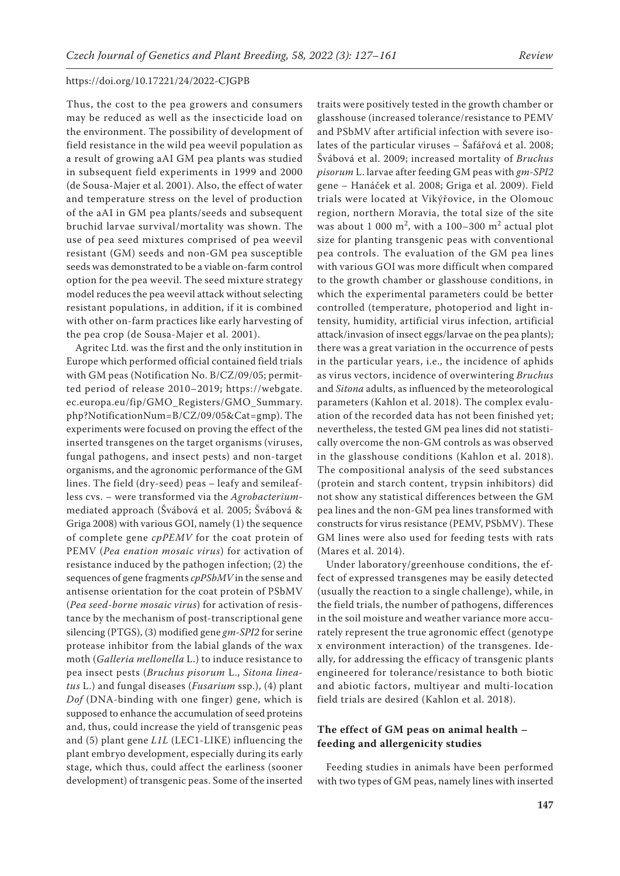Thus, the cost to the pea growers and consumers may be reduced as well as the insecticide load on the environment. The possibility of development of field resistance in the wild pea weevil population as a result of growing aAI GM pea plants was studied in subsequent field experiments in 1999 and 2000 (de Sousa-Majer et al. 2001). Also, the effect of water and temperature stress on the level of production of the aAI in GM pea plants/seeds and subsequent bruchid larvae survival/mortality was shown. The use of pea seed mixtures comprised of pea weevil resistant (GM) seeds and non-GM pea susceptible seeds was demonstrated to be a viable on-farm control option for the pea weevil. The seed mixture strategy model reduces the pea weevil attack without selecting resistant populations, in addition, if it is combined with other on-farm practices like early harvesting of the pea crop (de Sousa-Majer et al. 2001).

Agritec Ltd. was the first and the only institution in Europe which performed official contained field trials with GM peas (Notification No. B/CZ/09/05; permitted period of release 2010–2019; https://webgate. ec.europa.eu/fip/GMO\_Registers/GMO\_Summary. php?NotificationNum=B/CZ/09/05&Cat=gmp). The experiments were focused on proving the effect of the inserted transgenes on the target organisms (viruses, fungal pathogens, and insect pests) and non-target organisms, and the agronomic performance of the GM lines. The field (dry-seed) peas – leafy and semileafless cvs. – were transformed via the *Agrobacterium*mediated approach (Švábová et al. 2005; Švábová & Griga 2008) with various GOI, namely (1) the sequence of complete gene *cpPEMV* for the coat protein of PEMV (*Pea enation mosaic virus*) for activation of resistance induced by the pathogen infection; (2) the sequences of gene fragments *cpPSbMV* in the sense and antisense orientation for the coat protein of PSbMV (*Pea seed-borne mosaic virus*) for activation of resistance by the mechanism of post-transcriptional gene silencing (PTGS), (3) modified gene *gm-SPI2* for serine protease inhibitor from the labial glands of the wax moth (*Galleria mellonella* L.) to induce resistance to pea insect pests (*Bruchus pisorum* L., *Sitona lineatus* L.) and fungal diseases (*Fusarium* ssp.), (4) plant *Dof* (DNA-binding with one finger) gene, which is supposed to enhance the accumulation of seed proteins and, thus, could increase the yield of transgenic peas and (5) plant gene *L1L* (LEC1-LIKE) influencing the plant embryo development, especially during its early stage, which thus, could affect the earliness (sooner development) of transgenic peas. Some of the inserted

traits were positively tested in the growth chamber or glasshouse (increased tolerance/resistance to PEMV and PSbMV after artificial infection with severe isolates of the particular viruses – Šafářová et al. 2008; Švábová et al. 2009; increased mortality of *Bruchus pisorum* L. larvae after feeding GM peas with *gm-SPI2* gene – Hanáček et al. 2008; Griga et al. 2009). Field trials were located at Vikýřovice, in the Olomouc region, northern Moravia, the total size of the site was about 1 000  $m^2$ , with a 100–300  $m^2$  actual plot size for planting transgenic peas with conventional pea controls. The evaluation of the GM pea lines with various GOI was more difficult when compared to the growth chamber or glasshouse conditions, in which the experimental parameters could be better controlled (temperature, photoperiod and light intensity, humidity, artificial virus infection, artificial attack/invasion of insect eggs/larvae on the pea plants); there was a great variation in the occurrence of pests in the particular years, i.e., the incidence of aphids as virus vectors, incidence of overwintering *Bruchus* and *Sitona* adults, as influenced by the meteorological parameters (Kahlon et al. 2018). The complex evaluation of the recorded data has not been finished yet; nevertheless, the tested GM pea lines did not statistically overcome the non-GM controls as was observed in the glasshouse conditions (Kahlon et al. 2018). The compositional analysis of the seed substances (protein and starch content, trypsin inhibitors) did not show any statistical differences between the GM pea lines and the non-GM pea lines transformed with constructs for virus resistance (PEMV, PSbMV). These GM lines were also used for feeding tests with rats (Mares et al. 2014).

Under laboratory/greenhouse conditions, the effect of expressed transgenes may be easily detected (usually the reaction to a single challenge), while, in the field trials, the number of pathogens, differences in the soil moisture and weather variance more accurately represent the true agronomic effect (genotype x environment interaction) of the transgenes. Ideally, for addressing the efficacy of transgenic plants engineered for tolerance/resistance to both biotic and abiotic factors, multiyear and multi-location field trials are desired (Kahlon et al. 2018).

# **The effect of GM peas on animal health – feeding and allergenicity studies**

Feeding studies in animals have been performed with two types of GM peas, namely lines with inserted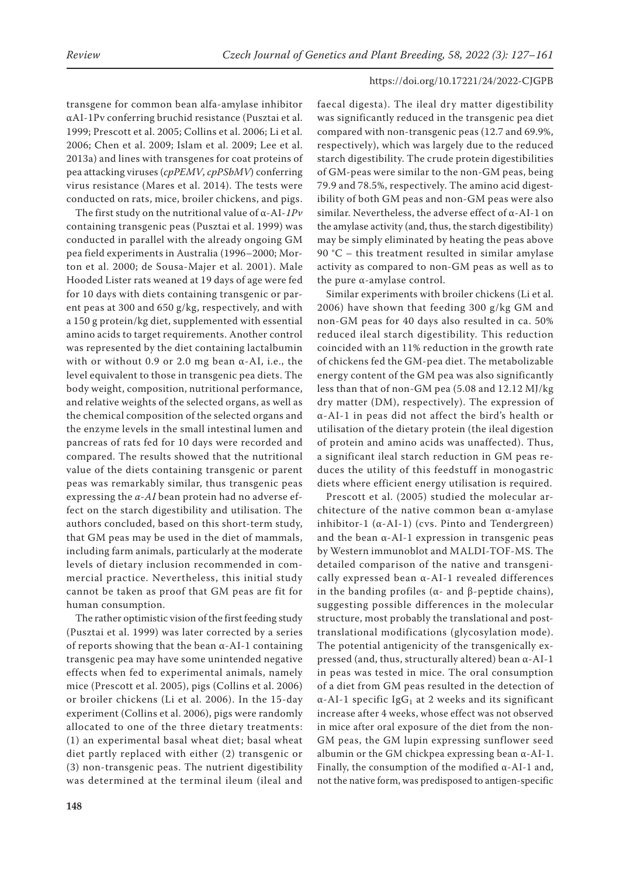transgene for common bean alfa-amylase inhibitor αAI-1Pv conferring bruchid resistance (Pusztai et al. 1999; Prescott et al. 2005; Collins et al. 2006; Li et al. 2006; Chen et al. 2009; Islam et al. 2009; Lee et al. 2013a) and lines with transgenes for coat proteins of pea attacking viruses (*cpPEMV*, *cpPSbMV*) conferring virus resistance (Mares et al. 2014). The tests were conducted on rats, mice, broiler chickens, and pigs.

The first study on the nutritional value of α-AI-*1Pv* containing transgenic peas (Pusztai et al. 1999) was conducted in parallel with the already ongoing GM pea field experiments in Australia (1996–2000; Morton et al. 2000; de Sousa-Majer et al. 2001). Male Hooded Lister rats weaned at 19 days of age were fed for 10 days with diets containing transgenic or parent peas at 300 and 650 g/kg, respectively, and with a 150 g protein/kg diet, supplemented with essential amino acids to target requirements. Another control was represented by the diet containing lactalbumin with or without 0.9 or 2.0 mg bean  $\alpha$ -AI, i.e., the level equivalent to those in transgenic pea diets. The body weight, composition, nutritional performance, and relative weights of the selected organs, as well as the chemical composition of the selected organs and the enzyme levels in the small intestinal lumen and pancreas of rats fed for 10 days were recorded and compared. The results showed that the nutritional value of the diets containing transgenic or parent peas was remarkably similar, thus transgenic peas expressing the *α-AI* bean protein had no adverse effect on the starch digestibility and utilisation. The authors concluded, based on this short-term study, that GM peas may be used in the diet of mammals, including farm animals, particularly at the moderate levels of dietary inclusion recommended in commercial practice. Nevertheless, this initial study cannot be taken as proof that GM peas are fit for human consumption.

The rather optimistic vision of the first feeding study (Pusztai et al. 1999) was later corrected by a series of reports showing that the bean α-AI-1 containing transgenic pea may have some unintended negative effects when fed to experimental animals, namely mice (Prescott et al. 2005), pigs (Collins et al. 2006) or broiler chickens (Li et al. 2006). In the 15-day experiment (Collins et al. 2006), pigs were randomly allocated to one of the three dietary treatments: (1) an experimental basal wheat diet; basal wheat diet partly replaced with either (2) transgenic or (3) non-transgenic peas. The nutrient digestibility was determined at the terminal ileum (ileal and

faecal digesta). The ileal dry matter digestibility was significantly reduced in the transgenic pea diet compared with non-transgenic peas (12.7 and 69.9%, respectively), which was largely due to the reduced starch digestibility. The crude protein digestibilities of GM-peas were similar to the non-GM peas, being 79.9 and 78.5%, respectively. The amino acid digestibility of both GM peas and non-GM peas were also similar. Nevertheless, the adverse effect of α-AI-1 on the amylase activity (and, thus, the starch digestibility) may be simply eliminated by heating the peas above 90 °C – this treatment resulted in similar amylase activity as compared to non-GM peas as well as to the pure α-amylase control.

Similar experiments with broiler chickens (Li et al. 2006) have shown that feeding 300 g/kg GM and non-GM peas for 40 days also resulted in ca. 50% reduced ileal starch digestibility. This reduction coincided with an 11% reduction in the growth rate of chickens fed the GM-pea diet. The metabolizable energy content of the GM pea was also significantly less than that of non-GM pea (5.08 and 12.12 MJ/kg dry matter (DM), respectively). The expression of α-AI-1 in peas did not affect the bird's health or utilisation of the dietary protein (the ileal digestion of protein and amino acids was unaffected). Thus, a significant ileal starch reduction in GM peas reduces the utility of this feedstuff in monogastric diets where efficient energy utilisation is required.

Prescott et al. (2005) studied the molecular architecture of the native common bean α-amylase inhibitor-1  $(\alpha$ -AI-1) (cvs. Pinto and Tendergreen) and the bean α-AI-1 expression in transgenic peas by Western immunoblot and MALDI-TOF-MS. The detailed comparison of the native and transgenically expressed bean α-AI-1 revealed differences in the banding profiles (α- and β-peptide chains), suggesting possible differences in the molecular structure, most probably the translational and posttranslational modifications (glycosylation mode). The potential antigenicity of the transgenically expressed (and, thus, structurally altered) bean α-AI-1 in peas was tested in mice. The oral consumption of a diet from GM peas resulted in the detection of  $\alpha$ -AI-1 specific IgG<sub>1</sub> at 2 weeks and its significant increase after 4 weeks, whose effect was not observed in mice after oral exposure of the diet from the non-GM peas, the GM lupin expressing sunflower seed albumin or the GM chickpea expressing bean α-AI-1. Finally, the consumption of the modified  $\alpha$ -AI-1 and, not the native form, was predisposed to antigen-specific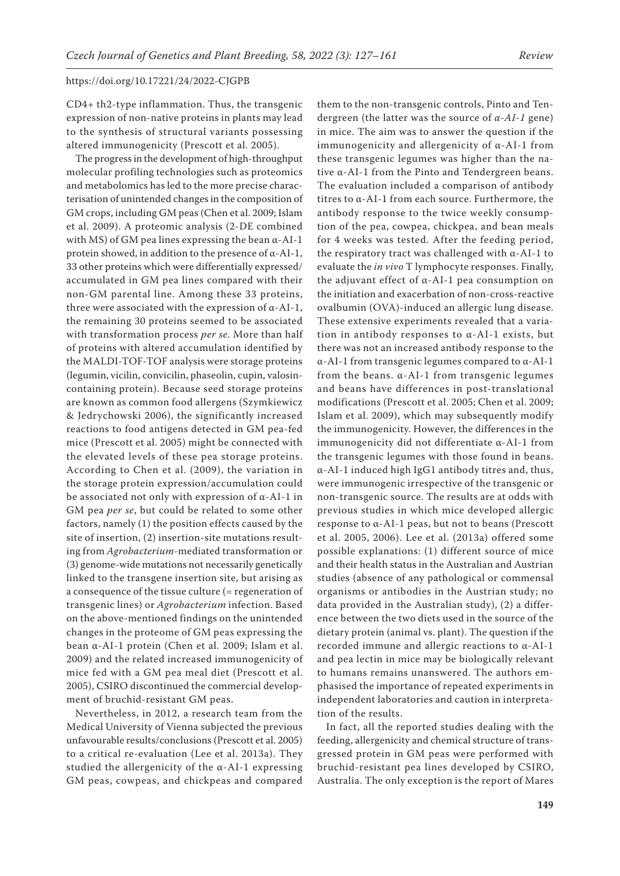CD4+ th2-type inflammation. Thus, the transgenic expression of non-native proteins in plants may lead to the synthesis of structural variants possessing altered immunogenicity (Prescott et al. 2005).

The progress in the development of high-throughput molecular profiling technologies such as proteomics and metabolomics has led to the more precise characterisation of unintended changes in the composition of GM crops, including GM peas (Chen et al. 2009; Islam et al. 2009). A proteomic analysis (2-DE combined with MS) of GM pea lines expressing the bean α-AI-1 protein showed, in addition to the presence of α-AI-1, 33 other proteins which were differentially expressed/ accumulated in GM pea lines compared with their non-GM parental line. Among these 33 proteins, three were associated with the expression of  $\alpha$ -AI-1, the remaining 30 proteins seemed to be associated with transformation process *per se*. More than half of proteins with altered accumulation identified by the MALDI-TOF-TOF analysis were storage proteins (legumin, vicilin, convicilin, phaseolin, cupin, valosincontaining protein). Because seed storage proteins are known as common food allergens (Szymkiewicz & Jedrychowski 2006), the significantly increased reactions to food antigens detected in GM pea-fed mice (Prescott et al. 2005) might be connected with the elevated levels of these pea storage proteins. According to Chen et al. (2009), the variation in the storage protein expression/accumulation could be associated not only with expression of α-AI-1 in GM pea *per se*, but could be related to some other factors, namely (1) the position effects caused by the site of insertion, (2) insertion-site mutations resulting from *Agrobacterium*-mediated transformation or (3) genome-wide mutations not necessarily genetically linked to the transgene insertion site, but arising as a consequence of the tissue culture (= regeneration of transgenic lines) or *Agrobacterium* infection. Based on the above-mentioned findings on the unintended changes in the proteome of GM peas expressing the bean α-AI-1 protein (Chen et al. 2009; Islam et al. 2009) and the related increased immunogenicity of mice fed with a GM pea meal diet (Prescott et al. 2005), CSIRO discontinued the commercial development of bruchid-resistant GM peas.

Nevertheless, in 2012, a research team from the Medical University of Vienna subjected the previous unfavourable results/conclusions (Prescott et al. 2005) to a critical re-evaluation (Lee et al. 2013a). They studied the allergenicity of the  $\alpha$ -AI-1 expressing GM peas, cowpeas, and chickpeas and compared

them to the non-transgenic controls, Pinto and Tendergreen (the latter was the source of *α-AI-1* gene) in mice. The aim was to answer the question if the immunogenicity and allergenicity of  $\alpha$ -AI-1 from these transgenic legumes was higher than the native α-AI-1 from the Pinto and Tendergreen beans. The evaluation included a comparison of antibody titres to α-AI-1 from each source. Furthermore, the antibody response to the twice weekly consumption of the pea, cowpea, chickpea, and bean meals for 4 weeks was tested. After the feeding period, the respiratory tract was challenged with α-AI-1 to evaluate the *in vivo* T lymphocyte responses. Finally, the adjuvant effect of α-AI-1 pea consumption on the initiation and exacerbation of non-cross-reactive ovalbumin (OVA)-induced an allergic lung disease. These extensive experiments revealed that a variation in antibody responses to α-AI-1 exists, but there was not an increased antibody response to the α-AI-1 from transgenic legumes compared to α-AI-1 from the beans.  $\alpha$ -AI-1 from transgenic legumes and beans have differences in post-translational modifications (Prescott et al. 2005; Chen et al. 2009; Islam et al. 2009), which may subsequently modify the immunogenicity. However, the differences in the immunogenicity did not differentiate α-AI-1 from the transgenic legumes with those found in beans. α-AI-1 induced high IgG1 antibody titres and, thus, were immunogenic irrespective of the transgenic or non-transgenic source. The results are at odds with previous studies in which mice developed allergic response to α-AI-1 peas, but not to beans (Prescott et al. 2005, 2006). Lee et al. (2013a) offered some possible explanations: (1) different source of mice and their health status in the Australian and Austrian studies (absence of any pathological or commensal organisms or antibodies in the Austrian study; no data provided in the Australian study), (2) a difference between the two diets used in the source of the dietary protein (animal vs. plant). The question if the recorded immune and allergic reactions to α-AI-1 and pea lectin in mice may be biologically relevant to humans remains unanswered. The authors emphasised the importance of repeated experiments in independent laboratories and caution in interpretation of the results.

In fact, all the reported studies dealing with the feeding, allergenicity and chemical structure of transgressed protein in GM peas were performed with bruchid-resistant pea lines developed by CSIRO, Australia. The only exception is the report of Mares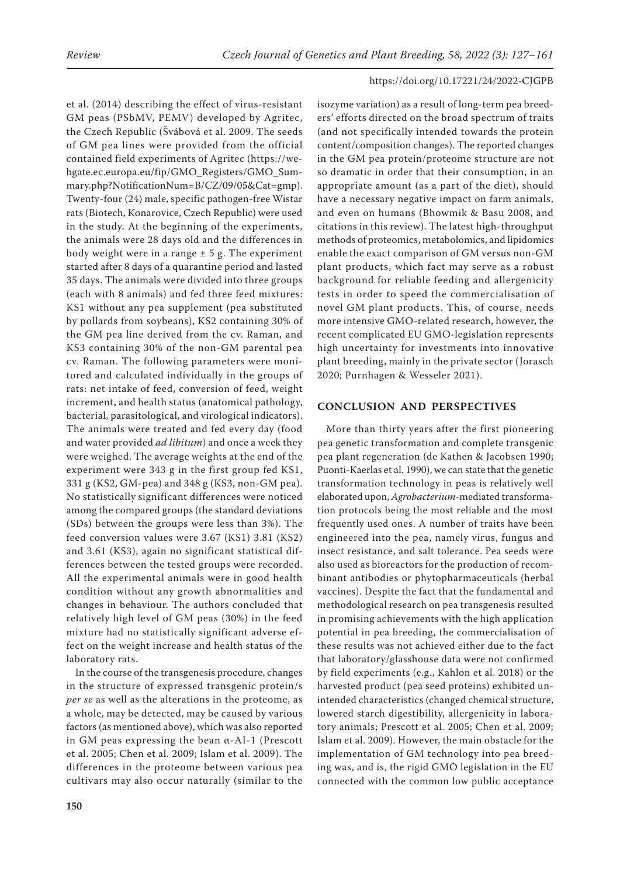et al. (2014) describing the effect of virus-resistant GM peas (PSbMV, PEMV) developed by Agritec, the Czech Republic (Švábová et al. 2009. The seeds of GM pea lines were provided from the official contained field experiments of Agritec (https://webgate.ec.europa.eu/fip/GMO\_Registers/GMO\_Summary.php?NotificationNum=B/CZ/09/05&Cat=gmp). Twenty-four (24) male, specific pathogen-free Wistar rats (Biotech, Konarovice, Czech Republic) were used in the study. At the beginning of the experiments, the animals were 28 days old and the differences in body weight were in a range  $\pm$  5 g. The experiment started after 8 days of a quarantine period and lasted 35 days. The animals were divided into three groups (each with 8 animals) and fed three feed mixtures: KS1 without any pea supplement (pea substituted by pollards from soybeans), KS2 containing 30% of the GM pea line derived from the cv. Raman, and KS3 containing 30% of the non-GM parental pea cv. Raman. The following parameters were monitored and calculated individually in the groups of rats: net intake of feed, conversion of feed, weight increment, and health status (anatomical pathology, bacterial, parasitological, and virological indicators). The animals were treated and fed every day (food and water provided *ad libitum*) and once a week they were weighed. The average weights at the end of the experiment were 343 g in the first group fed KS1, 331 g (KS2, GM-pea) and 348 g (KS3, non-GM pea). No statistically significant differences were noticed among the compared groups (the standard deviations (SDs) between the groups were less than 3%). The feed conversion values were 3.67 (KS1) 3.81 (KS2) and 3.61 (KS3), again no significant statistical differences between the tested groups were recorded. All the experimental animals were in good health condition without any growth abnormalities and changes in behaviour. The authors concluded that relatively high level of GM peas (30%) in the feed mixture had no statistically significant adverse effect on the weight increase and health status of the laboratory rats.

In the course of the transgenesis procedure, changes in the structure of expressed transgenic protein/s *per se* as well as the alterations in the proteome, as a whole, may be detected, may be caused by various factors (as mentioned above), which was also reported in GM peas expressing the bean α-AI-1 (Prescott et al. 2005; Chen et al. 2009; Islam et al. 2009). The differences in the proteome between various pea cultivars may also occur naturally (similar to the isozyme variation) as a result of long-term pea breeders' efforts directed on the broad spectrum of traits (and not specifically intended towards the protein content/composition changes). The reported changes in the GM pea protein/proteome structure are not so dramatic in order that their consumption, in an appropriate amount (as a part of the diet), should have a necessary negative impact on farm animals, and even on humans (Bhowmik & Basu 2008, and citations in this review). The latest high-throughput methods of proteomics, metabolomics, and lipidomics enable the exact comparison of GM versus non-GM plant products, which fact may serve as a robust background for reliable feeding and allergenicity tests in order to speed the commercialisation of novel GM plant products. This, of course, needs more intensive GMO-related research, however, the recent complicated EU GMO-legislation represents high uncertainty for investments into innovative plant breeding, mainly in the private sector (Jorasch 2020; Purnhagen & Wesseler 2021).

# **CONCLUSION AND PERSPECTIVES**

More than thirty years after the first pioneering pea genetic transformation and complete transgenic pea plant regeneration (de Kathen & Jacobsen 1990; Puonti-Kaerlas et al. 1990), we can state that the genetic transformation technology in peas is relatively well elaborated upon, *Agrobacterium*-mediated transformation protocols being the most reliable and the most frequently used ones. A number of traits have been engineered into the pea, namely virus, fungus and insect resistance, and salt tolerance. Pea seeds were also used as bioreactors for the production of recombinant antibodies or phytopharmaceuticals (herbal vaccines). Despite the fact that the fundamental and methodological research on pea transgenesis resulted in promising achievements with the high application potential in pea breeding, the commercialisation of these results was not achieved either due to the fact that laboratory/glasshouse data were not confirmed by field experiments (e.g., Kahlon et al. 2018) or the harvested product (pea seed proteins) exhibited unintended characteristics (changed chemical structure, lowered starch digestibility, allergenicity in laboratory animals; Prescott et al. 2005; Chen et al. 2009; Islam et al. 2009). However, the main obstacle for the implementation of GM technology into pea breeding was, and is, the rigid GMO legislation in the EU connected with the common low public acceptance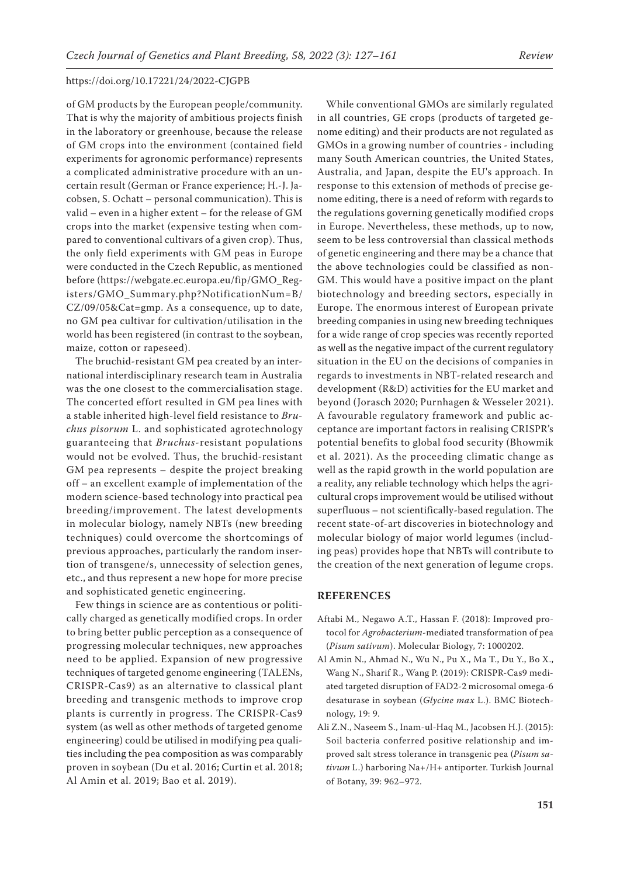of GM products by the European people/community. That is why the majority of ambitious projects finish in the laboratory or greenhouse, because the release of GM crops into the environment (contained field experiments for agronomic performance) represents a complicated administrative procedure with an uncertain result (German or France experience; H.-J. Jacobsen, S. Ochatt – personal communication). This is valid – even in a higher extent – for the release of GM crops into the market (expensive testing when compared to conventional cultivars of a given crop). Thus, the only field experiments with GM peas in Europe were conducted in the Czech Republic, as mentioned before (https://webgate.ec.europa.eu/fip/GMO\_Registers/GMO\_Summary.php?NotificationNum=B/ CZ/09/05&Cat=gmp. As a consequence, up to date, no GM pea cultivar for cultivation/utilisation in the world has been registered (in contrast to the soybean, maize, cotton or rapeseed).

The bruchid-resistant GM pea created by an international interdisciplinary research team in Australia was the one closest to the commercialisation stage. The concerted effort resulted in GM pea lines with a stable inherited high-level field resistance to *Bruchus pisorum* L. and sophisticated agrotechnology guaranteeing that *Bruchus*-resistant populations would not be evolved. Thus, the bruchid-resistant GM pea represents – despite the project breaking off – an excellent example of implementation of the modern science-based technology into practical pea breeding/improvement. The latest developments in molecular biology, namely NBTs (new breeding techniques) could overcome the shortcomings of previous approaches, particularly the random insertion of transgene/s, unnecessity of selection genes, etc., and thus represent a new hope for more precise and sophisticated genetic engineering.

Few things in science are as contentious or politically charged as genetically modified crops. In order to bring better public perception as a consequence of progressing molecular techniques, new approaches need to be applied. Expansion of new progressive techniques of targeted genome engineering (TALENs, CRISPR-Cas9) as an alternative to classical plant breeding and transgenic methods to improve crop plants is currently in progress. The CRISPR-Cas9 system (as well as other methods of targeted genome engineering) could be utilised in modifying pea qualities including the pea composition as was comparably proven in soybean (Du et al. 2016; Curtin et al. 2018; Al Amin et al. 2019; Bao et al. 2019).

While conventional GMOs are similarly regulated in all countries, GE crops (products of targeted genome editing) and their products are not regulated as GMOs in a growing number of countries - including many South American countries, the United States, Australia, and Japan, despite the EU's approach. In response to this extension of methods of precise genome editing, there is a need of reform with regards to the regulations governing genetically modified crops in Europe. Nevertheless, these methods, up to now, seem to be less controversial than classical methods of genetic engineering and there may be a chance that the above technologies could be classified as non-GM. This would have a positive impact on the plant biotechnology and breeding sectors, especially in Europe. The enormous interest of European private breeding companies in using new breeding techniques for a wide range of crop species was recently reported as well as the negative impact of the current regulatory situation in the EU on the decisions of companies in regards to investments in NBT-related research and development (R&D) activities for the EU market and beyond (Jorasch 2020; Purnhagen & Wesseler 2021). A favourable regulatory framework and public acceptance are important factors in realising CRISPR's potential benefits to global food security (Bhowmik et al. 2021). As the proceeding climatic change as well as the rapid growth in the world population are a reality, any reliable technology which helps the agricultural crops improvement would be utilised without superfluous – not scientifically-based regulation. The recent state-of-art discoveries in biotechnology and molecular biology of major world legumes (including peas) provides hope that NBTs will contribute to the creation of the next generation of legume crops.

# **REFERENCES**

- Aftabi M., Negawo A.T., Hassan F. (2018): Improved protocol for *Agrobacterium*-mediated transformation of pea (*Pisum sativum*). Molecular Biology, 7: 1000202.
- Al Amin N., Ahmad N., Wu N., Pu X., Ma T., Du Y., Bo X., Wang N., Sharif R., Wang P. (2019): CRISPR-Cas9 mediated targeted disruption of FAD2-2 microsomal omega-6 desaturase in soybean (*Glycine max* L.). BMC Biotechnology, 19: 9.
- Ali Z.N., Naseem S., Inam-ul-Haq M., Jacobsen H.J. (2015): Soil bacteria conferred positive relationship and improved salt stress tolerance in transgenic pea (*Pisum sativum* L.) harboring Na+/H+ antiporter. Turkish Journal of Botany, 39: 962–972.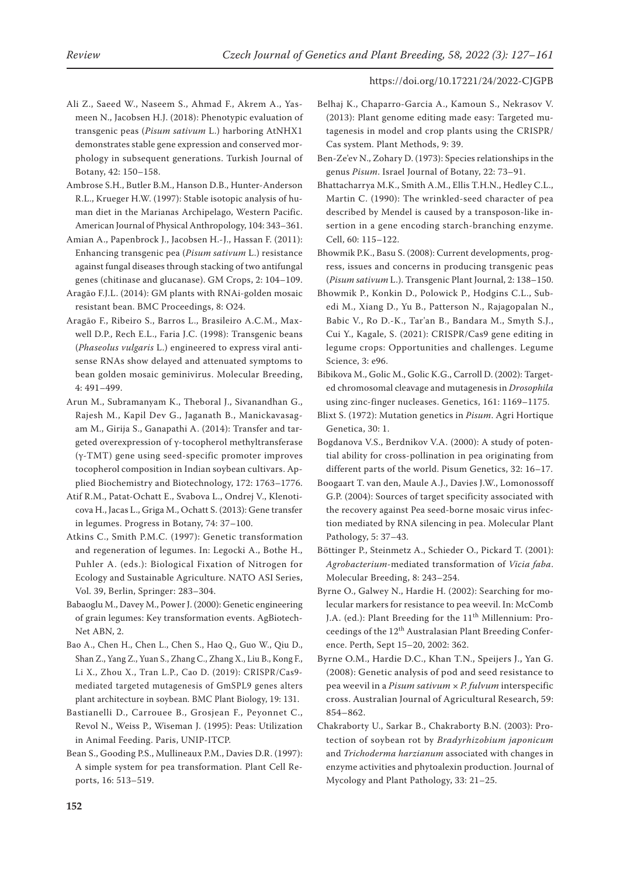- Ali Z., Saeed W., Naseem S., Ahmad F., Akrem A., Yasmeen N., Jacobsen H.J. (2018): Phenotypic evaluation of transgenic peas (*Pisum sativum* L.) harboring AtNHX1 demonstrates stable gene expression and conserved morphology in subsequent generations. Turkish Journal of Botany, 42: 150–158.
- Ambrose S.H., Butler B.M., Hanson D.B., Hunter-Anderson R.L., Krueger H.W. (1997): Stable isotopic analysis of human diet in the Marianas Archipelago, Western Pacific. American Journal of Physical Anthropology, 104: 343–361.
- Amian A., Papenbrock J., Jacobsen H.-J., Hassan F. (2011): Enhancing transgenic pea (*Pisum sativum* L.) resistance against fungal diseases through stacking of two antifungal genes (chitinase and glucanase). GM Crops, 2: 104–109.
- Aragão F.J.L. (2014): GM plants with RNAi-golden mosaic resistant bean. BMC Proceedings, 8: O24.
- Aragão F., Ribeiro S., Barros L., Brasileiro A.C.M., Maxwell D.P., Rech E.L., Faria J.C. (1998): Transgenic beans (*Phaseolus vulgaris* L.) engineered to express viral antisense RNAs show delayed and attenuated symptoms to bean golden mosaic geminivirus. Molecular Breeding, 4: 491–499.
- Arun M., Subramanyam K., Theboral J., Sivanandhan G., Rajesh M., Kapil Dev G., Jaganath B., Manickavasagam M., Girija S., Ganapathi A. (2014): Transfer and targeted overexpression of γ-tocopherol methyltransferase (γ-TMT) gene using seed-specific promoter improves tocopherol composition in Indian soybean cultivars. Applied Biochemistry and Biotechnology, 172: 1763–1776.
- Atif R.M., Patat-Ochatt E., Svabova L., Ondrej V., Klenoticova H., Jacas L., Griga M., Ochatt S. (2013): Gene transfer in legumes. Progress in Botany, 74: 37–100.
- Atkins C., Smith P.M.C. (1997): Genetic transformation and regeneration of legumes. In: Legocki A., Bothe H., Puhler A. (eds.): Biological Fixation of Nitrogen for Ecology and Sustainable Agriculture. NATO ASI Series, Vol. 39, Berlin, Springer: 283–304.
- Babaoglu M., Davey M., Power J. (2000): Genetic engineering of grain legumes: Key transformation events. AgBiotech-Net ABN, 2.
- Bao A., Chen H., Chen L., Chen S., Hao Q., Guo W., Qiu D., Shan Z., Yang Z., Yuan S., Zhang C., Zhang X., Liu B., Kong F., Li X., Zhou X., Tran L.P., Cao D. (2019): CRISPR/Cas9 mediated targeted mutagenesis of GmSPL9 genes alters plant architecture in soybean. BMC Plant Biology, 19: 131.
- Bastianelli D., Carrouee B., Grosjean F., Peyonnet C., Revol N., Weiss P., Wiseman J. (1995): Peas: Utilization in Animal Feeding. Paris, UNIP-ITCP.
- Bean S., Gooding P.S., Mullineaux P.M., Davies D.R. (1997): A simple system for pea transformation. Plant Cell Reports, 16: 513–519.
- Belhaj K., Chaparro-Garcia A., Kamoun S., Nekrasov V. (2013): Plant genome editing made easy: Targeted mutagenesis in model and crop plants using the CRISPR/ Cas system. Plant Methods, 9: 39.
- Ben-Ze'ev N., Zohary D. (1973): Species relationships in the genus *Pisum*. Israel Journal of Botany, 22: 73–91.
- Bhattacharrya M.K., Smith A.M., Ellis T.H.N., Hedley C.L., Martin C. (1990): The wrinkled-seed character of pea described by Mendel is caused by a transposon-like insertion in a gene encoding starch-branching enzyme. Cell, 60: 115–122.
- Bhowmik P.K., Basu S. (2008): Current developments, progress, issues and concerns in producing transgenic peas (*Pisum sativum* L.). Transgenic Plant Journal, 2: 138–150.
- Bhowmik P., Konkin D., Polowick P., Hodgins C.L., Subedi M., Xiang D., Yu B., Patterson N., Rajagopalan N., Babic V., Ro D.-K., Tar'an B., Bandara M., Smyth S.J., Cui Y., Kagale, S. (2021): CRISPR/Cas9 gene editing in legume crops: Opportunities and challenges. Legume Science, 3: e96.
- Bibikova M., Golic M., Golic K.G., Carroll D. (2002): Targeted chromosomal cleavage and mutagenesis in *Drosophila* using zinc-finger nucleases. Genetics, 161: 1169–1175.
- Blixt S. (1972): Mutation genetics in *Pisum*. Agri Hortique Genetica, 30: 1.
- Bogdanova V.S., Berdnikov V.A. (2000): A study of potential ability for cross-pollination in pea originating from different parts of the world. Pisum Genetics, 32: 16–17.
- Boogaart T. van den, Maule A.J., Davies J.W., Lomonossoff G.P. (2004): Sources of target specificity associated with the recovery against Pea seed-borne mosaic virus infection mediated by RNA silencing in pea. Molecular Plant Pathology, 5: 37–43.
- Böttinger P., Steinmetz A., Schieder O., Pickard T. (2001): *Agrobacterium*-mediated transformation of *Vicia faba*. Molecular Breeding, 8: 243–254.
- Byrne O., Galwey N., Hardie H. (2002): Searching for molecular markers for resistance to pea weevil. In: McComb J.A. (ed.): Plant Breeding for the 11<sup>th</sup> Millennium: Proceedings of the 12<sup>th</sup> Australasian Plant Breeding Conference. Perth, Sept 15–20, 2002: 362.
- Byrne O.M., Hardie D.C., Khan T.N., Speijers J., Yan G. (2008): Genetic analysis of pod and seed resistance to pea weevil in a *Pisum sativum* × *P. fulvum* interspecific cross. Australian Journal of Agricultural Research, 59: 854–862.
- Chakraborty U., Sarkar B., Chakraborty B.N. (2003): Protection of soybean rot by *Bradyrhizobium japonicum* and *Trichoderma harzianum* associated with changes in enzyme activities and phytoalexin production. Journal of Mycology and Plant Pathology, 33: 21–25.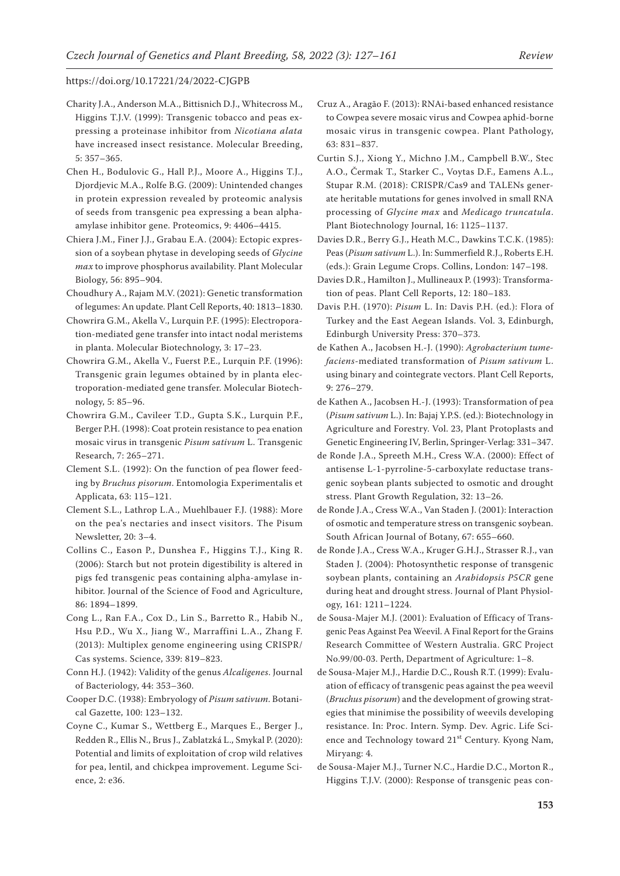- Charity J.A., Anderson M.A., Bittisnich D.J., Whitecross M., Higgins T.J.V. (1999): Transgenic tobacco and peas expressing a proteinase inhibitor from *Nicotiana alata* have increased insect resistance. Molecular Breeding, 5: 357–365.
- Chen H., Bodulovic G., Hall P.J., Moore A., Higgins T.J., Djordjevic M.A., Rolfe B.G. (2009): Unintended changes in protein expression revealed by proteomic analysis of seeds from transgenic pea expressing a bean alphaamylase inhibitor gene. Proteomics, 9: 4406–4415.
- Chiera J.M., Finer J.J., Grabau E.A. (2004): Ectopic expression of a soybean phytase in developing seeds of *Glycine max* to improve phosphorus availability. Plant Molecular Biology, 56: 895–904.
- Choudhury A., Rajam M.V. (2021): Genetic transformation of legumes: An update. Plant Cell Reports, 40: 1813–1830.
- Chowrira G.M., Akella V., Lurquin P.F. (1995): Electroporation-mediated gene transfer into intact nodal meristems in planta. Molecular Biotechnology, 3: 17–23.
- Chowrira G.M., Akella V., Fuerst P.E., Lurquin P.F. (1996): Transgenic grain legumes obtained by in planta electroporation-mediated gene transfer. Molecular Biotechnology, 5: 85–96.
- Chowrira G.M., Cavileer T.D., Gupta S.K., Lurquin P.F., Berger P.H. (1998): Coat protein resistance to pea enation mosaic virus in transgenic *Pisum sativum* L. Transgenic Research, 7: 265–271.
- Clement S.L. (1992): On the function of pea flower feeding by *Bruchus pisorum*. Entomologia Experimentalis et Applicata, 63: 115–121.
- Clement S.L., Lathrop L.A., Muehlbauer F.J. (1988): More on the pea's nectaries and insect visitors. The Pisum Newsletter, 20: 3–4.
- Collins C., Eason P., Dunshea F., Higgins T.J., King R. (2006): Starch but not protein digestibility is altered in pigs fed transgenic peas containing alpha-amylase inhibitor. Journal of the Science of Food and Agriculture, 86: 1894–1899.
- Cong L., Ran F.A., Cox D., Lin S., Barretto R., Habib N., Hsu P.D., Wu X., Jiang W., Marraffini L.A., Zhang F. (2013): Multiplex genome engineering using CRISPR/ Cas systems. Science, 339: 819–823.
- Conn H.J. (1942): Validity of the genus *Alcaligenes*. Journal of Bacteriology, 44: 353–360.
- Cooper D.C. (1938): Embryology of *Pisum sativum*. Botanical Gazette, 100: 123–132.
- Coyne C., Kumar S., Wettberg E., Marques E., Berger J., Redden R., Ellis N., Brus J., Zablatzká L., Smykal P. (2020): Potential and limits of exploitation of crop wild relatives for pea, lentil, and chickpea improvement. Legume Science, 2: e36.
- Cruz A., Aragão F. (2013): RNAi-based enhanced resistance to Cowpea severe mosaic virus and Cowpea aphid-borne mosaic virus in transgenic cowpea. Plant Pathology, 63: 831–837.
- Curtin S.J., Xiong Y., Michno J.M., Campbell B.W., Stec A.O., Čermak T., Starker C., Voytas D.F., Eamens A.L., Stupar R.M. (2018): CRISPR/Cas9 and TALENs generate heritable mutations for genes involved in small RNA processing of *Glycine max* and *Medicago truncatula*. Plant Biotechnology Journal, 16: 1125–1137.
- Davies D.R., Berry G.J., Heath M.C., Dawkins T.C.K. (1985): Peas (*Pisum sativum* L.). In: Summerfield R.J., Roberts E.H. (eds.): Grain Legume Crops. Collins, London: 147–198.
- Davies D.R., Hamilton J., Mullineaux P. (1993): Transformation of peas. Plant Cell Reports, 12: 180–183.
- Davis P.H. (1970): *Pisum* L. In: Davis P.H. (ed.): Flora of Turkey and the East Aegean Islands. Vol. 3, Edinburgh, Edinburgh University Press: 370–373.
- de Kathen A., Jacobsen H.-J. (1990): *Agrobacterium tumefaciens*-mediated transformation of *Pisum sativum* L. using binary and cointegrate vectors. Plant Cell Reports, 9: 276–279.
- de Kathen A., Jacobsen H.-J. (1993): Transformation of pea (*Pisum sativum* L.). In: Bajaj Y.P.S. (ed.): Biotechnology in Agriculture and Forestry. Vol. 23, Plant Protoplasts and Genetic Engineering IV, Berlin, Springer-Verlag: 331–347.
- de Ronde J.A., Spreeth M.H., Cress W.A. (2000): Effect of antisense L-1-pyrroline-5-carboxylate reductase transgenic soybean plants subjected to osmotic and drought stress. Plant Growth Regulation, 32: 13–26.
- de Ronde J.A., Cress W.A., Van Staden J. (2001): Interaction of osmotic and temperature stress on transgenic soybean. South African Journal of Botany, 67: 655–660.
- de Ronde J.A., Cress W.A., Kruger G.H.J., Strasser R.J., van Staden J. (2004): Photosynthetic response of transgenic soybean plants, containing an *Arabidopsis P5CR* gene during heat and drought stress. Journal of Plant Physiology, 161: 1211–1224.
- de Sousa-Majer M.J. (2001): Evaluation of Efficacy of Transgenic Peas Against Pea Weevil. A Final Report for the Grains Research Committee of Western Australia. GRC Project No.99/00-03. Perth, Department of Agriculture: 1–8.
- de Sousa-Majer M.J., Hardie D.C., Roush R.T. (1999): Evaluation of efficacy of transgenic peas against the pea weevil (*Bruchus pisorum*) and the development of growing strategies that minimise the possibility of weevils developing resistance. In: Proc. Intern. Symp. Dev. Agric. Life Science and Technology toward 21<sup>st</sup> Century. Kyong Nam, Miryang: 4.
- de Sousa-Majer M.J., Turner N.C., Hardie D.C., Morton R., Higgins T.J.V. (2000): Response of transgenic peas con-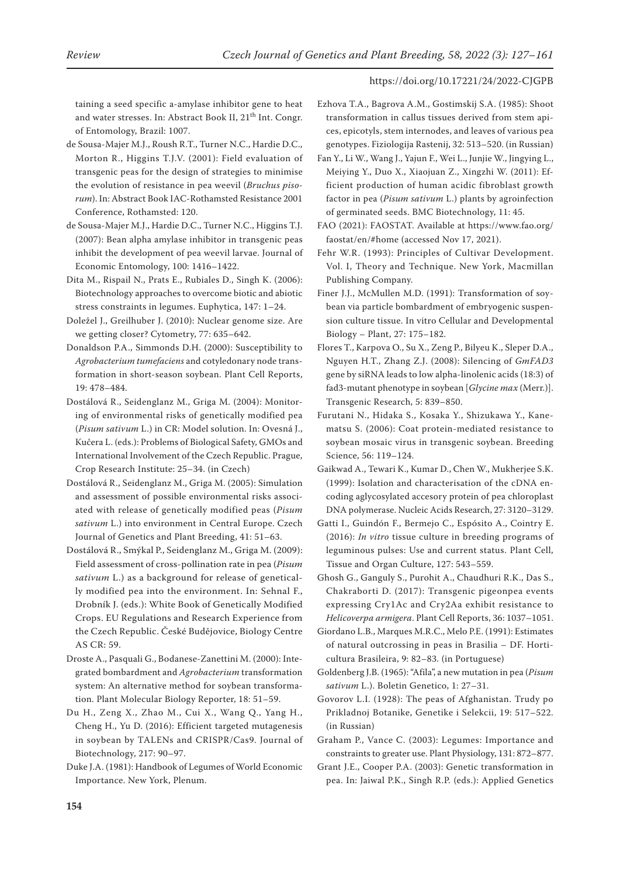taining a seed specific a-amylase inhibitor gene to heat and water stresses. In: Abstract Book II, 21<sup>th</sup> Int. Congr. of Entomology, Brazil: 1007.

- de Sousa-Majer M.J., Roush R.T., Turner N.C., Hardie D.C., Morton R., Higgins T.J.V. (2001): Field evaluation of transgenic peas for the design of strategies to minimise the evolution of resistance in pea weevil (*Bruchus pisorum*). In: Abstract Book IAC-Rothamsted Resistance 2001 Conference, Rothamsted: 120.
- de Sousa-Majer M.J., Hardie D.C., Turner N.C., Higgins T.J. (2007): Bean alpha amylase inhibitor in transgenic peas inhibit the development of pea weevil larvae. Journal of Economic Entomology, 100: 1416–1422.
- Dita M., Rispail N., Prats E., Rubiales D., Singh K. (2006): Biotechnology approaches to overcome biotic and abiotic stress constraints in legumes. Euphytica, 147: 1–24.
- Doležel J., Greilhuber J. (2010): Nuclear genome size. Are we getting closer? Cytometry, 77: 635–642.
- Donaldson P.A., Simmonds D.H. (2000): Susceptibility to *Agrobacterium tumefaciens* and cotyledonary node transformation in short-season soybean. Plant Cell Reports, 19: 478–484.
- Dostálová R., Seidenglanz M., Griga M. (2004): Monitoring of environmental risks of genetically modified pea (*Pisum sativum* L.) in CR: Model solution. In: Ovesná J., Kučera L. (eds.): Problems of Biological Safety, GMOs and International Involvement of the Czech Republic. Prague, Crop Research Institute: 25–34. (in Czech)
- Dostálová R., Seidenglanz M., Griga M. (2005): Simulation and assessment of possible environmental risks associated with release of genetically modified peas (*Pisum sativum* L.) into environment in Central Europe. Czech Journal of Genetics and Plant Breeding, 41: 51–63.
- Dostálová R., Smýkal P., Seidenglanz M., Griga M. (2009): Field assessment of cross-pollination rate in pea (*Pisum sativum* L.) as a background for release of genetically modified pea into the environment. In: Sehnal F., Drobník J. (eds.): White Book of Genetically Modified Crops. EU Regulations and Research Experience from the Czech Republic. České Budějovice, Biology Centre AS CR: 59.
- Droste A., Pasquali G., Bodanese-Zanettini M. (2000): Integrated bombardment and *Agrobacterium* transformation system: An alternative method for soybean transformation. Plant Molecular Biology Reporter, 18: 51–59.
- Du H., Zeng X., Zhao M., Cui X., Wang Q., Yang H., Cheng H., Yu D. (2016): Efficient targeted mutagenesis in soybean by TALENs and CRISPR/Cas9. Journal of Biotechnology, 217: 90–97.
- Duke J.A. (1981): Handbook of Legumes of World Economic Importance. New York, Plenum.
- Ezhova T.A., Bagrova A.M., Gostimskij S.A. (1985): Shoot transformation in callus tissues derived from stem apices, epicotyls, stem internodes, and leaves of various pea genotypes. Fiziologija Rastenij, 32: 513–520. (in Russian)
- Fan Y., Li W., Wang J., Yajun F., Wei L., Junjie W., Jingying L., Meiying Y., Duo X., Xiaojuan Z., Xingzhi W. (2011): Efficient production of human acidic fibroblast growth factor in pea (*Pisum sativum* L.) plants by agroinfection of germinated seeds. BMC Biotechnology, 11: 45.
- FAO (2021): FAOSTAT. Available at https://www.fao.org/ faostat/en/#home (accessed Nov 17, 2021).
- Fehr W.R. (1993): Principles of Cultivar Development. Vol. I, Theory and Technique. New York, Macmillan Publishing Company.
- Finer J.J., McMullen M.D. (1991): Transformation of soybean via particle bombardment of embryogenic suspension culture tissue. In vitro Cellular and Developmental Biology – Plant, 27: 175–182.
- Flores T., Karpova O., Su X., Zeng P., Bilyeu K., Sleper D.A., Nguyen H.T., Zhang Z.J. (2008): Silencing of *GmFAD3* gene by siRNA leads to low alpha-linolenic acids (18:3) of fad3-mutant phenotype in soybean [*Glycine max* (Merr.)]. Transgenic Research, 5: 839–850.
- Furutani N., Hidaka S., Kosaka Y., Shizukawa Y., Kanematsu S. (2006): Coat protein-mediated resistance to soybean mosaic virus in transgenic soybean. Breeding Science, 56: 119–124.
- Gaikwad A., Tewari K., Kumar D., Chen W., Mukherjee S.K. (1999): Isolation and characterisation of the cDNA encoding aglycosylated accesory protein of pea chloroplast DNA polymerase. Nucleic Acids Research, 27: 3120–3129.
- Gatti I., Guindón F., Bermejo C., Espósito A., Cointry E. (2016): *In vitro* tissue culture in breeding programs of leguminous pulses: Use and current status. Plant Cell, Tissue and Organ Culture, 127: 543–559.
- Ghosh G., Ganguly S., Purohit A., Chaudhuri R.K., Das S., Chakraborti D. (2017): Transgenic pigeonpea events expressing Cry1Ac and Cry2Aa exhibit resistance to *Helicoverpa armigera*. Plant Cell Reports, 36: 1037–1051.
- Giordano L.B., Marques M.R.C., Melo P.E. (1991): Estimates of natural outcrossing in peas in Brasilia – DF. Horticultura Brasileira, 9: 82–83. (in Portuguese)
- Goldenberg J.B. (1965): "Afila", a new mutation in pea (*Pisum sativum* L.). Boletin Genetico, 1: 27–31.
- Govorov L.I. (1928): The peas of Afghanistan. Trudy po Prikladnoj Botanike, Genetike i Selekcii, 19: 517–522. (in Russian)
- Graham P., Vance C. (2003): Legumes: Importance and constraints to greater use. Plant Physiology, 131: 872–877.
- Grant J.E., Cooper P.A. (2003): Genetic transformation in pea. In: Jaiwal P.K., Singh R.P. (eds.): Applied Genetics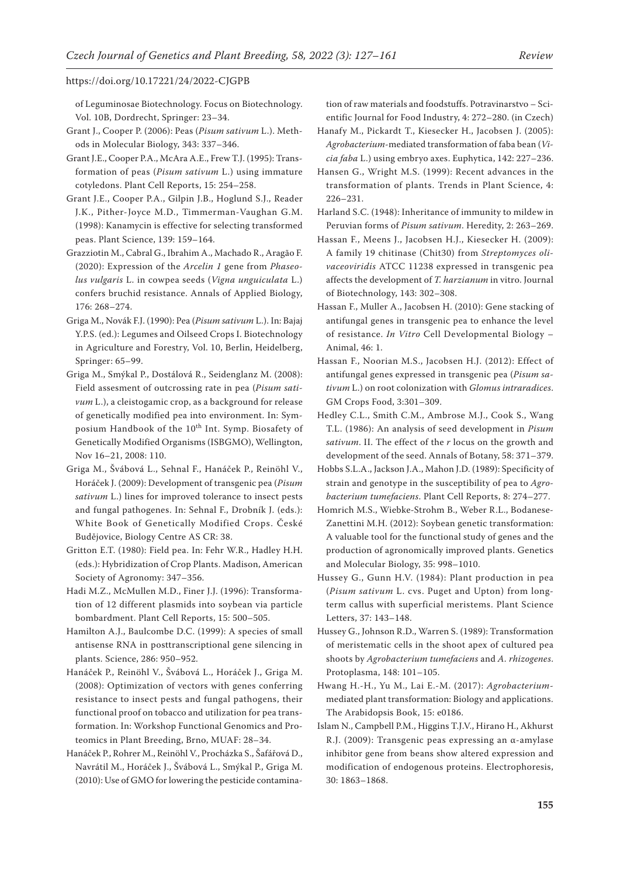of Leguminosae Biotechnology. Focus on Biotechnology. Vol. 10B, Dordrecht, Springer: 23–34.

- Grant J., Cooper P. (2006): Peas (*Pisum sativum* L.). Methods in Molecular Biology, 343: 337–346.
- Grant J.E., Cooper P.A., McAra A.E., Frew T.J. (1995): Transformation of peas (*Pisum sativum* L.) using immature cotyledons. Plant Cell Reports, 15: 254–258.
- Grant J.E., Cooper P.A., Gilpin J.B., Hoglund S.J., Reader J.K., Pither-Joyce M.D., Timmerman-Vaughan G.M. (1998): Kanamycin is effective for selecting transformed peas. Plant Science, 139: 159–164.
- Grazziotin M., Cabral G., Ibrahim A., Machado R., Aragão F. (2020): Expression of the *Arcelin 1* gene from *Phaseolus vulgaris* L. in cowpea seeds (*Vigna unguiculata* L.) confers bruchid resistance. Annals of Applied Biology, 176: 268–274.
- Griga M., Novák F.J. (1990): Pea (*Pisum sativum* L.). In: Bajaj Y.P.S. (ed.): Legumes and Oilseed Crops I. Biotechnology in Agriculture and Forestry, Vol. 10, Berlin, Heidelberg, Springer: 65–99.
- Griga M., Smýkal P., Dostálová R., Seidenglanz M. (2008): Field assesment of outcrossing rate in pea (*Pisum sativum* L.), a cleistogamic crop, as a background for release of genetically modified pea into environment. In: Symposium Handbook of the 10<sup>th</sup> Int. Symp. Biosafety of Genetically Modified Organisms (ISBGMO), Wellington, Nov 16–21, 2008: 110.
- Griga M., Švábová L., Sehnal F., Hanáček P., Reinöhl V., Horáček J. (2009): Development of transgenic pea (*Pisum sativum* L.) lines for improved tolerance to insect pests and fungal pathogenes. In: Sehnal F., Drobník J. (eds.): White Book of Genetically Modified Crops. České Budějovice, Biology Centre AS CR: 38.
- Gritton E.T. (1980): Field pea. In: Fehr W.R., Hadley H.H. (eds.): Hybridization of Crop Plants. Madison, American Society of Agronomy: 347–356.
- Hadi M.Z., McMullen M.D., Finer J.J. (1996): Transformation of 12 different plasmids into soybean via particle bombardment. Plant Cell Reports, 15: 500–505.
- Hamilton A.J., Baulcombe D.C. (1999): A species of small antisense RNA in posttranscriptional gene silencing in plants. Science, 286: 950–952.
- Hanáček P., Reinöhl V., Švábová L., Horáček J., Griga M. (2008): Optimization of vectors with genes conferring resistance to insect pests and fungal pathogens, their functional proof on tobacco and utilization for pea transformation. In: Workshop Functional Genomics and Proteomics in Plant Breeding, Brno, MUAF: 28–34.
- Hanáček P., Rohrer M., Reinöhl V., Procházka S., Šafářová D., Navrátil M., Horáček J., Švábová L., Smýkal P., Griga M. (2010): Use of GMO for lowering the pesticide contamina-

tion of raw materials and foodstuffs. Potravinarstvo – Scientific Journal for Food Industry, 4: 272–280. (in Czech)

- Hanafy M., Pickardt T., Kiesecker H., Jacobsen J. (2005): *Agrobacterium*-mediated transformation of faba bean (*Vicia faba* L.) using embryo axes. Euphytica, 142: 227–236.
- Hansen G., Wright M.S. (1999): Recent advances in the transformation of plants. Trends in Plant Science, 4: 226–231.
- Harland S.C. (1948): Inheritance of immunity to mildew in Peruvian forms of *Pisum sativum*. Heredity, 2: 263–269.
- Hassan F., Meens J., Jacobsen H.J., Kiesecker H. (2009): A family 19 chitinase (Chit30) from *Streptomyces olivaceoviridis* ATCC 11238 expressed in transgenic pea affects the development of *T. harzianum* in vitro. Journal of Biotechnology, 143: 302–308.
- Hassan F., Muller A., Jacobsen H. (2010): Gene stacking of antifungal genes in transgenic pea to enhance the level of resistance. *In Vitro* Cell Developmental Biology – Animal, 46: 1.
- Hassan F., Noorian M.S., Jacobsen H.J. (2012): Effect of antifungal genes expressed in transgenic pea (*Pisum sativum* L.) on root colonization with *Glomus intraradices*. GM Crops Food, 3:301–309.
- Hedley C.L., Smith C.M., Ambrose M.J., Cook S., Wang T.L. (1986): An analysis of seed development in *Pisum sativum*. II. The effect of the *r* locus on the growth and development of the seed. Annals of Botany, 58: 371–379.
- Hobbs S.L.A., Jackson J.A., Mahon J.D. (1989): Specificity of strain and genotype in the susceptibility of pea to *Agrobacterium tumefaciens*. Plant Cell Reports, 8: 274–277.
- Homrich M.S., Wiebke-Strohm B., Weber R.L., Bodanese-Zanettini M.H. (2012): Soybean genetic transformation: A valuable tool for the functional study of genes and the production of agronomically improved plants. Genetics and Molecular Biology, 35: 998–1010.
- Hussey G., Gunn H.V. (1984): Plant production in pea (*Pisum sativum* L. cvs. Puget and Upton) from longterm callus with superficial meristems. Plant Science Letters, 37: 143–148.
- Hussey G., Johnson R.D., Warren S. (1989): Transformation of meristematic cells in the shoot apex of cultured pea shoots by *Agrobacterium tumefaciens* and *A. rhizogenes*. Protoplasma, 148: 101–105.
- Hwang H.-H., Yu M., Lai E.-M. (2017): *Agrobacterium*mediated plant transformation: Biology and applications. The Arabidopsis Book, 15: e0186.
- Islam N., Campbell P.M., Higgins T.J.V., Hirano H., Akhurst R.J. (2009): Transgenic peas expressing an α-amylase inhibitor gene from beans show altered expression and modification of endogenous proteins. Electrophoresis, 30: 1863–1868.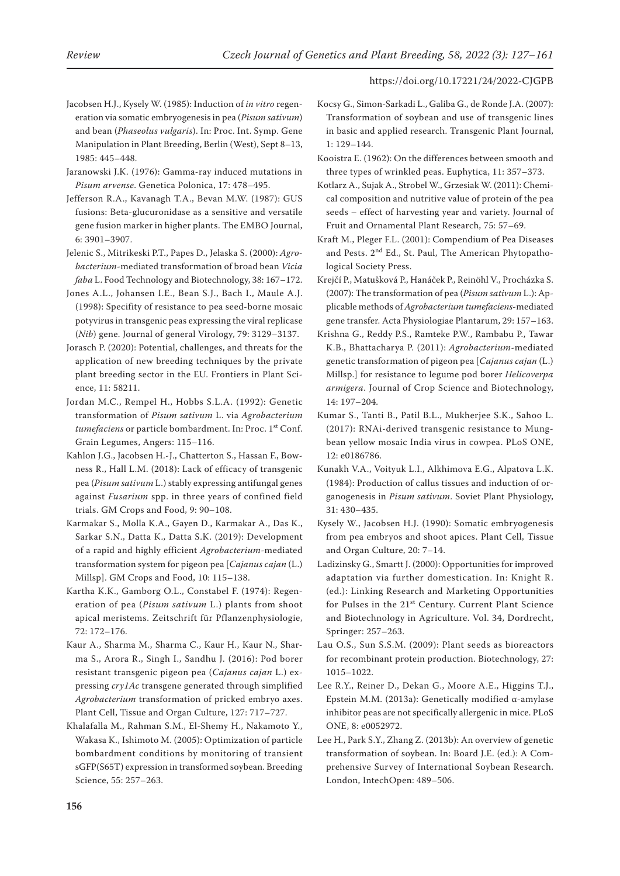- Jacobsen H.J., Kysely W. (1985): Induction of *in vitro* regeneration via somatic embryogenesis in pea (*Pisum sativum*) and bean (*Phaseolus vulgaris*). In: Proc. Int. Symp. Gene Manipulation in Plant Breeding, Berlin (West), Sept 8–13, 1985: 445–448.
- Jaranowski J.K. (1976): Gamma-ray induced mutations in *Pisum arvense*. Genetica Polonica, 17: 478–495.
- Jefferson R.A., Kavanagh T.A., Bevan M.W. (1987): GUS fusions: Beta-glucuronidase as a sensitive and versatile gene fusion marker in higher plants. The EMBO Journal, 6: 3901–3907.

Jelenic S., Mitrikeski P.T., Papes D., Jelaska S. (2000): *Agrobacterium*-mediated transformation of broad bean *Vicia faba* L. Food Technology and Biotechnology, 38: 167–172.

- Jones A.L., Johansen I.E., Bean S.J., Bach I., Maule A.J. (1998): Specifity of resistance to pea seed-borne mosaic potyvirus in transgenic peas expressing the viral replicase (*Nib*) gene. Journal of general Virology, 79: 3129–3137.
- Jorasch P. (2020): Potential, challenges, and threats for the application of new breeding techniques by the private plant breeding sector in the EU. Frontiers in Plant Science, 11: 58211.
- Jordan M.C., Rempel H., Hobbs S.L.A. (1992): Genetic transformation of *Pisum sativum* L. via *Agrobacterium tumefaciens* or particle bombardment. In: Proc. 1<sup>st</sup> Conf. Grain Legumes, Angers: 115–116.
- Kahlon J.G., Jacobsen H.-J., Chatterton S., Hassan F., Bowness R., Hall L.M. (2018): Lack of efficacy of transgenic pea (*Pisum sativum* L.) stably expressing antifungal genes against *Fusarium* spp. in three years of confined field trials. GM Crops and Food, 9: 90–108.
- Karmakar S., Molla K.A., Gayen D., Karmakar A., Das K., Sarkar S.N., Datta K., Datta S.K. (2019): Development of a rapid and highly efficient *Agrobacterium*-mediated transformation system for pigeon pea [*Cajanus cajan* (L.) Millsp]. GM Crops and Food, 10: 115–138.
- Kartha K.K., Gamborg O.L., Constabel F. (1974): Regeneration of pea (*Pisum sativum* L.) plants from shoot apical meristems. Zeitschrift für Pflanzenphysiologie, 72: 172–176.
- Kaur A., Sharma M., Sharma C., Kaur H., Kaur N., Sharma S., Arora R., Singh I., Sandhu J. (2016): Pod borer resistant transgenic pigeon pea (*Cajanus cajan* L.) expressing *cry1Ac* transgene generated through simplified *Agrobacterium* transformation of pricked embryo axes. Plant Cell, Tissue and Organ Culture, 127: 717–727.
- Khalafalla M., Rahman S.M., El-Shemy H., Nakamoto Y., Wakasa K., Ishimoto M. (2005): Optimization of particle bombardment conditions by monitoring of transient sGFP(S65T) expression in transformed soybean. Breeding Science, 55: 257–263.
- Kocsy G., Simon-Sarkadi L., Galiba G., de Ronde J.A. (2007): Transformation of soybean and use of transgenic lines in basic and applied research. Transgenic Plant Journal, 1: 129–144.
- Kooistra E. (1962): On the differences between smooth and three types of wrinkled peas. Euphytica, 11: 357–373.
- Kotlarz A., Sujak A., Strobel W., Grzesiak W. (2011): Chemical composition and nutritive value of protein of the pea seeds – effect of harvesting year and variety. Journal of Fruit and Ornamental Plant Research, 75: 57–69.
- Kraft M., Pleger F.L. (2001): Compendium of Pea Diseases and Pests. 2nd Ed., St. Paul, The American Phytopathological Society Press.
- Krejčí P., Matušková P., Hanáček P., Reinöhl V., Procházka S. (2007): The transformation of pea (*Pisum sativum* L.): Applicable methods of *Agrobacterium tumefaciens*-mediated gene transfer. Acta Physiologiae Plantarum, 29: 157–163.
- Krishna G., Reddy P.S., Ramteke P.W., Rambabu P., Tawar K.B., Bhattacharya P. (2011): *Agrobacterium*-mediated genetic transformation of pigeon pea [*Cajanus cajan* (L.) Millsp.] for resistance to legume pod borer *Helicoverpa armigera*. Journal of Crop Science and Biotechnology, 14: 197–204.
- Kumar S., Tanti B., Patil B.L., Mukherjee S.K., Sahoo L. (2017): RNAi-derived transgenic resistance to Mungbean yellow mosaic India virus in cowpea. PLoS ONE, 12: e0186786.
- Kunakh V.A., Voityuk L.I., Alkhimova E.G., Alpatova L.K. (1984): Production of callus tissues and induction of organogenesis in *Pisum sativum*. Soviet Plant Physiology, 31: 430–435.
- Kysely W., Jacobsen H.J. (1990): Somatic embryogenesis from pea embryos and shoot apices. Plant Cell, Tissue and Organ Culture, 20: 7–14.
- Ladizinsky G., Smartt J. (2000): Opportunities for improved adaptation via further domestication. In: Knight R. (ed.): Linking Research and Marketing Opportunities for Pulses in the 21<sup>st</sup> Century. Current Plant Science and Biotechnology in Agriculture. Vol. 34, Dordrecht, Springer: 257–263.
- Lau O.S., Sun S.S.M. (2009): Plant seeds as bioreactors for recombinant protein production. Biotechnology, 27: 1015–1022.
- Lee R.Y., Reiner D., Dekan G., Moore A.E., Higgins T.J., Epstein M.M. (2013a): Genetically modified α-amylase inhibitor peas are not specifically allergenic in mice. PLoS ONE, 8: e0052972.
- Lee H., Park S.Y., Zhang Z. (2013b): An overview of genetic transformation of soybean. In: Board J.E. (ed.): A Comprehensive Survey of International Soybean Research. London, IntechOpen: 489–506.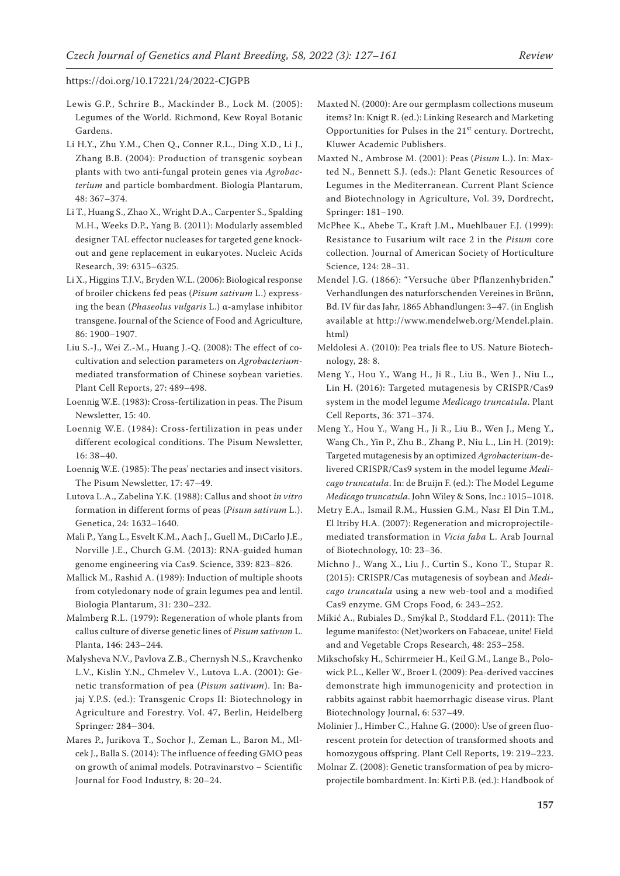- Lewis G.P., Schrire B., Mackinder B., Lock M. (2005): Legumes of the World. Richmond, Kew Royal Botanic Gardens.
- Li H.Y., Zhu Y.M., Chen Q., Conner R.L., Ding X.D., Li J., Zhang B.B. (2004): Production of transgenic soybean plants with two anti-fungal protein genes via *Agrobacterium* and particle bombardment. Biologia Plantarum, 48: 367–374.
- Li T., Huang S., Zhao X., Wright D.A., Carpenter S., Spalding M.H., Weeks D.P., Yang B. (2011): Modularly assembled designer TAL effector nucleases for targeted gene knockout and gene replacement in eukaryotes. Nucleic Acids Research, 39: 6315–6325.
- Li X., Higgins T.J.V., Bryden W.L. (2006): Biological response of broiler chickens fed peas (*Pisum sativum* L.) expressing the bean (*Phaseolus vulgaris* L.) α-amylase inhibitor transgene. Journal of the Science of Food and Agriculture, 86: 1900–1907.
- Liu S.-J., Wei Z.-M., Huang J.-Q. (2008): The effect of cocultivation and selection parameters on *Agrobacterium*mediated transformation of Chinese soybean varieties. Plant Cell Reports, 27: 489–498.
- Loennig W.E. (1983): Cross-fertilization in peas. The Pisum Newsletter, 15: 40.
- Loennig W.E. (1984): Cross-fertilization in peas under different ecological conditions. The Pisum Newsletter, 16: 38–40.
- Loennig W.E. (1985): The peas' nectaries and insect visitors. The Pisum Newsletter, 17: 47–49.
- Lutova L.A., Zabelina Y.K. (1988): Callus and shoot *in vitro*  formation in different forms of peas (*Pisum sativum* L.). Genetica, 24: 1632–1640.
- Mali P., Yang L., Esvelt K.M., Aach J., Guell M., DiCarlo J.E., Norville J.E., Church G.M. (2013): RNA-guided human genome engineering via Cas9. Science, 339: 823–826.
- Mallick M., Rashid A. (1989): Induction of multiple shoots from cotyledonary node of grain legumes pea and lentil. Biologia Plantarum, 31: 230–232.
- Malmberg R.L. (1979): Regeneration of whole plants from callus culture of diverse genetic lines of *Pisum sativum* L. Planta, 146: 243–244.
- Malysheva N.V., Pavlova Z.B., Chernysh N.S., Kravchenko L.V., Kislin Y.N., Chmelev V., Lutova L.A. (2001): Genetic transformation of pea (*Pisum sativum*). In: Bajaj Y.P.S. (ed.): Transgenic Crops II: Biotechnology in Agriculture and Forestry. Vol. 47, Berlin, Heidelberg Springer*:* 284–304.
- Mares P., Jurikova T., Sochor J., Zeman L., Baron M., Mlcek J., Balla S. (2014): The influence of feeding GMO peas on growth of animal models. Potravinarstvo – Scientific Journal for Food Industry, 8: 20–24.
- Maxted N. (2000): Are our germplasm collections museum items? In: Knigt R. (ed.): Linking Research and Marketing Opportunities for Pulses in the 21<sup>st</sup> century. Dortrecht, Kluwer Academic Publishers.
- Maxted N., Ambrose M. (2001): Peas (*Pisum* L.). In: Maxted N., Bennett S.J. (eds.): Plant Genetic Resources of Legumes in the Mediterranean. Current Plant Science and Biotechnology in Agriculture, Vol. 39, Dordrecht, Springer: 181–190.
- McPhee K., Abebe T., Kraft J.M., Muehlbauer F.J. (1999): Resistance to Fusarium wilt race 2 in the *Pisum* core collection. Journal of American Society of Horticulture Science, 124: 28–31.
- Mendel J.G. (1866): "Versuche über Pflanzenhybriden." Verhandlungen des naturforschenden Vereines in Brünn, Bd. IV für das Jahr, 1865 Abhandlungen: 3–47. (in English available at http://www.mendelweb.org/Mendel.plain. html)
- Meldolesi A. (2010): Pea trials flee to US. Nature Biotechnology, 28: 8.
- Meng Y., Hou Y., Wang H., Ji R., Liu B., Wen J., Niu L., Lin H. (2016): Targeted mutagenesis by CRISPR/Cas9 system in the model legume *Medicago truncatula*. Plant Cell Reports, 36: 371–374.
- Meng Y., Hou Y., Wang H., Ji R., Liu B., Wen J., Meng Y., Wang Ch., Yin P., Zhu B., Zhang P., Niu L., Lin H. (2019): Targeted mutagenesis by an optimized *Agrobacterium*‐delivered CRISPR/Cas9 system in the model legume *Medicago truncatula*. In: de Bruijn F. (ed.): The Model Legume *Medicago truncatula*. John Wiley & Sons, Inc.: 1015–1018.
- Metry E.A., Ismail R.M., Hussien G.M., Nasr El Din T.M., El Itriby H.A. (2007): Regeneration and microprojectilemediated transformation in *Vicia faba* L. Arab Journal of Biotechnology, 10: 23–36.
- Michno J., Wang X., Liu J., Curtin S., Kono T., Stupar R. (2015): CRISPR/Cas mutagenesis of soybean and *Medicago truncatula* using a new web-tool and a modified Cas9 enzyme. GM Crops Food, 6: 243–252.
- Mikić A., Rubiales D., Smýkal P., Stoddard F.L. (2011): The legume manifesto: (Net)workers on Fabaceae, unite! Field and and Vegetable Crops Research, 48: 253–258.
- Mikschofsky H., Schirrmeier H., Keil G.M., Lange B., Polowick P.L., Keller W., Broer I. (2009): Pea-derived vaccines demonstrate high immunogenicity and protection in rabbits against rabbit haemorrhagic disease virus. Plant Biotechnology Journal, 6: 537–49.
- Molinier J., Himber C., Hahne G. (2000): Use of green fluorescent protein for detection of transformed shoots and homozygous offspring. Plant Cell Reports, 19: 219–223.
- Molnar Z. (2008): Genetic transformation of pea by microprojectile bombardment. In: Kirti P.B. (ed.): Handbook of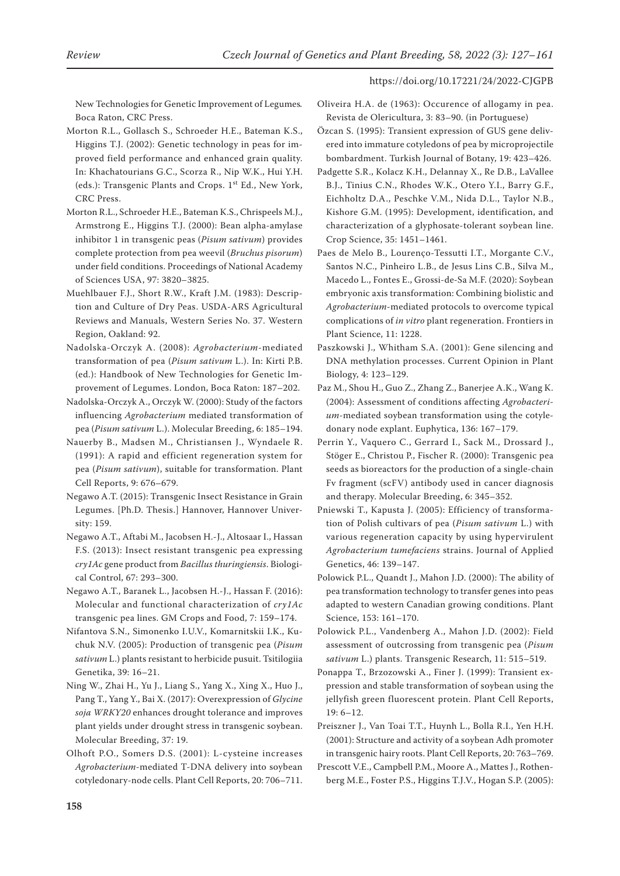New Technologies for Genetic Improvement of Legumes*.* Boca Raton, CRC Press.

Morton R.L., Gollasch S., Schroeder H.E., Bateman K.S., Higgins T.J. (2002): Genetic technology in peas for improved field performance and enhanced grain quality. In: Khachatourians G.C., Scorza R., Nip W.K., Hui Y.H. (eds.): Transgenic Plants and Crops. 1<sup>st</sup> Ed., New York, CRC Press.

Morton R.L., Schroeder H.E., Bateman K.S., Chrispeels M.J., Armstrong E., Higgins T.J. (2000): Bean alpha-amylase inhibitor 1 in transgenic peas (*Pisum sativum*) provides complete protection from pea weevil (*Bruchus pisorum*) under field conditions. Proceedings of National Academy of Sciences USA, 97: 3820–3825.

Muehlbauer F.J., Short R.W., Kraft J.M. (1983): Description and Culture of Dry Peas. USDA-ARS Agricultural Reviews and Manuals, Western Series No. 37. Western Region, Oakland: 92.

Nadolska-Orczyk A. (2008): *Agrobacterium*-mediated transformation of pea (*Pisum sativum* L.). In: Kirti P.B. (ed.): Handbook of New Technologies for Genetic Improvement of Legumes. London, Boca Raton: 187–202.

Nadolska-Orczyk A., Orczyk W. (2000): Study of the factors influencing *Agrobacterium* mediated transformation of pea (*Pisum sativum* L.). Molecular Breeding, 6: 185–194.

Nauerby B., Madsen M., Christiansen J., Wyndaele R. (1991): A rapid and efficient regeneration system for pea (*Pisum sativum*), suitable for transformation. Plant Cell Reports, 9: 676–679.

Negawo A.T. (2015): Transgenic Insect Resistance in Grain Legumes. [Ph.D. Thesis.] Hannover, Hannover University: 159.

Negawo A.T., Aftabi M., Jacobsen H.-J., Altosaar I., Hassan F.S. (2013): Insect resistant transgenic pea expressing *cry1Ac* gene product from *Bacillus thuringiensis*. Biological Control, 67: 293–300.

Negawo A.T., Baranek L., Jacobsen H.-J., Hassan F. (2016): Molecular and functional characterization of *cry1Ac* transgenic pea lines. GM Crops and Food, 7: 159–174.

Nifantova S.N., Simonenko I.U.V., Komarnitskii I.K., Kuchuk N.V. (2005): Production of transgenic pea (*Pisum sativum* L.) plants resistant to herbicide pusuit. Tsitilogiia Genetika, 39: 16–21.

Ning W., Zhai H., Yu J., Liang S., Yang X., Xing X., Huo J., Pang T., Yang Y., Bai X. (2017): Overexpression of *Glycine soja WRKY20* enhances drought tolerance and improves plant yields under drought stress in transgenic soybean. Molecular Breeding, 37: 19.

Olhoft P.O., Somers D.S. (2001): L-cysteine increases *Agrobacterium*-mediated T-DNA delivery into soybean cotyledonary-node cells. Plant Cell Reports, 20: 706–711. Oliveira H.A. de (1963): Occurence of allogamy in pea. Revista de Olericultura, 3: 83–90. (in Portuguese)

Özcan S. (1995): Transient expression of GUS gene delivered into immature cotyledons of pea by microprojectile bombardment. Turkish Journal of Botany, 19: 423–426.

Padgette S.R., Kolacz K.H., Delannay X., Re D.B., LaVallee B.J., Tinius C.N., Rhodes W.K., Otero Y.I., Barry G.F., Eichholtz D.A., Peschke V.M., Nida D.L., Taylor N.B., Kishore G.M. (1995): Development, identification, and characterization of a glyphosate-tolerant soybean line. Crop Science, 35: 1451–1461.

Paes de Melo B., Lourenço-Tessutti I.T., Morgante C.V., Santos N.C., Pinheiro L.B., de Jesus Lins C.B., Silva M., Macedo L., Fontes E., Grossi-de-Sa M.F. (2020): Soybean embryonic axis transformation: Combining biolistic and *Agrobacterium*-mediated protocols to overcome typical complications of *in vitro* plant regeneration. Frontiers in Plant Science, 11: 1228.

Paszkowski J., Whitham S.A. (2001): Gene silencing and DNA methylation processes. Current Opinion in Plant Biology, 4: 123–129.

Paz M., Shou H., Guo Z., Zhang Z., Banerjee A.K., Wang K. (2004): Assessment of conditions affecting *Agrobacterium*-mediated soybean transformation using the cotyledonary node explant. Euphytica, 136: 167–179.

Perrin Y., Vaquero C., Gerrard I., Sack M., Drossard J., Stöger E., Christou P., Fischer R. (2000): Transgenic pea seeds as bioreactors for the production of a single-chain Fv fragment (scFV) antibody used in cancer diagnosis and therapy. Molecular Breeding, 6: 345–352.

Pniewski T., Kapusta J. (2005): Efficiency of transformation of Polish cultivars of pea (*Pisum sativum* L.) with various regeneration capacity by using hypervirulent *Agrobacterium tumefaciens* strains. Journal of Applied Genetics, 46: 139–147.

Polowick P.L., Quandt J., Mahon J.D. (2000): The ability of pea transformation technology to transfer genes into peas adapted to western Canadian growing conditions. Plant Science, 153: 161–170.

Polowick P.L., Vandenberg A., Mahon J.D. (2002): Field assessment of outcrossing from transgenic pea (*Pisum sativum* L.) plants. Transgenic Research, 11: 515–519.

Ponappa T., Brzozowski A., Finer J. (1999): Transient expression and stable transformation of soybean using the jellyfish green fluorescent protein. Plant Cell Reports, 19: 6–12.

Preiszner J., Van Toai T.T., Huynh L., Bolla R.I., Yen H.H. (2001): Structure and activity of a soybean Adh promoter in transgenic hairy roots. Plant Cell Reports, 20: 763–769.

Prescott V.E., Campbell P.M., Moore A., Mattes J., Rothenberg M.E., Foster P.S., Higgins T.J.V., Hogan S.P. (2005):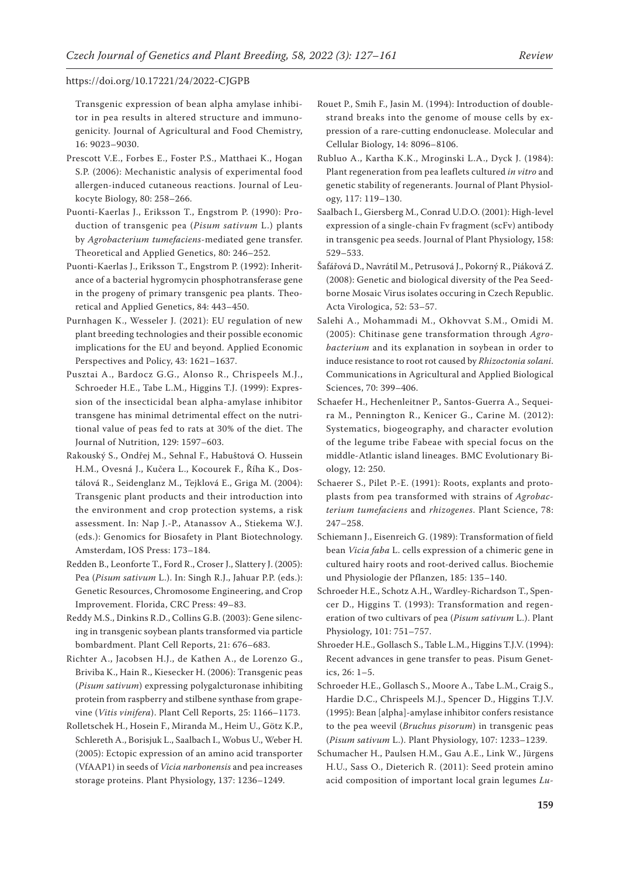Transgenic expression of bean alpha amylase inhibitor in pea results in altered structure and immunogenicity. Journal of Agricultural and Food Chemistry, 16: 9023–9030.

- Prescott V.E., Forbes E., Foster P.S., Matthaei K., Hogan S.P. (2006): Mechanistic analysis of experimental food allergen-induced cutaneous reactions. Journal of Leukocyte Biology, 80: 258–266.
- Puonti-Kaerlas J., Eriksson T., Engstrom P. (1990): Production of transgenic pea (*Pisum sativum* L.) plants by *Agrobacterium tumefaciens*-mediated gene transfer. Theoretical and Applied Genetics, 80: 246–252.
- Puonti-Kaerlas J., Eriksson T., Engstrom P. (1992): Inheritance of a bacterial hygromycin phosphotransferase gene in the progeny of primary transgenic pea plants. Theoretical and Applied Genetics, 84: 443–450.
- Purnhagen K., Wesseler J. (2021): EU regulation of new plant breeding technologies and their possible economic implications for the EU and beyond. Applied Economic Perspectives and Policy, 43: 1621–1637.
- Pusztai A., Bardocz G.G., Alonso R., Chrispeels M.J., Schroeder H.E., Tabe L.M., Higgins T.J. (1999): Expression of the insecticidal bean alpha-amylase inhibitor transgene has minimal detrimental effect on the nutritional value of peas fed to rats at 30% of the diet. The Journal of Nutrition, 129: 1597–603.
- Rakouský S., Ondřej M., Sehnal F., Habuštová O. Hussein H.M., Ovesná J., Kučera L., Kocourek F., Říha K., Dostálová R., Seidenglanz M., Tejklová E., Griga M. (2004): Transgenic plant products and their introduction into the environment and crop protection systems, a risk assessment. In: Nap J.-P., Atanassov A., Stiekema W.J. (eds.): Genomics for Biosafety in Plant Biotechnology. Amsterdam, IOS Press: 173–184.
- Redden B., Leonforte T., Ford R., Croser J., Slattery J. (2005): Pea (*Pisum sativum* L.). In: Singh R.J., Jahuar P.P. (eds.): Genetic Resources, Chromosome Engineering, and Crop Improvement. Florida, CRC Press: 49–83.
- Reddy M.S., Dinkins R.D., Collins G.B. (2003): Gene silencing in transgenic soybean plants transformed via particle bombardment. Plant Cell Reports, 21: 676–683.

Richter A., Jacobsen H.J., de Kathen A., de Lorenzo G., Briviba K., Hain R., Kiesecker H. (2006): Transgenic peas (*Pisum sativum*) expressing polygalcturonase inhibiting protein from raspberry and stilbene synthase from grapevine (*Vitis vinifera*). Plant Cell Reports, 25: 1166–1173.

Rolletschek H., Hosein F., Miranda M., Heim U., Götz K.P., Schlereth A., Borisjuk L., Saalbach I., Wobus U., Weber H. (2005): Ectopic expression of an amino acid transporter (VfAAP1) in seeds of *Vicia narbonensis* and pea increases storage proteins. Plant Physiology, 137: 1236–1249.

- Rouet P., Smih F., Jasin M. (1994): Introduction of doublestrand breaks into the genome of mouse cells by expression of a rare-cutting endonuclease. Molecular and Cellular Biology, 14: 8096–8106.
- Rubluo A., Kartha K.K., Mroginski L.A., Dyck J. (1984): Plant regeneration from pea leaflets cultured *in vitro* and genetic stability of regenerants. Journal of Plant Physiology, 117: 119–130.
- Saalbach I., Giersberg M., Conrad U.D.O. (2001): High-level expression of a single-chain Fv fragment (scFv) antibody in transgenic pea seeds. Journal of Plant Physiology, 158: 529–533.
- Šafářová D., Navrátil M., Petrusová J., Pokorný R., Piáková Z. (2008): Genetic and biological diversity of the Pea Seedborne Mosaic Virus isolates occuring in Czech Republic. Acta Virologica, 52: 53–57.
- Salehi A., Mohammadi M., Okhovvat S.M., Omidi M. (2005): Chitinase gene transformation through *Agrobacterium* and its explanation in soybean in order to induce resistance to root rot caused by *Rhizoctonia solani*. Communications in Agricultural and Applied Biological Sciences, 70: 399–406.
- Schaefer H., Hechenleitner P., Santos-Guerra A., Sequeira M., Pennington R., Kenicer G., Carine M. (2012): Systematics, biogeography, and character evolution of the legume tribe Fabeae with special focus on the middle-Atlantic island lineages. BMC Evolutionary Biology, 12: 250.
- Schaerer S., Pilet P.-E. (1991): Roots, explants and protoplasts from pea transformed with strains of *Agrobacterium tumefaciens* and *rhizogenes*. Plant Science, 78: 247–258.
- Schiemann J., Eisenreich G. (1989): Transformation of field bean *Vicia faba* L. cells expression of a chimeric gene in cultured hairy roots and root-derived callus. Biochemie und Physiologie der Pflanzen, 185: 135–140.
- Schroeder H.E., Schotz A.H., Wardley-Richardson T., Spencer D., Higgins T. (1993): Transformation and regeneration of two cultivars of pea (*Pisum sativum* L.). Plant Physiology, 101: 751–757.
- Shroeder H.E., Gollasch S., Table L.M., Higgins T.J.V. (1994): Recent advances in gene transfer to peas. Pisum Genetics, 26: 1–5.
- Schroeder H.E., Gollasch S., Moore A., Tabe L.M., Craig S., Hardie D.C., Chrispeels M.J., Spencer D., Higgins T.J.V. (1995): Bean [alpha]-amylase inhibitor confers resistance to the pea weevil (*Bruchus pisorum*) in transgenic peas (*Pisum sativum* L.). Plant Physiology, 107: 1233–1239.
- Schumacher H., Paulsen H.M., Gau A.E., Link W., Jürgens H.U., Sass O., Dieterich R. (2011): Seed protein amino acid composition of important local grain legumes *Lu-*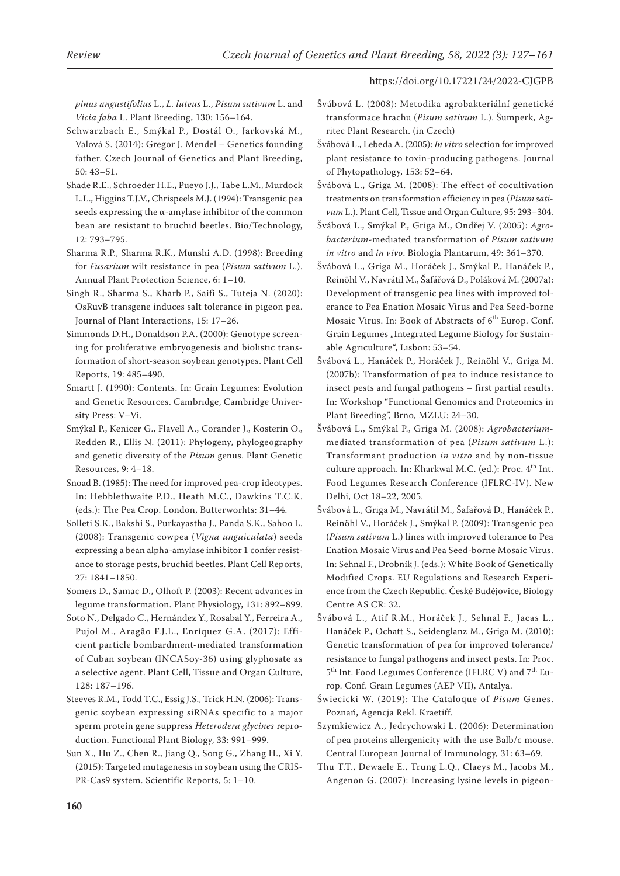*pinus angustifolius* L., *L. luteus* L., *Pisum sativum* L. and *Vicia faba* L. Plant Breeding, 130: 156–164.

- Schwarzbach E., Smýkal P., Dostál O., Jarkovská M., Valová S. (2014): Gregor J. Mendel – Genetics founding father. Czech Journal of Genetics and Plant Breeding, 50: 43–51.
- Shade R.E., Schroeder H.E., Pueyo J.J., Tabe L.M., Murdock L.L., Higgins T.J.V., Chrispeels M.J. (1994): Transgenic pea seeds expressing the α-amylase inhibitor of the common bean are resistant to bruchid beetles. Bio/Technology, 12: 793–795.
- Sharma R.P., Sharma R.K., Munshi A.D. (1998): Breeding for *Fusarium* wilt resistance in pea (*Pisum sativum* L.). Annual Plant Protection Science, 6: 1–10.
- Singh R., Sharma S., Kharb P., Saifi S., Tuteja N. (2020): OsRuvB transgene induces salt tolerance in pigeon pea. Journal of Plant Interactions, 15: 17–26.
- Simmonds D.H., Donaldson P.A. (2000): Genotype screening for proliferative embryogenesis and biolistic transformation of short-season soybean genotypes. Plant Cell Reports, 19: 485–490.
- Smartt J. (1990): Contents. In: Grain Legumes: Evolution and Genetic Resources. Cambridge, Cambridge University Press: V–Vi.
- Smýkal P., Kenicer G., Flavell A., Corander J., Kosterin O., Redden R., Ellis N. (2011): Phylogeny, phylogeography and genetic diversity of the *Pisum* genus. Plant Genetic Resources, 9: 4–18.
- Snoad B. (1985): The need for improved pea-crop ideotypes. In: Hebblethwaite P.D., Heath M.C., Dawkins T.C.K. (eds.): The Pea Crop. London, Butterworhts: 31–44.
- Solleti S.K., Bakshi S., Purkayastha J., Panda S.K., Sahoo L. (2008): Transgenic cowpea (*Vigna unguiculata*) seeds expressing a bean alpha-amylase inhibitor 1 confer resistance to storage pests, bruchid beetles. Plant Cell Reports, 27: 1841–1850.
- Somers D., Samac D., Olhoft P. (2003): Recent advances in legume transformation. Plant Physiology, 131: 892–899.
- Soto N., Delgado C., Hernández Y., Rosabal Y., Ferreira A., Pujol M., Aragão F.J.L., Enríquez G.A. (2017): Efficient particle bombardment-mediated transformation of Cuban soybean (INCASoy-36) using glyphosate as a selective agent. Plant Cell, Tissue and Organ Culture, 128: 187–196.
- Steeves R.M., Todd T.C., Essig J.S., Trick H.N. (2006): Transgenic soybean expressing siRNAs specific to a major sperm protein gene suppress *Heterodera glycines* reproduction. Functional Plant Biology, 33: 991–999.
- Sun X., Hu Z., Chen R., Jiang Q., Song G., Zhang H., Xi Y. (2015): Targeted mutagenesis in soybean using the CRIS-PR-Cas9 system. Scientific Reports, 5: 1–10.
- Švábová L. (2008): Metodika agrobakteriální genetické transformace hrachu (*Pisum sativum* L.). Šumperk, Agritec Plant Research. (in Czech)
- Švábová L., Lebeda A. (2005): *In vitro* selection for improved plant resistance to toxin-producing pathogens. Journal of Phytopathology, 153: 52–64.
- Švábová L., Griga M. (2008): The effect of cocultivation treatments on transformation efficiency in pea (*Pisum sativum* L.). Plant Cell, Tissue and Organ Culture, 95: 293–304.
- Švábová L., Smýkal P., Griga M., Ondřej V. (2005): *Agrobacterium*-mediated transformation of *Pisum sativum in vitro* and *in vivo*. Biologia Plantarum, 49: 361–370.
- Švábová L., Griga M., Horáček J., Smýkal P., Hanáček P., Reinöhl V., Navrátil M., Šafářová D., Poláková M. (2007a): Development of transgenic pea lines with improved tolerance to Pea Enation Mosaic Virus and Pea Seed-borne Mosaic Virus. In: Book of Abstracts of 6<sup>th</sup> Europ. Conf. Grain Legumes "Integrated Legume Biology for Sustainable Agriculture", Lisbon: 53–54.
- Švábová L., Hanáček P., Horáček J., Reinöhl V., Griga M. (2007b): Transformation of pea to induce resistance to insect pests and fungal pathogens – first partial results. In: Workshop "Functional Genomics and Proteomics in Plant Breeding", Brno, MZLU: 24–30.
- Švábová L., Smýkal P., Griga M. (2008): *Agrobacterium*mediated transformation of pea (*Pisum sativum* L.): Transformant production *in vitro* and by non-tissue culture approach. In: Kharkwal M.C. (ed.): Proc. 4<sup>th</sup> Int. Food Legumes Research Conference (IFLRC-IV). New Delhi, Oct 18–22, 2005.
- Švábová L., Griga M., Navrátil M., Šafařová D., Hanáček P., Reinöhl V., Horáček J., Smýkal P. (2009): Transgenic pea (*Pisum sativum* L.) lines with improved tolerance to Pea Enation Mosaic Virus and Pea Seed-borne Mosaic Virus. In: Sehnal F., Drobník J. (eds.): White Book of Genetically Modified Crops. EU Regulations and Research Experience from the Czech Republic. České Budějovice, Biology Centre AS CR: 32.
- Švábová L., Atif R.M., Horáček J., Sehnal F., Jacas L., Hanáček P., Ochatt S., Seidenglanz M., Griga M. (2010): Genetic transformation of pea for improved tolerance/ resistance to fungal pathogens and insect pests. In: Proc. 5<sup>th</sup> Int. Food Legumes Conference (IFLRC V) and 7<sup>th</sup> Europ. Conf. Grain Legumes (AEP VII), Antalya.
- Świecicki W. (2019): The Cataloque of *Pisum* Genes. Poznań, Agencja Rekl. Kraetiff.
- Szymkiewicz A., Jedrychowski L. (2006): Determination of pea proteins allergenicity with the use Balb/c mouse. Central European Journal of Immunology, 31: 63–69.
- Thu T.T., Dewaele E., Trung L.Q., Claeys M., Jacobs M., Angenon G. (2007): Increasing lysine levels in pigeon-